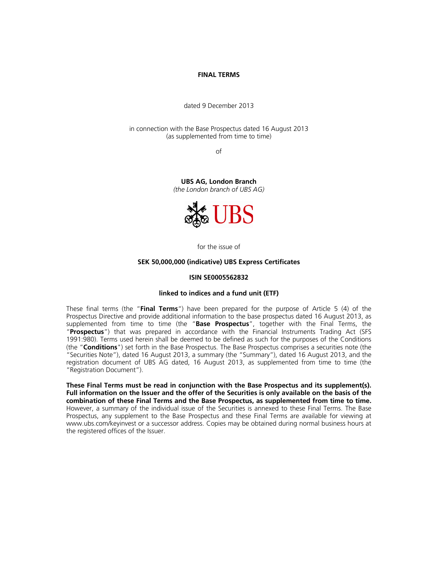## **FINAL TERMS**

dated 9 December 2013

in connection with the Base Prospectus dated 16 August 2013 (as supplemented from time to time)

of

**UBS AG, London Branch**  *(the London branch of UBS AG)*



for the issue of

## **SEK 50,000,000 (indicative) UBS Express Certificates**

#### **ISIN SE0005562832**

#### **linked to indices and a fund unit (ETF)**

These final terms (the "**Final Terms**") have been prepared for the purpose of Article 5 (4) of the Prospectus Directive and provide additional information to the base prospectus dated 16 August 2013, as supplemented from time to time (the "**Base Prospectus**", together with the Final Terms, the "**Prospectus**") that was prepared in accordance with the Financial Instruments Trading Act (SFS 1991:980). Terms used herein shall be deemed to be defined as such for the purposes of the Conditions (the "**Conditions**") set forth in the Base Prospectus. The Base Prospectus comprises a securities note (the "Securities Note"), dated 16 August 2013, a summary (the "Summary"), dated 16 August 2013, and the registration document of UBS AG dated, 16 August 2013, as supplemented from time to time (the "Registration Document").

**These Final Terms must be read in conjunction with the Base Prospectus and its supplement(s). Full information on the Issuer and the offer of the Securities is only available on the basis of the combination of these Final Terms and the Base Prospectus, as supplemented from time to time.** However, a summary of the individual issue of the Securities is annexed to these Final Terms. The Base Prospectus, any supplement to the Base Prospectus and these Final Terms are available for viewing at www.ubs.com/keyinvest or a successor address. Copies may be obtained during normal business hours at the registered offices of the Issuer.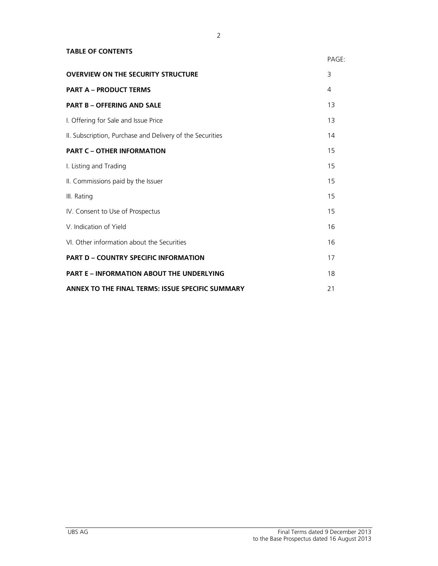## **TABLE OF CONTENTS**

|                                                           | PAGE: |
|-----------------------------------------------------------|-------|
| <b>OVERVIEW ON THE SECURITY STRUCTURE</b>                 | 3     |
| <b>PART A - PRODUCT TERMS</b>                             | 4     |
| <b>PART B - OFFERING AND SALE</b>                         | 13    |
| I. Offering for Sale and Issue Price                      | 13    |
| II. Subscription, Purchase and Delivery of the Securities | 14    |
| <b>PART C - OTHER INFORMATION</b>                         | 15    |
| I. Listing and Trading                                    | 15    |
| II. Commissions paid by the Issuer                        | 15    |
| III. Rating                                               | 15    |
| IV. Consent to Use of Prospectus                          | 15    |
| V. Indication of Yield                                    | 16    |
| VI. Other information about the Securities                | 16    |
| <b>PART D - COUNTRY SPECIFIC INFORMATION</b>              | 17    |
| <b>PART E - INFORMATION ABOUT THE UNDERLYING</b>          | 18    |
| ANNEX TO THE FINAL TERMS: ISSUE SPECIFIC SUMMARY          | 21    |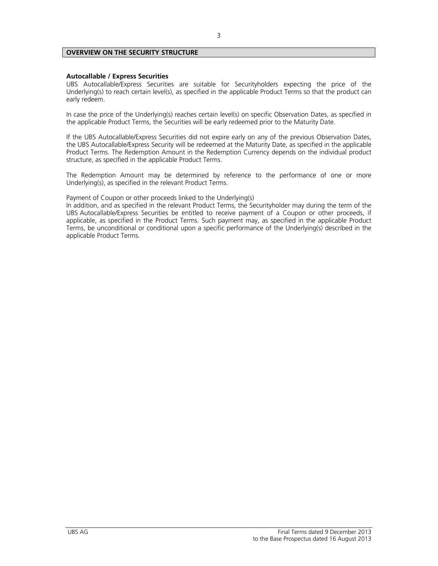## **OVERVIEW ON THE SECURITY STRUCTURE**

## **Autocallable / Express Securities**

UBS Autocallable/Express Securities are suitable for Securityholders expecting the price of the Underlying(s) to reach certain level(s), as specified in the applicable Product Terms so that the product can early redeem.

In case the price of the Underlying(s) reaches certain level(s) on specific Observation Dates, as specified in the applicable Product Terms, the Securities will be early redeemed prior to the Maturity Date.

If the UBS Autocallable/Express Securities did not expire early on any of the previous Observation Dates, the UBS Autocallable/Express Security will be redeemed at the Maturity Date, as specified in the applicable Product Terms. The Redemption Amount in the Redemption Currency depends on the individual product structure, as specified in the applicable Product Terms.

The Redemption Amount may be determined by reference to the performance of one or more Underlying(s), as specified in the relevant Product Terms.

Payment of Coupon or other proceeds linked to the Underlying(s)

In addition, and as specified in the relevant Product Terms, the Securityholder may during the term of the UBS Autocallable/Express Securities be entitled to receive payment of a Coupon or other proceeds, if applicable, as specified in the Product Terms. Such payment may, as specified in the applicable Product Terms, be unconditional or conditional upon a specific performance of the Underlying(s) described in the applicable Product Terms.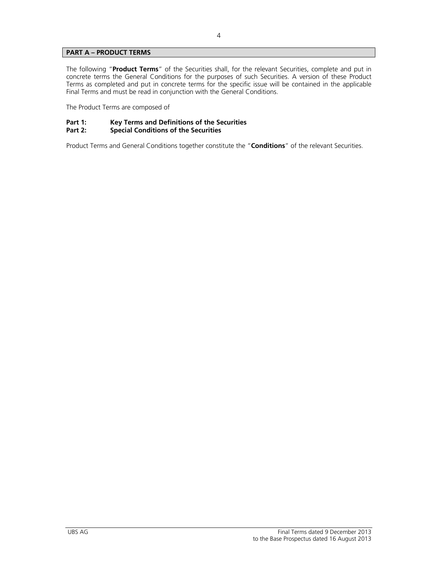## **PART A – PRODUCT TERMS**

The following "**Product Terms**" of the Securities shall, for the relevant Securities, complete and put in concrete terms the General Conditions for the purposes of such Securities. A version of these Product Terms as completed and put in concrete terms for the specific issue will be contained in the applicable Final Terms and must be read in conjunction with the General Conditions.

The Product Terms are composed of

# **Part 1: Key Terms and Definitions of the Securities**

## **Special Conditions of the Securities**

Product Terms and General Conditions together constitute the "**Conditions**" of the relevant Securities.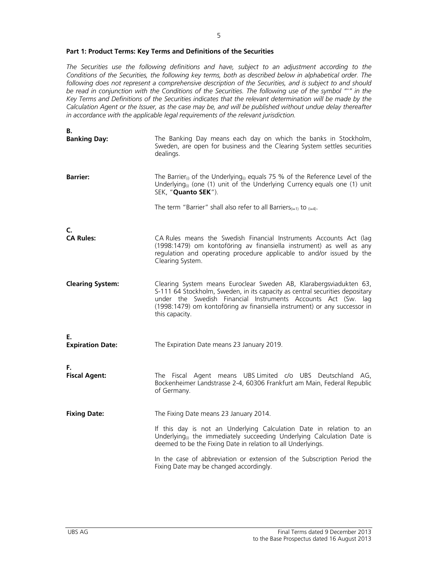## **Part 1: Product Terms: Key Terms and Definitions of the Securities**

*The Securities use the following definitions and have, subject to an adjustment according to the Conditions of the Securities, the following key terms, both as described below in alphabetical order. The following does not represent a comprehensive description of the Securities, and is subject to and should be read in conjunction with the Conditions of the Securities. The following use of the symbol "\*" in the Key Terms and Definitions of the Securities indicates that the relevant determination will be made by the Calculation Agent or the Issuer, as the case may be, and will be published without undue delay thereafter in accordance with the applicable legal requirements of the relevant jurisdiction.* 

| В.<br><b>Banking Day:</b>     | The Banking Day means each day on which the banks in Stockholm,<br>Sweden, are open for business and the Clearing System settles securities<br>dealings.                                                                                                                                                           |
|-------------------------------|--------------------------------------------------------------------------------------------------------------------------------------------------------------------------------------------------------------------------------------------------------------------------------------------------------------------|
| <b>Barrier:</b>               | The Barrier <sub>(i)</sub> of the Underlying <sub>(i)</sub> equals 75 % of the Reference Level of the<br>Underlying <sub>(i)</sub> (one $(1)$ unit of the Underlying Currency equals one $(1)$ unit<br>SEK, "Quanto SEK").                                                                                         |
|                               | The term "Barrier" shall also refer to all Barriers $(i=1)$ to $(i=4)$ .                                                                                                                                                                                                                                           |
| C.<br><b>CA Rules:</b>        | CA Rules means the Swedish Financial Instruments Accounts Act (lag<br>(1998:1479) om kontoföring av finansiella instrument) as well as any<br>regulation and operating procedure applicable to and/or issued by the<br>Clearing System.                                                                            |
| <b>Clearing System:</b>       | Clearing System means Euroclear Sweden AB, Klarabergsviadukten 63,<br>S-111 64 Stockholm, Sweden, in its capacity as central securities depositary<br>under the Swedish Financial Instruments Accounts Act (Sw. lag<br>(1998:1479) om kontoföring av finansiella instrument) or any successor in<br>this capacity. |
| Е.<br><b>Expiration Date:</b> | The Expiration Date means 23 January 2019.                                                                                                                                                                                                                                                                         |
| F.<br><b>Fiscal Agent:</b>    | The Fiscal Agent means UBS Limited c/o UBS Deutschland AG,<br>Bockenheimer Landstrasse 2-4, 60306 Frankfurt am Main, Federal Republic<br>of Germany.                                                                                                                                                               |
| <b>Fixing Date:</b>           | The Fixing Date means 23 January 2014.                                                                                                                                                                                                                                                                             |
|                               | If this day is not an Underlying Calculation Date in relation to an<br>Underlying <sub>(i)</sub> the immediately succeeding Underlying Calculation Date is<br>deemed to be the Fixing Date in relation to all Underlyings.                                                                                         |
|                               | In the case of abbreviation or extension of the Subscription Period the<br>Fixing Date may be changed accordingly.                                                                                                                                                                                                 |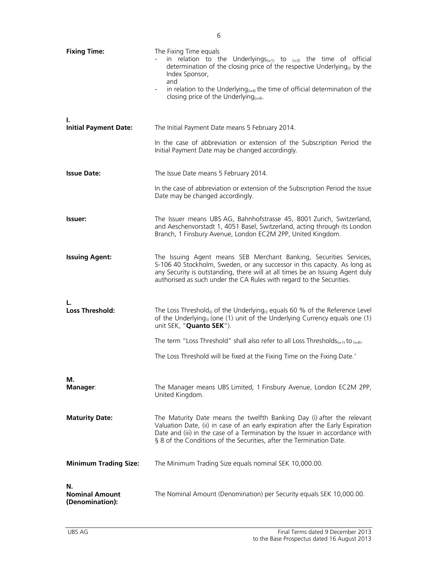| <b>Fixing Time:</b>                            | The Fixing Time equals<br>in relation to the Underlyings $(i=1)$ to $(i=3)$ the time of official<br>determination of the closing price of the respective Underlying <sub>(i)</sub> by the<br>Index Sponsor,<br>and<br>in relation to the Underlying $_{(i=4)}$ the time of official determination of the<br>closing price of the Underlying $_{(i=4)}$ . |
|------------------------------------------------|----------------------------------------------------------------------------------------------------------------------------------------------------------------------------------------------------------------------------------------------------------------------------------------------------------------------------------------------------------|
| Τ.<br><b>Initial Payment Date:</b>             | The Initial Payment Date means 5 February 2014.<br>In the case of abbreviation or extension of the Subscription Period the                                                                                                                                                                                                                               |
|                                                | Initial Payment Date may be changed accordingly.                                                                                                                                                                                                                                                                                                         |
| <b>Issue Date:</b>                             | The Issue Date means 5 February 2014.                                                                                                                                                                                                                                                                                                                    |
|                                                | In the case of abbreviation or extension of the Subscription Period the Issue<br>Date may be changed accordingly.                                                                                                                                                                                                                                        |
| <b>Issuer:</b>                                 | The Issuer means UBS AG, Bahnhofstrasse 45, 8001 Zurich, Switzerland,<br>and Aeschenvorstadt 1, 4051 Basel, Switzerland, acting through its London<br>Branch, 1 Finsbury Avenue, London EC2M 2PP, United Kingdom.                                                                                                                                        |
| <b>Issuing Agent:</b>                          | The Issuing Agent means SEB Merchant Banking, Securities Services,<br>S-106 40 Stockholm, Sweden, or any successor in this capacity. As long as<br>any Security is outstanding, there will at all times be an Issuing Agent duly<br>authorised as such under the CA Rules with regard to the Securities.                                                 |
| <b>Loss Threshold:</b>                         | The Loss Threshold <sub>(i)</sub> of the Underlying <sub>(i)</sub> equals 60 % of the Reference Level<br>of the Underlying <sub>(i)</sub> (one (1) unit of the Underlying Currency equals one (1)<br>unit SEK, "Quanto SEK").                                                                                                                            |
|                                                | The term "Loss Threshold" shall also refer to all Loss Thresholds <sub>(i=1)</sub> to $_{(i=4)}$ .                                                                                                                                                                                                                                                       |
|                                                | The Loss Threshold will be fixed at the Fixing Time on the Fixing Date.*                                                                                                                                                                                                                                                                                 |
| М.<br><b>Manager:</b>                          | The Manager means UBS Limited, 1 Finsbury Avenue, London EC2M 2PP,<br>United Kingdom.                                                                                                                                                                                                                                                                    |
| <b>Maturity Date:</b>                          | The Maturity Date means the twelfth Banking Day (i) after the relevant<br>Valuation Date, (ii) in case of an early expiration after the Early Expiration<br>Date and (iii) in the case of a Termination by the Issuer in accordance with<br>§ 8 of the Conditions of the Securities, after the Termination Date.                                         |
| <b>Minimum Trading Size:</b>                   | The Minimum Trading Size equals nominal SEK 10,000.00.                                                                                                                                                                                                                                                                                                   |
| N.<br><b>Nominal Amount</b><br>(Denomination): | The Nominal Amount (Denomination) per Security equals SEK 10,000.00.                                                                                                                                                                                                                                                                                     |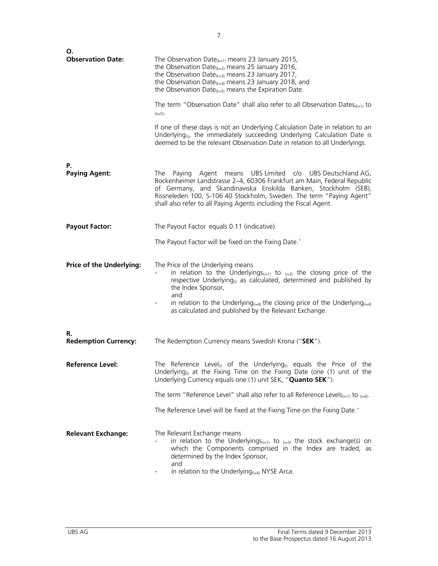| О.<br><b>Observation Date:</b>    | The Observation Date $(k=1)$ means 23 January 2015,<br>the Observation Date $(k=2)$ means 25 January 2016,<br>the Observation Date $(k=3)$ means 23 January 2017,<br>the Observation Date $_{(k=4)}$ means 23 January 2018, and<br>the Observation Date(k=5) means the Expiration Date.<br>The term "Observation Date" shall also refer to all Observation Dates $_{k=1}$ to                                                                           |
|-----------------------------------|--------------------------------------------------------------------------------------------------------------------------------------------------------------------------------------------------------------------------------------------------------------------------------------------------------------------------------------------------------------------------------------------------------------------------------------------------------|
|                                   | $(k=5)$ .                                                                                                                                                                                                                                                                                                                                                                                                                                              |
|                                   | If one of these days is not an Underlying Calculation Date in relation to an<br>Underlying <sub>(i)</sub> , the immediately succeeding Underlying Calculation Date is<br>deemed to be the relevant Observation Date in relation to all Underlyings.                                                                                                                                                                                                    |
| Р.<br><b>Paying Agent:</b>        | Agent means UBS Limited c/o UBS Deutschland AG,<br>Paying<br>The<br>Bockenheimer Landstrasse 2-4, 60306 Frankfurt am Main, Federal Republic<br>of Germany, and Skandinaviska Enskilda Banken, Stockholm (SEB),<br>Rissneleden 100, S-106 40 Stockholm, Sweden. The term "Paying Agent"<br>shall also refer to all Paying Agents including the Fiscal Agent.                                                                                            |
| <b>Payout Factor:</b>             | The Payout Factor equals 0.11 (indicative).                                                                                                                                                                                                                                                                                                                                                                                                            |
|                                   | The Payout Factor will be fixed on the Fixing Date.*                                                                                                                                                                                                                                                                                                                                                                                                   |
| <b>Price of the Underlying:</b>   | The Price of the Underlying means<br>in relation to the Underlyings <sub>(i=1)</sub> to $_{(i=3)}$ the closing price of the<br>respective Underlying <sub><math>0</math></sub> as calculated, determined and published by<br>the Index Sponsor,<br>and<br>in relation to the Underlying <sub><math>(i=4)</math></sub> the closing price of the Underlying $(i=4)$<br>$\overline{\phantom{a}}$<br>as calculated and published by the Relevant Exchange. |
| R.<br><b>Redemption Currency:</b> | The Redemption Currency means Swedish Krona ("SEK").                                                                                                                                                                                                                                                                                                                                                                                                   |
| <b>Reference Level:</b>           | The Reference Level <sub>(i)</sub> of the Underlying <sub>(i)</sub> equals the Price of the<br>Underlying <sub>(i)</sub> at the Fixing Time on the Fixing Date (one (1) unit of the<br>Underlying Currency equals one (1) unit SEK, "Quanto SEK").                                                                                                                                                                                                     |
|                                   | The term "Reference Level" shall also refer to all Reference Levels <sub>(i=1)</sub> to $_{(i=4)}$ .                                                                                                                                                                                                                                                                                                                                                   |
|                                   | The Reference Level will be fixed at the Fixing Time on the Fixing Date.*                                                                                                                                                                                                                                                                                                                                                                              |
| <b>Relevant Exchange:</b>         | The Relevant Exchange means<br>in relation to the Underlyings <sub>(i=1)</sub> to $_{(i=3)}$ the stock exchange(s) on<br>which the Components comprised in the Index are traded, as<br>determined by the Index Sponsor,<br>and<br>in relation to the Underlying $_{(i=4)}$ NYSE Arca.                                                                                                                                                                  |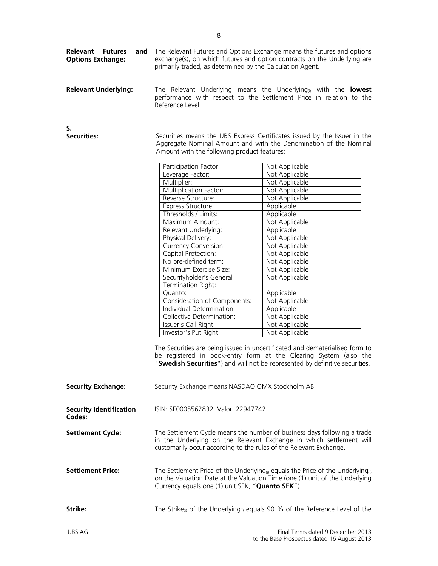| <b>Relevant Underlying:</b>              | Reference Level.                                                   | The Relevant Underlying means the Underlying <sub>(i)</sub> with the <b>lowest</b><br>performance with respect to the Settlement Price in relation to the                                                                        |
|------------------------------------------|--------------------------------------------------------------------|----------------------------------------------------------------------------------------------------------------------------------------------------------------------------------------------------------------------------------|
| S.<br><b>Securities:</b>                 | Amount with the following product features:                        | Securities means the UBS Express Certificates issued by the Issuer in the<br>Aggregate Nominal Amount and with the Denomination of the Nominal                                                                                   |
|                                          | Participation Factor:                                              | Not Applicable                                                                                                                                                                                                                   |
|                                          | Leverage Factor:                                                   | Not Applicable                                                                                                                                                                                                                   |
|                                          | Multiplier:                                                        | Not Applicable                                                                                                                                                                                                                   |
|                                          | Multiplication Factor:                                             | Not Applicable                                                                                                                                                                                                                   |
|                                          | Reverse Structure:                                                 | Not Applicable                                                                                                                                                                                                                   |
|                                          | Express Structure:                                                 | Applicable                                                                                                                                                                                                                       |
|                                          | Thresholds / Limits:                                               | Applicable                                                                                                                                                                                                                       |
|                                          | Maximum Amount:                                                    | Not Applicable                                                                                                                                                                                                                   |
|                                          | Relevant Underlying:                                               | Applicable                                                                                                                                                                                                                       |
|                                          | Physical Delivery:                                                 | Not Applicable                                                                                                                                                                                                                   |
|                                          | <b>Currency Conversion:</b>                                        | Not Applicable                                                                                                                                                                                                                   |
|                                          | Capital Protection:                                                | Not Applicable                                                                                                                                                                                                                   |
|                                          | No pre-defined term:                                               | Not Applicable                                                                                                                                                                                                                   |
|                                          | Minimum Exercise Size:                                             | Not Applicable                                                                                                                                                                                                                   |
|                                          | Securityholder's General<br>Termination Right:                     | Not Applicable                                                                                                                                                                                                                   |
|                                          | Quanto:                                                            | Applicable                                                                                                                                                                                                                       |
|                                          | Consideration of Components:                                       | Not Applicable                                                                                                                                                                                                                   |
|                                          | Individual Determination:                                          | Applicable                                                                                                                                                                                                                       |
|                                          | Collective Determination:                                          | Not Applicable                                                                                                                                                                                                                   |
|                                          | Issuer's Call Right                                                | Not Applicable                                                                                                                                                                                                                   |
|                                          | Investor's Put Right                                               | Not Applicable                                                                                                                                                                                                                   |
|                                          |                                                                    | The Securities are being issued in uncertificated and dematerialised form to<br>be registered in book-entry form at the Clearing System (also the<br>"Swedish Securities") and will not be represented by definitive securities. |
| <b>Security Exchange:</b>                | Security Exchange means NASDAQ OMX Stockholm AB.                   |                                                                                                                                                                                                                                  |
| <b>Security Identification</b><br>Codes: | ISIN: SE0005562832, Valor: 22947742                                |                                                                                                                                                                                                                                  |
| <b>Settlement Cycle:</b>                 | customarily occur according to the rules of the Relevant Exchange. | The Settlement Cycle means the number of business days following a trade<br>in the Underlying on the Relevant Exchange in which settlement will                                                                                  |
| <b>Settlement Price:</b>                 | Currency equals one (1) unit SEK, "Quanto SEK").                   | The Settlement Price of the Underlying <sub>(i)</sub> equals the Price of the Underlying <sub>(i)</sub><br>on the Valuation Date at the Valuation Time (one (1) unit of the Underlying                                           |
| Strike:                                  |                                                                    | The Strike <sub>(i)</sub> of the Underlying <sub>(i)</sub> equals 90 % of the Reference Level of the                                                                                                                             |

primarily traded, as determined by the Calculation Agent.

The Relevant Futures and Options Exchange means the futures and options exchange(s), on which futures and option contracts on the Underlying are

**Relevant Futures Options Exchange:**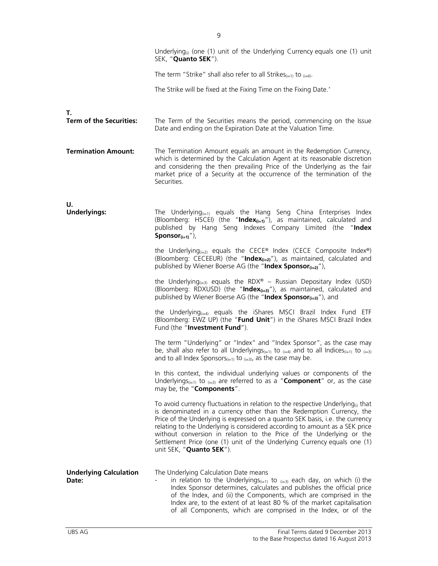|                                        | Underlying <sub>(i)</sub> (one (1) unit of the Underlying Currency equals one (1) unit<br>SEK, "Quanto SEK").                                                                                                                                                                                                                                                                                                                                                                                                       |
|----------------------------------------|---------------------------------------------------------------------------------------------------------------------------------------------------------------------------------------------------------------------------------------------------------------------------------------------------------------------------------------------------------------------------------------------------------------------------------------------------------------------------------------------------------------------|
|                                        | The term "Strike" shall also refer to all Strikes $_{(i=1)}$ to $_{(i=4)}$ .                                                                                                                                                                                                                                                                                                                                                                                                                                        |
|                                        | The Strike will be fixed at the Fixing Time on the Fixing Date.*                                                                                                                                                                                                                                                                                                                                                                                                                                                    |
| Т.<br><b>Term of the Securities:</b>   | The Term of the Securities means the period, commencing on the Issue<br>Date and ending on the Expiration Date at the Valuation Time.                                                                                                                                                                                                                                                                                                                                                                               |
| <b>Termination Amount:</b>             | The Termination Amount equals an amount in the Redemption Currency,<br>which is determined by the Calculation Agent at its reasonable discretion<br>and considering the then prevailing Price of the Underlying as the fair<br>market price of a Security at the occurrence of the termination of the<br>Securities.                                                                                                                                                                                                |
| U.<br><b>Underlyings:</b>              | The Underlying $_{(i=1)}$ equals the Hang Seng China Enterprises Index<br>(Bloomberg: HSCEI) (the "Index $_{(i=1)}$ "), as maintained, calculated and<br>published by Hang Seng Indexes Company Limited (the "Index<br>Sponsor $(i=1)$ "),                                                                                                                                                                                                                                                                          |
|                                        | the Underlying <sub><math>(i=2)</math></sub> equals the CECE® Index (CECE Composite Index®)<br>(Bloomberg: CECEEUR) (the "Index <sub>(i=2)</sub> "), as maintained, calculated and<br>published by Wiener Boerse AG (the "Index Sponsor $(i=2)$ "),                                                                                                                                                                                                                                                                 |
|                                        | the Underlying <sub><math>(i=3)</math></sub> equals the RDX <sup>®</sup> – Russian Depositary Index (USD)<br>(Bloomberg: RDXUSD) (the "Index $(i=3)$ "), as maintained, calculated and<br>published by Wiener Boerse AG (the "Index Sponsor $_{(i=3)}$ "), and                                                                                                                                                                                                                                                      |
|                                        | the Underlying $_{(i=4)}$ equals the iShares MSCI Brazil Index Fund ETF<br>(Bloomberg: EWZ UP) (the "Fund Unit") in the iShares MSCI Brazil Index<br>Fund (the "Investment Fund").                                                                                                                                                                                                                                                                                                                                  |
|                                        | The term "Underlying" or "Index" and "Index Sponsor", as the case may<br>be, shall also refer to all Underlyings <sub>(i=1)</sub> to $_{(i=4)}$ and to all Indices <sub>(i=1)</sub> to $_{(i=3)}$<br>and to all Index Sponsors $(i=1)$ to $(i=3)$ , as the case may be.                                                                                                                                                                                                                                             |
|                                        | In this context, the individual underlying values or components of the<br>Underlyings <sub>(i=1)</sub> to $_{(i=3)}$ are referred to as a "Component" or, as the case<br>may be, the "Components".                                                                                                                                                                                                                                                                                                                  |
|                                        | To avoid currency fluctuations in relation to the respective Underlying <sub>(i)</sub> that<br>is denominated in a currency other than the Redemption Currency, the<br>Price of the Underlying is expressed on a quanto SEK basis, i.e. the currency<br>relating to the Underlying is considered according to amount as a SEK price<br>without conversion in relation to the Price of the Underlying or the<br>Settlement Price (one (1) unit of the Underlying Currency equals one (1)<br>unit SEK, "Quanto SEK"). |
| <b>Underlying Calculation</b><br>Date: | The Underlying Calculation Date means<br>in relation to the Underlyings <sub>(i=1)</sub> to $_{(i=3)}$ each day, on which (i) the<br>Index Sponsor determines, calculates and publishes the official price<br>of the Index, and (ii) the Components, which are comprised in the<br>Index are, to the extent of at least 80 % of the market capitalisation<br>of all Components, which are comprised in the Index, or of the                                                                                         |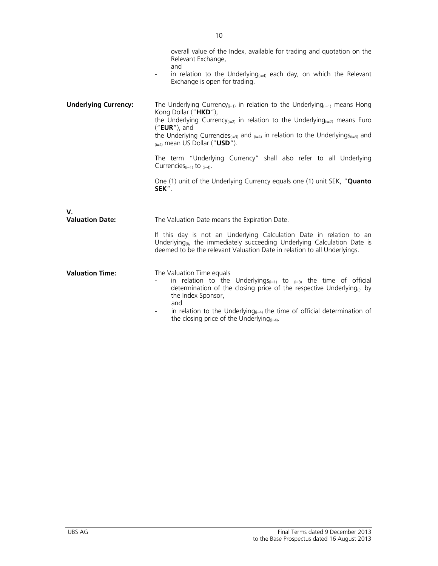|                             | overall value of the Index, available for trading and quotation on the<br>Relevant Exchange,<br>and<br>in relation to the Underlying $_{\left( i=4\right) }$ each day, on which the Relevant<br>Exchange is open for trading.                                                                                                                                                                                                                                             |
|-----------------------------|---------------------------------------------------------------------------------------------------------------------------------------------------------------------------------------------------------------------------------------------------------------------------------------------------------------------------------------------------------------------------------------------------------------------------------------------------------------------------|
| <b>Underlying Currency:</b> | The Underlying Currency <sub>(i=1)</sub> in relation to the Underlying <sub>(i=1)</sub> means Hong<br>Kong Dollar ("HKD"),<br>the Underlying Currency <sub>(i=2)</sub> in relation to the Underlying <sub>(i=2)</sub> means Euro<br>$("EUR")$ , and<br>the Underlying Currencies <sub>(i=3)</sub> and $_{(i=4)}$ in relation to the Underlyings( $_{i=3)}$ and<br>$_{(i=4)}$ mean US Dollar ("USD").<br>The term "Underlying Currency" shall also refer to all Underlying |
|                             | Currencies $(i=1)$ to $(i=4)$ .<br>One (1) unit of the Underlying Currency equals one (1) unit SEK, "Quanto<br>SEK".                                                                                                                                                                                                                                                                                                                                                      |
| V.                          |                                                                                                                                                                                                                                                                                                                                                                                                                                                                           |
| <b>Valuation Date:</b>      | The Valuation Date means the Expiration Date.                                                                                                                                                                                                                                                                                                                                                                                                                             |
|                             | If this day is not an Underlying Calculation Date in relation to an<br>Underlying <sub>(i)</sub> , the immediately succeeding Underlying Calculation Date is<br>deemed to be the relevant Valuation Date in relation to all Underlyings.                                                                                                                                                                                                                                  |
| <b>Valuation Time:</b>      | The Valuation Time equals<br>in relation to the Underlyings $(i=1)$ to $(i=3)$ the time of official<br>determination of the closing price of the respective Underlying <sub>(a)</sub> by<br>the Index Sponsor,<br>and<br>in relation to the Underlying $_{(i=4)}$ the time of official determination of<br>the closing price of the Underlying $_{(i=4)}$ .                                                                                                               |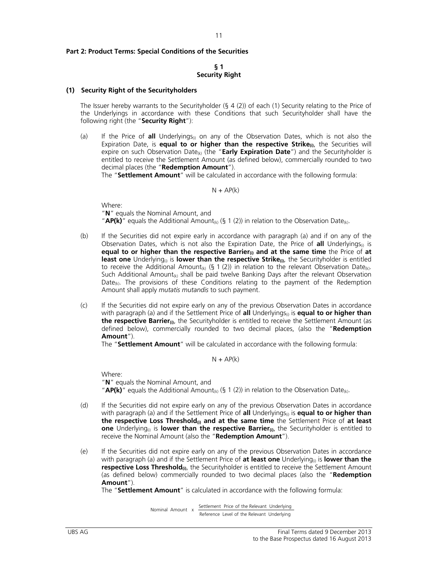## **Part 2: Product Terms: Special Conditions of the Securities**

## **§ 1 Security Right**

## **(1) Security Right of the Securityholders**

The Issuer hereby warrants to the Securityholder (§ 4 (2)) of each (1) Security relating to the Price of the Underlyings in accordance with these Conditions that such Securityholder shall have the following right (the "**Security Right**"):

(a) If the Price of **all** Underlyings<sub>(i)</sub> on any of the Observation Dates, which is not also the Expiration Date, is **equal to or higher than the respective Strike**<sup>(a)</sup>, the Securities will expire on such Observation Date<sub>(k)</sub> (the "Early Expiration Date") and the Securityholder is entitled to receive the Settlement Amount (as defined below), commercially rounded to two decimal places (the "**Redemption Amount**").

The "**Settlement Amount**" will be calculated in accordance with the following formula:

 $N + AP(k)$ 

 Where: "**N**" equals the Nominal Amount, and "**AP(k)**" equals the Additional Amount<sub>(k)</sub> (§ 1 (2)) in relation to the Observation Date<sub>(k)</sub>.

- (b) If the Securities did not expire early in accordance with paragraph (a) and if on any of the Observation Dates, which is not also the Expiration Date, the Price of **all** Underlyings<sub>(i)</sub> is **equal to or higher than the respective Barrier(i) and at the same time** the Price of **at**  least one Underlying<sub>(i)</sub> is lower than the respective Strike<sub>(i)</sub>, the Securityholder is entitled to receive the Additional Amount<sub>(k)</sub> (§ 1 (2)) in relation to the relevant Observation Date<sub>(k)</sub>. Such Additional Amount<sub>(k)</sub> shall be paid twelve Banking Days after the relevant Observation  $Date_{(k)}$ . The provisions of these Conditions relating to the payment of the Redemption Amount shall apply *mutatis mutandis* to such payment.
- (c) If the Securities did not expire early on any of the previous Observation Dates in accordance with paragraph (a) and if the Settlement Price of **all** Underlyings<sub>0</sub> is **equal to or higher than the respective Barrier**<sub>(i)</sub>, the Securityholder is entitled to receive the Settlement Amount (as defined below), commercially rounded to two decimal places, (also the "**Redemption Amount**").

The "**Settlement Amount**" will be calculated in accordance with the following formula:

 $N + AP(k)$ 

Where:

 "**N**" equals the Nominal Amount, and "**AP(k)**" equals the Additional Amount<sub>(k)</sub> (§ 1 (2)) in relation to the Observation Date<sub>(k)</sub>.

- (d) If the Securities did not expire early on any of the previous Observation Dates in accordance with paragraph (a) and if the Settlement Price of **all** Underlyings<sub>(i)</sub> is **equal to or higher than the respective Loss Threshold(i) and at the same time** the Settlement Price of **at least one** Underlying<sub>®</sub> is **lower than the respective Barrier**®, the Securityholder is entitled to receive the Nominal Amount (also the "**Redemption Amount**").
- (e) If the Securities did not expire early on any of the previous Observation Dates in accordance with paragraph (a) and if the Settlement Price of **at least one** Underlying<sub>(i)</sub> is **lower than the respective Loss Threshold**(i), the Securityholder is entitled to receive the Settlement Amount (as defined below) commercially rounded to two decimal places (also the "**Redemption Amount**").

The "**Settlement Amount**" is calculated in accordance with the following formula:

 Reference Level of the Relevant Underlying Settlement Price of the Relevant Underlying Nominal Amount x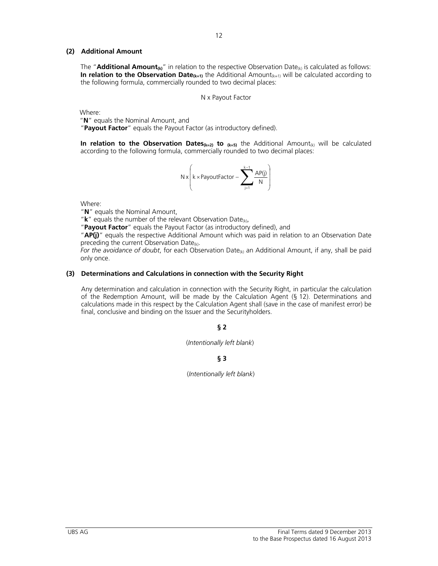## **(2) Additional Amount**

The "**Additional Amount<sub>(k)</sub>**" in relation to the respective Observation Date<sub>(k)</sub> is calculated as follows: **In relation to the Observation Date<sub>(k=1)</sub>** the Additional Amount<sub>(k=1)</sub> will be calculated according to the following formula, commercially rounded to two decimal places:

12

N x Payout Factor

Where:

"**N**" equals the Nominal Amount, and

"**Payout Factor**" equals the Payout Factor (as introductory defined).

**In relation to the Observation Dates**( $k=2$ ) to  $(k=5)$  the Additional Amount<sub>(k)</sub> will be calculated according to the following formula, commercially rounded to two decimal places:

$$
N\,x\!\left(k\,{\times}\,\text{PayoutFactor} - \sum_{j=1}^{k-1} \frac{AP(j)}{N}\right)
$$

Where:

"**N**" equals the Nominal Amount,

" $k$ " equals the number of the relevant Observation Date<sub>(k)</sub>,

"**Payout Factor**" equals the Payout Factor (as introductory defined), and

"**AP(j)**" equals the respective Additional Amount which was paid in relation to an Observation Date preceding the current Observation Date $(k)$ .

*For the avoidance of doubt*, for each Observation Date<sub>(k)</sub> an Additional Amount, if any, shall be paid only once.

## **(3) Determinations and Calculations in connection with the Security Right**

Any determination and calculation in connection with the Security Right, in particular the calculation of the Redemption Amount, will be made by the Calculation Agent (§ 12). Determinations and calculations made in this respect by the Calculation Agent shall (save in the case of manifest error) be final, conclusive and binding on the Issuer and the Securityholders.

## **§ 2**

(*Intentionally left blank*)

**§ 3** 

(*Intentionally left blank*)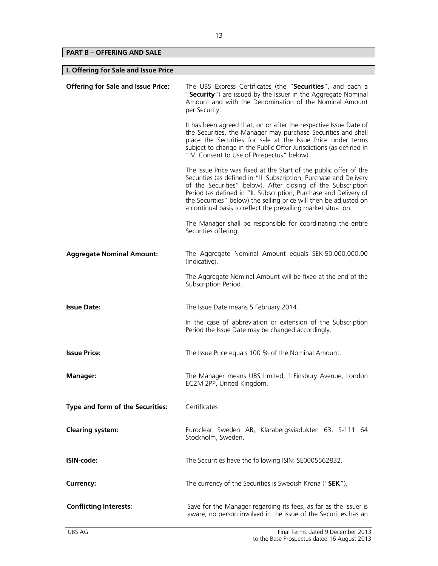## **PART B – OFFERING AND SALE**

| I. Offering for Sale and Issue Price      |                                                                                                                                                                                                                                                                                                                                                                                                                    |
|-------------------------------------------|--------------------------------------------------------------------------------------------------------------------------------------------------------------------------------------------------------------------------------------------------------------------------------------------------------------------------------------------------------------------------------------------------------------------|
| <b>Offering for Sale and Issue Price:</b> | The UBS Express Certificates (the "Securities", and each a<br>"Security") are issued by the Issuer in the Aggregate Nominal<br>Amount and with the Denomination of the Nominal Amount<br>per Security.                                                                                                                                                                                                             |
|                                           | It has been agreed that, on or after the respective Issue Date of<br>the Securities, the Manager may purchase Securities and shall<br>place the Securities for sale at the Issue Price under terms<br>subject to change in the Public Offer Jurisdictions (as defined in<br>"IV. Consent to Use of Prospectus" below).                                                                                             |
|                                           | The Issue Price was fixed at the Start of the public offer of the<br>Securities (as defined in "II. Subscription, Purchase and Delivery<br>of the Securities" below). After closing of the Subscription<br>Period (as defined in "II. Subscription, Purchase and Delivery of<br>the Securities" below) the selling price will then be adjusted on<br>a continual basis to reflect the prevailing market situation. |
|                                           | The Manager shall be responsible for coordinating the entire<br>Securities offering.                                                                                                                                                                                                                                                                                                                               |
| <b>Aggregate Nominal Amount:</b>          | The Aggregate Nominal Amount equals SEK 50,000,000.00<br>(indicative).                                                                                                                                                                                                                                                                                                                                             |
|                                           | The Aggregate Nominal Amount will be fixed at the end of the<br>Subscription Period.                                                                                                                                                                                                                                                                                                                               |
| <b>Issue Date:</b>                        | The Issue Date means 5 February 2014.                                                                                                                                                                                                                                                                                                                                                                              |
|                                           | In the case of abbreviation or extension of the Subscription<br>Period the Issue Date may be changed accordingly.                                                                                                                                                                                                                                                                                                  |
| <b>Issue Price:</b>                       | The Issue Price equals 100 % of the Nominal Amount.                                                                                                                                                                                                                                                                                                                                                                |
| <b>Manager:</b>                           | The Manager means UBS Limited, 1 Finsbury Avenue, London<br>EC2M 2PP, United Kingdom.                                                                                                                                                                                                                                                                                                                              |
| Type and form of the Securities:          | Certificates                                                                                                                                                                                                                                                                                                                                                                                                       |
| <b>Clearing system:</b>                   | Euroclear Sweden AB, Klarabergsviadukten 63, S-111 64<br>Stockholm, Sweden.                                                                                                                                                                                                                                                                                                                                        |
| ISIN-code:                                | The Securities have the following ISIN: SE0005562832.                                                                                                                                                                                                                                                                                                                                                              |
| Currency:                                 | The currency of the Securities is Swedish Krona ("SEK").                                                                                                                                                                                                                                                                                                                                                           |
| <b>Conflicting Interests:</b>             | Save for the Manager regarding its fees, as far as the Issuer is<br>aware, no person involved in the issue of the Securities has an                                                                                                                                                                                                                                                                                |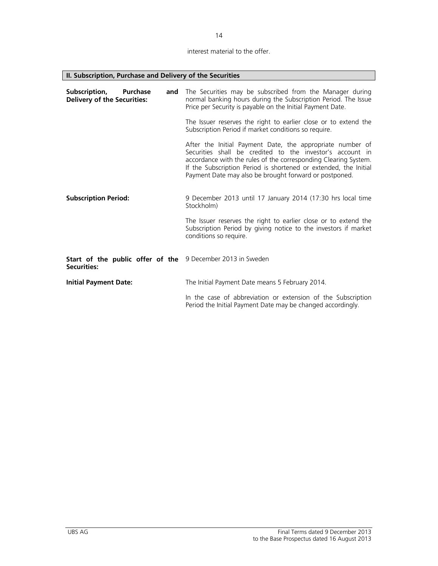14

## interest material to the offer.

| II. Subscription, Purchase and Delivery of the Securities                     |                                                                                                                                                                                                                                                                                                                         |  |
|-------------------------------------------------------------------------------|-------------------------------------------------------------------------------------------------------------------------------------------------------------------------------------------------------------------------------------------------------------------------------------------------------------------------|--|
| Subscription,<br><b>Purchase</b><br>and<br><b>Delivery of the Securities:</b> | The Securities may be subscribed from the Manager during<br>normal banking hours during the Subscription Period. The Issue<br>Price per Security is payable on the Initial Payment Date.                                                                                                                                |  |
|                                                                               | The Issuer reserves the right to earlier close or to extend the<br>Subscription Period if market conditions so require.                                                                                                                                                                                                 |  |
|                                                                               | After the Initial Payment Date, the appropriate number of<br>Securities shall be credited to the investor's account in<br>accordance with the rules of the corresponding Clearing System.<br>If the Subscription Period is shortened or extended, the Initial<br>Payment Date may also be brought forward or postponed. |  |
| <b>Subscription Period:</b>                                                   | 9 December 2013 until 17 January 2014 (17:30 hrs local time<br>Stockholm)                                                                                                                                                                                                                                               |  |
|                                                                               | The Issuer reserves the right to earlier close or to extend the<br>Subscription Period by giving notice to the investors if market<br>conditions so require.                                                                                                                                                            |  |
| Start of the public offer of the<br><b>Securities:</b>                        | 9 December 2013 in Sweden                                                                                                                                                                                                                                                                                               |  |
| <b>Initial Payment Date:</b>                                                  | The Initial Payment Date means 5 February 2014.                                                                                                                                                                                                                                                                         |  |
|                                                                               | In the case of abbreviation or extension of the Subscription<br>Period the Initial Payment Date may be changed accordingly.                                                                                                                                                                                             |  |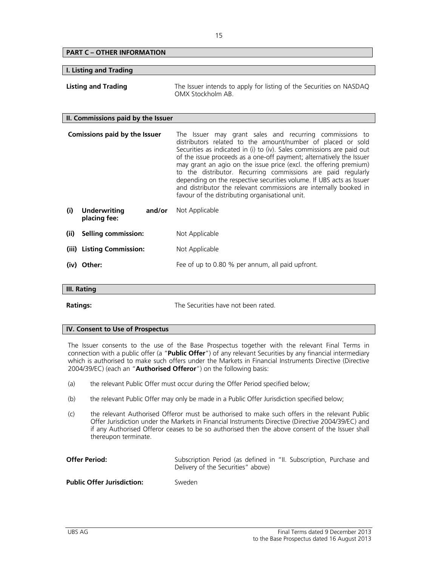| <b>PART C - OTHER INFORMATION</b>                    |                                                                                                                                                                                                                                                                                                                                                                                                                                                                                                                                                                                                               |
|------------------------------------------------------|---------------------------------------------------------------------------------------------------------------------------------------------------------------------------------------------------------------------------------------------------------------------------------------------------------------------------------------------------------------------------------------------------------------------------------------------------------------------------------------------------------------------------------------------------------------------------------------------------------------|
|                                                      |                                                                                                                                                                                                                                                                                                                                                                                                                                                                                                                                                                                                               |
| <b>I. Listing and Trading</b>                        |                                                                                                                                                                                                                                                                                                                                                                                                                                                                                                                                                                                                               |
| <b>Listing and Trading</b>                           | The Issuer intends to apply for listing of the Securities on NASDAQ<br>OMX Stockholm AB                                                                                                                                                                                                                                                                                                                                                                                                                                                                                                                       |
| II. Commissions paid by the Issuer                   |                                                                                                                                                                                                                                                                                                                                                                                                                                                                                                                                                                                                               |
| <b>Comissions paid by the Issuer</b>                 | The Issuer may grant sales and recurring commissions to<br>distributors related to the amount/number of placed or sold<br>Securities as indicated in (i) to (iv). Sales commissions are paid out<br>of the issue proceeds as a one-off payment; alternatively the Issuer<br>may grant an agio on the issue price (excl. the offering premium)<br>to the distributor. Recurring commissions are paid regularly<br>depending on the respective securities volume. If UBS acts as Issuer<br>and distributor the relevant commissions are internally booked in<br>favour of the distributing organisational unit. |
| <b>Underwriting</b><br>(i)<br>and/or<br>placing fee: | Not Applicable                                                                                                                                                                                                                                                                                                                                                                                                                                                                                                                                                                                                |
| (ii)<br><b>Selling commission:</b>                   | Not Applicable                                                                                                                                                                                                                                                                                                                                                                                                                                                                                                                                                                                                |
| (iii) Listing Commission:                            | Not Applicable                                                                                                                                                                                                                                                                                                                                                                                                                                                                                                                                                                                                |
| (iv) Other:                                          | Fee of up to 0.80 % per annum, all paid upfront.                                                                                                                                                                                                                                                                                                                                                                                                                                                                                                                                                              |
| <b>III. Rating</b>                                   |                                                                                                                                                                                                                                                                                                                                                                                                                                                                                                                                                                                                               |
|                                                      |                                                                                                                                                                                                                                                                                                                                                                                                                                                                                                                                                                                                               |

**Ratings:** The Securities have not been rated.

## **IV. Consent to Use of Prospectus**

The Issuer consents to the use of the Base Prospectus together with the relevant Final Terms in connection with a public offer (a "**Public Offer**") of any relevant Securities by any financial intermediary which is authorised to make such offers under the Markets in Financial Instruments Directive (Directive 2004/39/EC) (each an "**Authorised Offeror**") on the following basis:

- (a) the relevant Public Offer must occur during the Offer Period specified below;
- (b) the relevant Public Offer may only be made in a Public Offer Jurisdiction specified below;
- (c) the relevant Authorised Offeror must be authorised to make such offers in the relevant Public Offer Jurisdiction under the Markets in Financial Instruments Directive (Directive 2004/39/EC) and if any Authorised Offeror ceases to be so authorised then the above consent of the Issuer shall thereupon terminate.

| <b>Offer Period:</b>              | Subscription Period (as defined in "II. Subscription, Purchase and<br>Delivery of the Securities" above) |
|-----------------------------------|----------------------------------------------------------------------------------------------------------|
| <b>Public Offer Jurisdiction:</b> | Sweden                                                                                                   |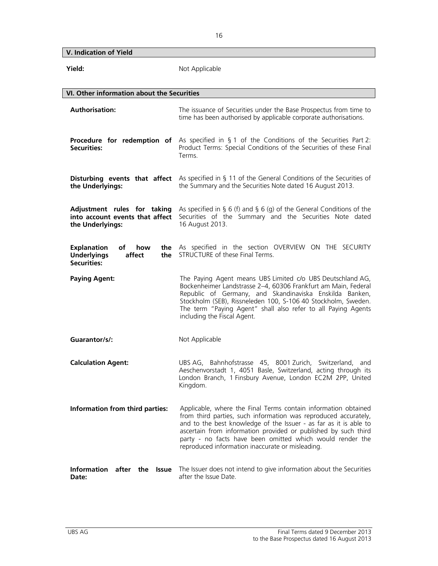**V. Indication of Yield** 

| Yield:                                                                                | Not Applicable                                                                                                                                                                                                                                                                                                                                                                            |
|---------------------------------------------------------------------------------------|-------------------------------------------------------------------------------------------------------------------------------------------------------------------------------------------------------------------------------------------------------------------------------------------------------------------------------------------------------------------------------------------|
| VI. Other information about the Securities                                            |                                                                                                                                                                                                                                                                                                                                                                                           |
| <b>Authorisation:</b>                                                                 | The issuance of Securities under the Base Prospectus from time to<br>time has been authorised by applicable corporate authorisations.                                                                                                                                                                                                                                                     |
| <b>Securities:</b>                                                                    | <b>Procedure for redemption of</b> As specified in § 1 of the Conditions of the Securities Part 2:<br>Product Terms: Special Conditions of the Securities of these Final<br>Terms.                                                                                                                                                                                                        |
| the Underlyings:                                                                      | <b>Disturbing events that affect</b> As specified in § 11 of the General Conditions of the Securities of<br>the Summary and the Securities Note dated 16 August 2013.                                                                                                                                                                                                                     |
| Adjustment rules for taking<br>into account events that affect<br>the Underlyings:    | As specified in § 6 (f) and § 6 (g) of the General Conditions of the<br>Securities of the Summary and the Securities Note dated<br>16 August 2013.                                                                                                                                                                                                                                        |
| <b>Explanation</b><br>of<br>how<br><b>Underlyings</b><br>affect<br>the<br>Securities: | the As specified in the section OVERVIEW ON THE SECURITY<br>STRUCTURE of these Final Terms.                                                                                                                                                                                                                                                                                               |
| <b>Paying Agent:</b>                                                                  | The Paying Agent means UBS Limited c/o UBS Deutschland AG,<br>Bockenheimer Landstrasse 2-4, 60306 Frankfurt am Main, Federal<br>Republic of Germany, and Skandinaviska Enskilda Banken,<br>Stockholm (SEB), Rissneleden 100, S-106 40 Stockholm, Sweden.<br>The term "Paying Agent" shall also refer to all Paying Agents<br>including the Fiscal Agent.                                  |
| Guarantor/s/:                                                                         | Not Applicable                                                                                                                                                                                                                                                                                                                                                                            |
| <b>Calculation Agent:</b>                                                             | UBS AG, Bahnhofstrasse 45, 8001 Zurich, Switzerland, and<br>Aeschenvorstadt 1, 4051 Basle, Switzerland, acting through its<br>London Branch, 1 Finsbury Avenue, London EC2M 2PP, United<br>Kingdom.                                                                                                                                                                                       |
| Information from third parties:                                                       | Applicable, where the Final Terms contain information obtained<br>from third parties, such information was reproduced accurately,<br>and to the best knowledge of the Issuer - as far as it is able to<br>ascertain from information provided or published by such third<br>party - no facts have been omitted which would render the<br>reproduced information inaccurate or misleading. |
| Information after the Issue<br>Date:                                                  | The Issuer does not intend to give information about the Securities<br>after the Issue Date.                                                                                                                                                                                                                                                                                              |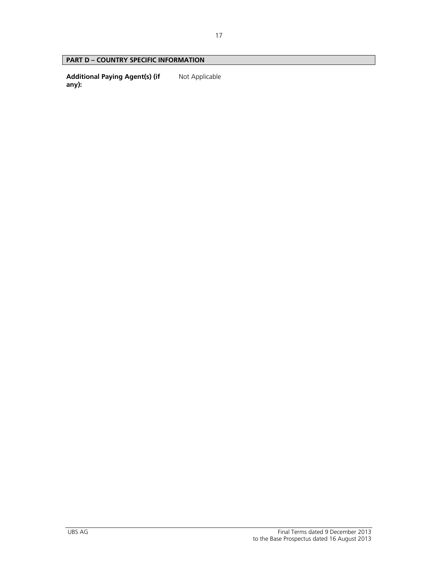## **PART D – COUNTRY SPECIFIC INFORMATION**

**Additional Paying Agent(s) (if any):**  Not Applicable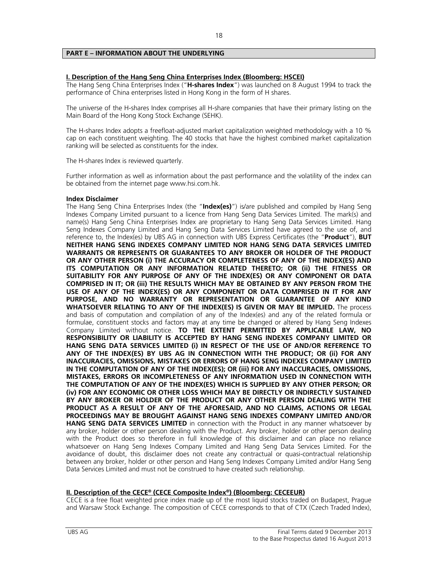## **PART E – INFORMATION ABOUT THE UNDERLYING**

## **I. Description of the Hang Seng China Enterprises Index (Bloomberg: HSCEI)**

The Hang Seng China Enterprises Index ("**H-shares Index**") was launched on 8 August 1994 to track the performance of China enterprises listed in Hong Kong in the form of H shares.

The universe of the H-shares Index comprises all H-share companies that have their primary listing on the Main Board of the Hong Kong Stock Exchange (SEHK).

The H-shares Index adopts a freefloat-adjusted market capitalization weighted methodology with a 10 % cap on each constituent weighting. The 40 stocks that have the highest combined market capitalization ranking will be selected as constituents for the index.

The H-shares Index is reviewed quarterly.

Further information as well as information about the past performance and the volatility of the index can be obtained from the internet page www.hsi.com.hk.

#### **Index Disclaimer**

The Hang Seng China Enterprises Index (the "**Index(es)**") is/are published and compiled by Hang Seng Indexes Company Limited pursuant to a licence from Hang Seng Data Services Limited. The mark(s) and name(s) Hang Seng China Enterprises Index are proprietary to Hang Seng Data Services Limited. Hang Seng Indexes Company Limited and Hang Seng Data Services Limited have agreed to the use of, and reference to, the Index(es) by UBS AG in connection with UBS Express Certificates (the "**Product**"), **BUT NEITHER HANG SENG INDEXES COMPANY LIMITED NOR HANG SENG DATA SERVICES LIMITED WARRANTS OR REPRESENTS OR GUARANTEES TO ANY BROKER OR HOLDER OF THE PRODUCT OR ANY OTHER PERSON (i) THE ACCURACY OR COMPLETENESS OF ANY OF THE INDEX(ES) AND ITS COMPUTATION OR ANY INFORMATION RELATED THERETO; OR (ii) THE FITNESS OR SUITABILITY FOR ANY PURPOSE OF ANY OF THE INDEX(ES) OR ANY COMPONENT OR DATA COMPRISED IN IT; OR (iii) THE RESULTS WHICH MAY BE OBTAINED BY ANY PERSON FROM THE USE OF ANY OF THE INDEX(ES) OR ANY COMPONENT OR DATA COMPRISED IN IT FOR ANY PURPOSE, AND NO WARRANTY OR REPRESENTATION OR GUARANTEE OF ANY KIND WHATSOEVER RELATING TO ANY OF THE INDEX(ES) IS GIVEN OR MAY BE IMPLIED.** The process and basis of computation and compilation of any of the Index(es) and any of the related formula or formulae, constituent stocks and factors may at any time be changed or altered by Hang Seng Indexes Company Limited without notice. **TO THE EXTENT PERMITTED BY APPLICABLE LAW, NO RESPONSIBILITY OR LIABILITY IS ACCEPTED BY HANG SENG INDEXES COMPANY LIMITED OR HANG SENG DATA SERVICES LIMITED (i) IN RESPECT OF THE USE OF AND/OR REFERENCE TO ANY OF THE INDEX(ES) BY UBS AG IN CONNECTION WITH THE PRODUCT; OR (ii) FOR ANY INACCURACIES, OMISSIONS, MISTAKES OR ERRORS OF HANG SENG INDEXES COMPANY LIMITED IN THE COMPUTATION OF ANY OF THE INDEX(ES); OR (iii) FOR ANY INACCURACIES, OMISSIONS, MISTAKES, ERRORS OR INCOMPLETENESS OF ANY INFORMATION USED IN CONNECTION WITH THE COMPUTATION OF ANY OF THE INDEX(ES) WHICH IS SUPPLIED BY ANY OTHER PERSON; OR (iv) FOR ANY ECONOMIC OR OTHER LOSS WHICH MAY BE DIRECTLY OR INDIRECTLY SUSTAINED BY ANY BROKER OR HOLDER OF THE PRODUCT OR ANY OTHER PERSON DEALING WITH THE PRODUCT AS A RESULT OF ANY OF THE AFORESAID, AND NO CLAIMS, ACTIONS OR LEGAL PROCEEDINGS MAY BE BROUGHT AGAINST HANG SENG INDEXES COMPANY LIMITED AND/OR HANG SENG DATA SERVICES LIMITED** in connection with the Product in any manner whatsoever by any broker, holder or other person dealing with the Product. Any broker, holder or other person dealing with the Product does so therefore in full knowledge of this disclaimer and can place no reliance whatsoever on Hang Seng Indexes Company Limited and Hang Seng Data Services Limited. For the avoidance of doubt, this disclaimer does not create any contractual or quasi-contractual relationship between any broker, holder or other person and Hang Seng Indexes Company Limited and/or Hang Seng Data Services Limited and must not be construed to have created such relationship.

## **II. Description of the CECE® (CECE Composite Index®) (Bloomberg: CECEEUR)**

CECE is a free float weighted price index made up of the most liquid stocks traded on Budapest, Prague and Warsaw Stock Exchange. The composition of CECE corresponds to that of CTX (Czech Traded Index),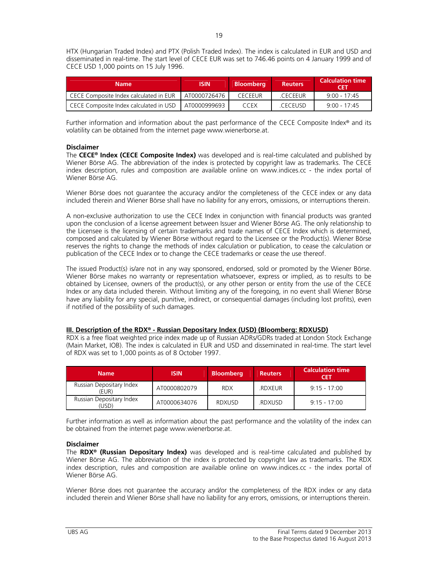HTX (Hungarian Traded Index) and PTX (Polish Traded Index). The index is calculated in EUR and USD and disseminated in real-time. The start level of CECE EUR was set to 746.46 points on 4 January 1999 and of CECE USD 1,000 points on 15 July 1996.

| <b>Name</b>                            | <b>ISIN</b>  | <b>Bloomberg</b> | <b>Reuters</b> | . Calculation time $^{\rm !}$<br>CFT |
|----------------------------------------|--------------|------------------|----------------|--------------------------------------|
| CECE Composite Index calculated in EUR | AT0000726476 | <b>CECEEUR</b>   | CECEEUR        | $9.00 - 17.45$                       |
| CECE Composite Index calculated in USD | AT0000999693 | CCEX             | <b>CECEUSD</b> | $9.00 - 17.45$                       |

Further information and information about the past performance of the CECE Composite Index® and its volatility can be obtained from the internet page www.wienerborse.at.

## **Disclaimer**

The **CECE® Index (CECE Composite Index)** was developed and is real-time calculated and published by Wiener Börse AG. The abbreviation of the index is protected by copyright law as trademarks. The CECE index description, rules and composition are available online on www.indices.cc - the index portal of Wiener Börse AG.

Wiener Börse does not guarantee the accuracy and/or the completeness of the CECE index or any data included therein and Wiener Börse shall have no liability for any errors, omissions, or interruptions therein.

A non-exclusive authorization to use the CECE Index in conjunction with financial products was granted upon the conclusion of a license agreement between Issuer and Wiener Börse AG. The only relationship to the Licensee is the licensing of certain trademarks and trade names of CECE Index which is determined, composed and calculated by Wiener Börse without regard to the Licensee or the Product(s). Wiener Börse reserves the rights to change the methods of index calculation or publication, to cease the calculation or publication of the CECE Index or to change the CECE trademarks or cease the use thereof.

The issued Product(s) is/are not in any way sponsored, endorsed, sold or promoted by the Wiener Börse. Wiener Börse makes no warranty or representation whatsoever, express or implied, as to results to be obtained by Licensee, owners of the product(s), or any other person or entity from the use of the CECE Index or any data included therein. Without limiting any of the foregoing, in no event shall Wiener Börse have any liability for any special, punitive, indirect, or consequential damages (including lost profits), even if notified of the possibility of such damages.

## **III. Description of the RDX® - Russian Depositary Index (USD) (Bloomberg: RDXUSD)**

RDX is a free float weighted price index made up of Russian ADRs/GDRs traded at London Stock Exchange (Main Market, IOB). The index is calculated in EUR and USD and disseminated in real-time. The start level of RDX was set to 1,000 points as of 8 October 1997.

| <b>Name</b>                                  | <b>ISIN</b>  | <b>Bloomberg</b> | <b>Reuters</b> | <b>Calculation time</b><br>CET |
|----------------------------------------------|--------------|------------------|----------------|--------------------------------|
| Russian Depositary Index<br>(EUR)            | AT0000802079 | <b>RDX</b>       | <b>RDXEUR</b>  | $9.15 - 17.00$                 |
| Russian Depositary Index<br>USD <sup>)</sup> | AT0000634076 | <b>RDXUSD</b>    | .RDXUSD        | $9.15 - 17.00$                 |

Further information as well as information about the past performance and the volatility of the index can be obtained from the internet page www.wienerborse.at.

## **Disclaimer**

The **RDX® (Russian Depositary Index)** was developed and is real-time calculated and published by Wiener Börse AG. The abbreviation of the index is protected by copyright law as trademarks. The RDX index description, rules and composition are available online on www.indices.cc - the index portal of Wiener Börse AG.

Wiener Börse does not guarantee the accuracy and/or the completeness of the RDX index or any data included therein and Wiener Börse shall have no liability for any errors, omissions, or interruptions therein.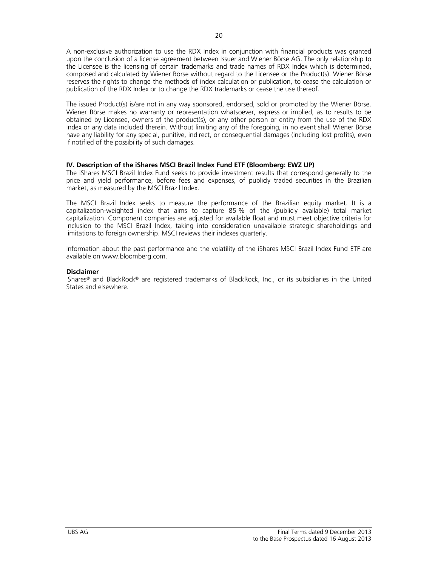A non-exclusive authorization to use the RDX Index in conjunction with financial products was granted upon the conclusion of a license agreement between Issuer and Wiener Börse AG. The only relationship to the Licensee is the licensing of certain trademarks and trade names of RDX Index which is determined, composed and calculated by Wiener Börse without regard to the Licensee or the Product(s). Wiener Börse reserves the rights to change the methods of index calculation or publication, to cease the calculation or publication of the RDX Index or to change the RDX trademarks or cease the use thereof.

The issued Product(s) is/are not in any way sponsored, endorsed, sold or promoted by the Wiener Börse. Wiener Börse makes no warranty or representation whatsoever, express or implied, as to results to be obtained by Licensee, owners of the product(s), or any other person or entity from the use of the RDX Index or any data included therein. Without limiting any of the foregoing, in no event shall Wiener Börse have any liability for any special, punitive, indirect, or consequential damages (including lost profits), even if notified of the possibility of such damages.

## **IV. Description of the iShares MSCI Brazil Index Fund ETF (Bloomberg: EWZ UP)**

The iShares MSCI Brazil Index Fund seeks to provide investment results that correspond generally to the price and yield performance, before fees and expenses, of publicly traded securities in the Brazilian market, as measured by the MSCI Brazil Index.

The MSCI Brazil Index seeks to measure the performance of the Brazilian equity market. It is a capitalization-weighted index that aims to capture 85 % of the (publicly available) total market capitalization. Component companies are adjusted for available float and must meet objective criteria for inclusion to the MSCI Brazil Index, taking into consideration unavailable strategic shareholdings and limitations to foreign ownership. MSCI reviews their indexes quarterly.

Information about the past performance and the volatility of the iShares MSCI Brazil Index Fund ETF are available on www.bloomberg.com.

## **Disclaimer**

iShares® and BlackRock® are registered trademarks of BlackRock, Inc., or its subsidiaries in the United States and elsewhere.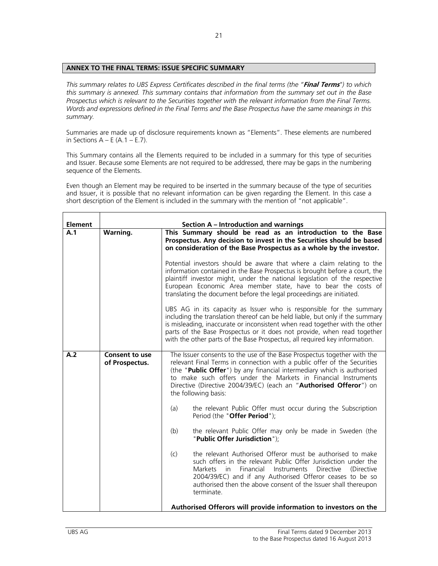## **ANNEX TO THE FINAL TERMS: ISSUE SPECIFIC SUMMARY**

*This summary relates to UBS Express Certificates described in the final terms (the "***Final Terms***") to which this summary is annexed. This summary contains that information from the summary set out in the Base Prospectus which is relevant to the Securities together with the relevant information from the Final Terms. Words and expressions defined in the Final Terms and the Base Prospectus have the same meanings in this summary.* 

Summaries are made up of disclosure requirements known as "Elements". These elements are numbered in Sections  $A - E(A.1 - E.7)$ .

This Summary contains all the Elements required to be included in a summary for this type of securities and Issuer. Because some Elements are not required to be addressed, there may be gaps in the numbering sequence of the Elements.

Even though an Element may be required to be inserted in the summary because of the type of securities and Issuer, it is possible that no relevant information can be given regarding the Element. In this case a short description of the Element is included in the summary with the mention of "not applicable".

| <b>Element</b> |                                         | Section A - Introduction and warnings                                                                                                                                                                                                                                                                                                                                                         |
|----------------|-----------------------------------------|-----------------------------------------------------------------------------------------------------------------------------------------------------------------------------------------------------------------------------------------------------------------------------------------------------------------------------------------------------------------------------------------------|
| A.1            | Warning.                                | This Summary should be read as an introduction to the Base<br>Prospectus. Any decision to invest in the Securities should be based<br>on consideration of the Base Prospectus as a whole by the investor.                                                                                                                                                                                     |
|                |                                         | Potential investors should be aware that where a claim relating to the<br>information contained in the Base Prospectus is brought before a court, the<br>plaintiff investor might, under the national legislation of the respective<br>European Economic Area member state, have to bear the costs of<br>translating the document before the legal proceedings are initiated.                 |
|                |                                         | UBS AG in its capacity as Issuer who is responsible for the summary<br>including the translation thereof can be held liable, but only if the summary<br>is misleading, inaccurate or inconsistent when read together with the other<br>parts of the Base Prospectus or it does not provide, when read together<br>with the other parts of the Base Prospectus, all required key information.  |
| A.2            | <b>Consent to use</b><br>of Prospectus. | The Issuer consents to the use of the Base Prospectus together with the<br>relevant Final Terms in connection with a public offer of the Securities<br>(the "Public Offer") by any financial intermediary which is authorised<br>to make such offers under the Markets in Financial Instruments<br>Directive (Directive 2004/39/EC) (each an "Authorised Offeror") on<br>the following basis: |
|                |                                         | the relevant Public Offer must occur during the Subscription<br>(a)<br>Period (the "Offer Period");                                                                                                                                                                                                                                                                                           |
|                |                                         | (b)<br>the relevant Public Offer may only be made in Sweden (the<br>"Public Offer Jurisdiction");                                                                                                                                                                                                                                                                                             |
|                |                                         | the relevant Authorised Offeror must be authorised to make<br>(c)<br>such offers in the relevant Public Offer Jurisdiction under the<br>Financial<br>Directive<br>Markets<br>Instruments<br>(Directive<br>in.<br>2004/39/EC) and if any Authorised Offeror ceases to be so<br>authorised then the above consent of the Issuer shall thereupon<br>terminate.                                   |
|                |                                         | Authorised Offerors will provide information to investors on the                                                                                                                                                                                                                                                                                                                              |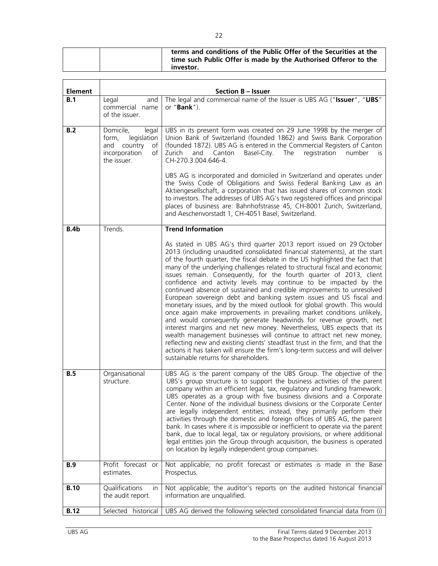|  | terms and conditions of the Public Offer of the Securities at the |
|--|-------------------------------------------------------------------|
|  | time such Public Offer is made by the Authorised Offeror to the   |
|  | investor.                                                         |

| <b>Element</b> |                                                                                                       | <b>Section B - Issuer</b>                                                                                                                                                                                                                                                                                                                                                                                                                                                                                                                                                                                                                                                                                                                                                                                                                                                                                                                                                                                                                                                                                                                                                                               |
|----------------|-------------------------------------------------------------------------------------------------------|---------------------------------------------------------------------------------------------------------------------------------------------------------------------------------------------------------------------------------------------------------------------------------------------------------------------------------------------------------------------------------------------------------------------------------------------------------------------------------------------------------------------------------------------------------------------------------------------------------------------------------------------------------------------------------------------------------------------------------------------------------------------------------------------------------------------------------------------------------------------------------------------------------------------------------------------------------------------------------------------------------------------------------------------------------------------------------------------------------------------------------------------------------------------------------------------------------|
| B.1            | Legal<br>and<br>commercial name<br>of the issuer.                                                     | The legal and commercial name of the Issuer is UBS AG ("Issuer", "UBS"<br>or " <b>Bank</b> ").                                                                                                                                                                                                                                                                                                                                                                                                                                                                                                                                                                                                                                                                                                                                                                                                                                                                                                                                                                                                                                                                                                          |
| B.2            | Domicile,<br>legal<br>form,<br>legislation<br>and country<br>of<br>incorporation<br>of<br>the issuer. | UBS in its present form was created on 29 June 1998 by the merger of<br>Union Bank of Switzerland (founded 1862) and Swiss Bank Corporation<br>(founded 1872). UBS AG is entered in the Commercial Registers of Canton<br>Zurich<br>and Canton<br>Basel-City. The<br>registration<br>number<br>is.<br>CH-270.3.004.646-4.<br>UBS AG is incorporated and domiciled in Switzerland and operates under<br>the Swiss Code of Obligations and Swiss Federal Banking Law as an<br>Aktiengesellschaft, a corporation that has issued shares of common stock<br>to investors. The addresses of UBS AG's two registered offices and principal<br>places of business are: Bahnhofstrasse 45, CH-8001 Zurich, Switzerland,<br>and Aeschenvorstadt 1, CH-4051 Basel, Switzerland.                                                                                                                                                                                                                                                                                                                                                                                                                                   |
| B.4b           | Trends.                                                                                               | <b>Trend Information</b>                                                                                                                                                                                                                                                                                                                                                                                                                                                                                                                                                                                                                                                                                                                                                                                                                                                                                                                                                                                                                                                                                                                                                                                |
|                |                                                                                                       | As stated in UBS AG's third quarter 2013 report issued on 29 October<br>2013 (including unaudited consolidated financial statements), at the start<br>of the fourth quarter, the fiscal debate in the US highlighted the fact that<br>many of the underlying challenges related to structural fiscal and economic<br>issues remain. Consequently, for the fourth quarter of 2013, client<br>confidence and activity levels may continue to be impacted by the<br>continued absence of sustained and credible improvements to unresolved<br>European sovereign debt and banking system issues and US fiscal and<br>monetary issues, and by the mixed outlook for global growth. This would<br>once again make improvements in prevailing market conditions unlikely,<br>and would consequently generate headwinds for revenue growth, net<br>interest margins and net new money. Nevertheless, UBS expects that its<br>wealth management businesses will continue to attract net new money,<br>reflecting new and existing clients' steadfast trust in the firm, and that the<br>actions it has taken will ensure the firm's long-term success and will deliver<br>sustainable returns for shareholders. |
| B.5            | Organisational<br>structure.                                                                          | UBS AG is the parent company of the UBS Group. The objective of the<br>UBS's group structure is to support the business activities of the parent<br>company within an efficient legal, tax, regulatory and funding framework.<br>UBS operates as a group with five business divisions and a Corporate<br>Center. None of the individual business divisions or the Corporate Center<br>are legally independent entities; instead, they primarily perform their<br>activities through the domestic and foreign offices of UBS AG, the parent<br>bank. In cases where it is impossible or inefficient to operate via the parent<br>bank, due to local legal, tax or regulatory provisions, or where additional<br>legal entities join the Group through acquisition, the business is operated<br>on location by legally independent group companies.                                                                                                                                                                                                                                                                                                                                                       |
| <b>B.9</b>     | Profit forecast or<br>estimates.                                                                      | Not applicable; no profit forecast or estimates is made in the Base<br>Prospectus.                                                                                                                                                                                                                                                                                                                                                                                                                                                                                                                                                                                                                                                                                                                                                                                                                                                                                                                                                                                                                                                                                                                      |
| <b>B.10</b>    | Qualifications<br>in.<br>the audit report.                                                            | Not applicable; the auditor's reports on the audited historical financial<br>information are unqualified.                                                                                                                                                                                                                                                                                                                                                                                                                                                                                                                                                                                                                                                                                                                                                                                                                                                                                                                                                                                                                                                                                               |
| <b>B.12</b>    | Selected<br>historical                                                                                | UBS AG derived the following selected consolidated financial data from (i)                                                                                                                                                                                                                                                                                                                                                                                                                                                                                                                                                                                                                                                                                                                                                                                                                                                                                                                                                                                                                                                                                                                              |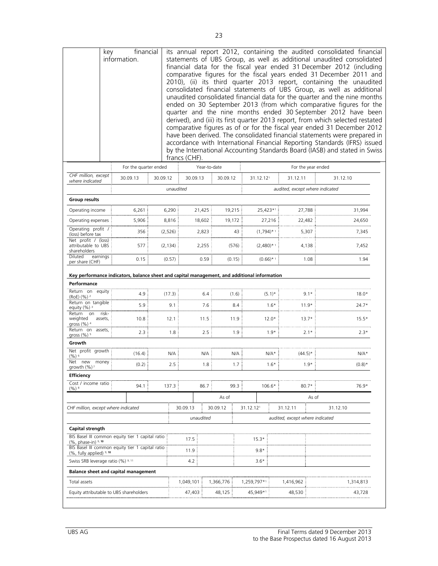|                                                                                                                            | financial<br>key<br>information. |                                                                                                      |          | francs (CHF).         |             |                    |           |                      |                   |                                |                                 |       | its annual report 2012, containing the audited consolidated financial<br>statements of UBS Group, as well as additional unaudited consolidated<br>financial data for the fiscal year ended 31 December 2012 (including<br>comparative figures for the fiscal years ended 31 December 2011 and<br>2010), (ii) its third quarter 2013 report, containing the unaudited<br>consolidated financial statements of UBS Group, as well as additional<br>unaudited consolidated financial data for the quarter and the nine months<br>ended on 30 September 2013 (from which comparative figures for the<br>quarter and the nine months ended 30 September 2012 have been<br>derived), and (iii) its first quarter 2013 report, from which selected restated<br>comparative figures as of or for the fiscal year ended 31 December 2012<br>have been derived. The consolidated financial statements were prepared in<br>accordance with International Financial Reporting Standards (IFRS) issued<br>by the International Accounting Standards Board (IASB) and stated in Swiss |
|----------------------------------------------------------------------------------------------------------------------------|----------------------------------|------------------------------------------------------------------------------------------------------|----------|-----------------------|-------------|--------------------|-----------|----------------------|-------------------|--------------------------------|---------------------------------|-------|-------------------------------------------------------------------------------------------------------------------------------------------------------------------------------------------------------------------------------------------------------------------------------------------------------------------------------------------------------------------------------------------------------------------------------------------------------------------------------------------------------------------------------------------------------------------------------------------------------------------------------------------------------------------------------------------------------------------------------------------------------------------------------------------------------------------------------------------------------------------------------------------------------------------------------------------------------------------------------------------------------------------------------------------------------------------------|
|                                                                                                                            |                                  | For the quarter ended                                                                                |          |                       |             | Year-to-date       |           |                      |                   |                                | For the year ended              |       |                                                                                                                                                                                                                                                                                                                                                                                                                                                                                                                                                                                                                                                                                                                                                                                                                                                                                                                                                                                                                                                                         |
| CHF million, except<br>where indicated                                                                                     |                                  | 30.09.13                                                                                             | 30.09.12 |                       | 30.09.13    |                    | 30.09.12  |                      | 31.12.121         |                                | 31.12.11                        |       | 31.12.10                                                                                                                                                                                                                                                                                                                                                                                                                                                                                                                                                                                                                                                                                                                                                                                                                                                                                                                                                                                                                                                                |
|                                                                                                                            |                                  |                                                                                                      |          | unaudited             |             |                    |           |                      |                   |                                | audited, except where indicated |       |                                                                                                                                                                                                                                                                                                                                                                                                                                                                                                                                                                                                                                                                                                                                                                                                                                                                                                                                                                                                                                                                         |
| <b>Group results</b>                                                                                                       |                                  |                                                                                                      |          |                       |             |                    |           |                      |                   |                                |                                 |       |                                                                                                                                                                                                                                                                                                                                                                                                                                                                                                                                                                                                                                                                                                                                                                                                                                                                                                                                                                                                                                                                         |
| Operating income                                                                                                           |                                  | 6,261                                                                                                |          | 6,290                 |             | 21,425             | 19,215    |                      | 25,423*1          |                                | 27,788                          |       | 31,994                                                                                                                                                                                                                                                                                                                                                                                                                                                                                                                                                                                                                                                                                                                                                                                                                                                                                                                                                                                                                                                                  |
| Operating expenses                                                                                                         |                                  | 5,906                                                                                                |          | 8,816                 |             | 18,602             | 19,172    |                      |                   | 27,216                         | 22,482                          |       | 24,650                                                                                                                                                                                                                                                                                                                                                                                                                                                                                                                                                                                                                                                                                                                                                                                                                                                                                                                                                                                                                                                                  |
| Operating profit /<br>(loss) before tax                                                                                    |                                  | 356                                                                                                  |          | (2,526)               |             | 2,823              |           | 43                   | $(1,794)$ * 1     |                                | 5,307                           |       | 7,345                                                                                                                                                                                                                                                                                                                                                                                                                                                                                                                                                                                                                                                                                                                                                                                                                                                                                                                                                                                                                                                                   |
| Net profit / (loss)<br>attributable to UBS<br>shareholders                                                                 |                                  | 577                                                                                                  |          | (2, 134)              |             | 2,255              |           | (576)                | $(2,480)$ * 1     |                                | 4,138                           |       | 7,452                                                                                                                                                                                                                                                                                                                                                                                                                                                                                                                                                                                                                                                                                                                                                                                                                                                                                                                                                                                                                                                                   |
| <b>Diluted</b><br>earnings                                                                                                 |                                  | 0.15                                                                                                 |          | (0.57)                |             | 0.59               |           | (0.15)               |                   | $(0.66)$ * 1                   | 1.08                            |       | 1.94                                                                                                                                                                                                                                                                                                                                                                                                                                                                                                                                                                                                                                                                                                                                                                                                                                                                                                                                                                                                                                                                    |
| per share (CHF)<br>Performance                                                                                             |                                  | Key performance indicators, balance sheet and capital management, and additional information         |          |                       |             |                    |           |                      |                   |                                |                                 |       |                                                                                                                                                                                                                                                                                                                                                                                                                                                                                                                                                                                                                                                                                                                                                                                                                                                                                                                                                                                                                                                                         |
| Return on equity<br>(RoE) (%) <sup>2</sup><br>Return on tangible<br>equity $(\%)$ <sup>3</sup><br>Return<br>on<br>weighted | risk-<br>assets,                 | 4.9<br>5.9<br>10.8                                                                                   |          | (17.3)<br>9.1<br>12.1 |             | 6.4<br>7.6<br>11.5 |           | (1.6)<br>8.4<br>11.9 |                   | $(5.1)$ *<br>$1.6*$<br>$12.0*$ | $9.1*$<br>$11.9*$<br>$13.7*$    |       | $18.0*$<br>$24.7*$<br>$15.5*$                                                                                                                                                                                                                                                                                                                                                                                                                                                                                                                                                                                                                                                                                                                                                                                                                                                                                                                                                                                                                                           |
| gross (%) 4<br>Return on assets,                                                                                           |                                  | 2.3                                                                                                  |          | 1.8                   |             | 2.5                |           | 1.9                  |                   | $1.9*$                         | $2.1*$                          |       | $2.3*$                                                                                                                                                                                                                                                                                                                                                                                                                                                                                                                                                                                                                                                                                                                                                                                                                                                                                                                                                                                                                                                                  |
| gross (%) <sup>5</sup><br>Growth                                                                                           |                                  |                                                                                                      |          |                       |             |                    |           |                      |                   |                                |                                 |       |                                                                                                                                                                                                                                                                                                                                                                                                                                                                                                                                                                                                                                                                                                                                                                                                                                                                                                                                                                                                                                                                         |
| Net profit growth                                                                                                          |                                  | (16.4)                                                                                               |          | N/A                   |             | N/A                |           | N/A                  |                   | $N/A*$                         | $(44.5)^*$                      |       | $N/A*$                                                                                                                                                                                                                                                                                                                                                                                                                                                                                                                                                                                                                                                                                                                                                                                                                                                                                                                                                                                                                                                                  |
| $(%)^6$<br>Net new money                                                                                                   |                                  | (0.2)                                                                                                |          | $2.5\,$               |             | 1.8                |           | 1.7                  |                   | $1.6*$                         | $1.9*$                          |       | $(0.8)^*$                                                                                                                                                                                                                                                                                                                                                                                                                                                                                                                                                                                                                                                                                                                                                                                                                                                                                                                                                                                                                                                               |
| growth (%)<br><b>Efficiency</b>                                                                                            |                                  |                                                                                                      |          |                       |             |                    |           |                      |                   |                                |                                 |       |                                                                                                                                                                                                                                                                                                                                                                                                                                                                                                                                                                                                                                                                                                                                                                                                                                                                                                                                                                                                                                                                         |
| Cost / income ratio                                                                                                        |                                  | 94.1                                                                                                 |          | 137.3                 |             | 86.7               |           | 99.3                 |                   | 106.6*                         | $80.7*$                         |       | 76.9*                                                                                                                                                                                                                                                                                                                                                                                                                                                                                                                                                                                                                                                                                                                                                                                                                                                                                                                                                                                                                                                                   |
| $(\%)^8$                                                                                                                   |                                  |                                                                                                      |          |                       |             |                    | As of     |                      |                   |                                |                                 | As of |                                                                                                                                                                                                                                                                                                                                                                                                                                                                                                                                                                                                                                                                                                                                                                                                                                                                                                                                                                                                                                                                         |
| CHF million, except where indicated                                                                                        |                                  |                                                                                                      |          |                       | 30.09.13    |                    | 30.09.12  |                      | 31.12.121         |                                | 31.12.11                        |       | 31.12.10                                                                                                                                                                                                                                                                                                                                                                                                                                                                                                                                                                                                                                                                                                                                                                                                                                                                                                                                                                                                                                                                |
|                                                                                                                            |                                  |                                                                                                      |          |                       |             | unaudited          |           |                      |                   |                                | audited, except where indicated |       |                                                                                                                                                                                                                                                                                                                                                                                                                                                                                                                                                                                                                                                                                                                                                                                                                                                                                                                                                                                                                                                                         |
| Capital strength                                                                                                           |                                  |                                                                                                      |          |                       |             |                    |           |                      |                   |                                |                                 |       |                                                                                                                                                                                                                                                                                                                                                                                                                                                                                                                                                                                                                                                                                                                                                                                                                                                                                                                                                                                                                                                                         |
| (%, phase-in) 9, 10                                                                                                        |                                  | BIS Basel III common equity tier 1 capital ratio<br>BIS Basel III common equity tier 1 capital ratio |          |                       | 17.5        |                    |           |                      | $15.3*$<br>$9.8*$ |                                |                                 |       |                                                                                                                                                                                                                                                                                                                                                                                                                                                                                                                                                                                                                                                                                                                                                                                                                                                                                                                                                                                                                                                                         |
| $(%$ , fully applied) $9, 10$                                                                                              |                                  |                                                                                                      |          |                       | 11.9<br>4.2 |                    |           |                      | $3.6*$            |                                |                                 |       |                                                                                                                                                                                                                                                                                                                                                                                                                                                                                                                                                                                                                                                                                                                                                                                                                                                                                                                                                                                                                                                                         |
| Swiss SRB leverage ratio (%) 9, 11                                                                                         |                                  | <b>Balance sheet and capital management</b>                                                          |          |                       |             |                    |           |                      |                   |                                |                                 |       |                                                                                                                                                                                                                                                                                                                                                                                                                                                                                                                                                                                                                                                                                                                                                                                                                                                                                                                                                                                                                                                                         |
| Total assets                                                                                                               |                                  |                                                                                                      |          |                       | 1,049,101   |                    | 1,366,776 |                      | 1,259,797*1       |                                | 1,416,962                       |       | 1,314,813                                                                                                                                                                                                                                                                                                                                                                                                                                                                                                                                                                                                                                                                                                                                                                                                                                                                                                                                                                                                                                                               |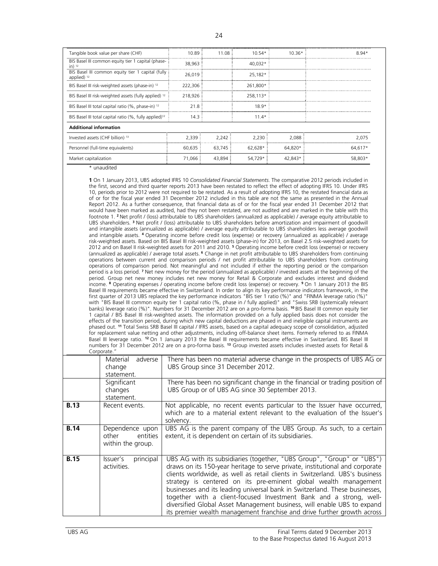| Tangible book value per share (CHF)                                         | 10.89   | 11.08  | $10.54*$ | $10.36*$ | $8.94*$ |
|-----------------------------------------------------------------------------|---------|--------|----------|----------|---------|
| BIS Basel III common equity tier 1 capital (phase-<br>$in)$ <sup>12</sup>   | 38,963  |        | 40.032*  |          |         |
| BIS Basel III common equity tier 1 capital (fully<br>applied) <sup>12</sup> | 26,019  |        | 25,182*  |          |         |
| BIS Basel III risk-weighted assets (phase-in) 12                            | 222,306 |        | 261.800* |          |         |
| BIS Basel III risk-weighted assets (fully applied) 12                       | 218,926 |        | 258,113* |          |         |
| BIS Basel III total capital ratio (%, phase-in) <sup>12</sup>               | 21.8    |        | $18.9*$  |          |         |
| BIS Basel III total capital ratio (%, fully applied) <sup>12</sup>          | 14.3    |        | $11.4*$  |          |         |
| <b>Additional information</b>                                               |         |        |          |          |         |
| Invested assets (CHF billion) <sup>13</sup>                                 | 2,339   | 2,242  | 2,230    | 2,088    | 2,075   |
| Personnel (full-time equivalents)                                           | 60,635  | 63.745 | 62.628*  | 64,820*  | 64,617* |
| Market capitalization                                                       | 71,066  | 43,894 | 54,729*  | 42,843*  | 58,803* |

\* unaudited

**1** On 1 January 2013, UBS adopted IFRS 10 *Consolidated Financial Statements*. The comparative 2012 periods included in the first, second and third quarter reports 2013 have been restated to reflect the effect of adopting IFRS 10. Under IFRS 10, periods prior to 2012 were not required to be restated. As a result of adopting IFRS 10, the restated financial data as of or for the fiscal year ended 31 December 2012 included in this table are not the same as presented in the Annual Report 2012. As a further consequence, that financial data as of or for the fiscal year ended 31 December 2012 that would have been marked as audited, had they not been restated, are not audited and are marked in the table with this footnote 1. **<sup>2</sup>**Net profit / (loss) attributable to UBS shareholders (annualized as applicable) / average equity attributable to UBS shareholders. **<sup>3</sup>** Net profit / (loss) attributable to UBS shareholders before amortization and impairment of goodwill and intangible assets (annualized as applicable) / average equity attributable to UBS shareholders less average goodwill and intangible assets. **<sup>4</sup>**Operating income before credit loss (expense) or recovery (annualized as applicable) / average risk-weighted assets. Based on BIS Basel III risk-weighted assets (phase-in) for 2013, on Basel 2.5 risk-weighted assets for 2012 and on Basel II risk-weighted assets for 2011 and 2010. **<sup>5</sup>** Operating income before credit loss (expense) or recovery (annualized as applicable) / average total assets. **<sup>6</sup>** Change in net profit attributable to UBS shareholders from continuing operations between current and comparison periods / net profit attributable to UBS shareholders from continuing operations of comparison period. Not meaningful and not included if either the reporting period or the comparison period is a loss period. **<sup>7</sup>** Net new money for the period (annualized as applicable) / invested assets at the beginning of the period. Group net new money includes net new money for Retail & Corporate and excludes interest and dividend income. **<sup>8</sup>** Operating expenses / operating income before credit loss (expense) or recovery. **<sup>9</sup>**On 1 January 2013 the BIS Basel III requirements became effective in Switzerland. In order to align its key performance indicators framework, in the first quarter of 2013 UBS replaced the key performance indicators "BIS tier 1 ratio (%)" and "FINMA leverage ratio (%)" with "BIS Basel III common equity tier 1 capital ratio (%, phase in / fully applied)" and "Swiss SRB (systemically relevant banks) leverage ratio (%)". Numbers for 31 December 2012 are on a pro-forma basis. **<sup>10</sup>**BIS Basel III common equity tier 1 capital / BIS Basel III risk-weighted assets. The information provided on a fully applied basis does not consider the effects of the transition period, during which new capital deductions are phased in and ineligible capital instruments are phased out. **<sup>11</sup>** Total Swiss SRB Basel III capital / IFRS assets, based on a capital adequacy scope of consolidation, adjusted for replacement value netting and other adjustments, including off-balance sheet items. Formerly referred to as FINMA Basel III leverage ratio. **<sup>12</sup>** On 1 January 2013 the Basel III requirements became effective in Switzerland. BIS Basel III numbers for 31 December 2012 are on a pro-forma basis. **<sup>13</sup>** Group invested assets includes invested assets for Retail & Corporate."

|             | adverse<br>Material<br>change<br>statement.               | There has been no material adverse change in the prospects of UBS AG or<br>UBS Group since 31 December 2012.                                                                                                                                                                                                                                                                                                                                                                                                                                                                                                         |
|-------------|-----------------------------------------------------------|----------------------------------------------------------------------------------------------------------------------------------------------------------------------------------------------------------------------------------------------------------------------------------------------------------------------------------------------------------------------------------------------------------------------------------------------------------------------------------------------------------------------------------------------------------------------------------------------------------------------|
|             | Significant<br>changes<br>statement.                      | There has been no significant change in the financial or trading position of<br>UBS Group or of UBS AG since 30 September 2013.                                                                                                                                                                                                                                                                                                                                                                                                                                                                                      |
| <b>B.13</b> | Recent events.                                            | Not applicable, no recent events particular to the Issuer have occurred,<br>which are to a material extent relevant to the evaluation of the Issuer's<br>solvency.                                                                                                                                                                                                                                                                                                                                                                                                                                                   |
| <b>B.14</b> | Dependence upon<br>entities<br>other<br>within the group. | UBS AG is the parent company of the UBS Group. As such, to a certain<br>extent, it is dependent on certain of its subsidiaries.                                                                                                                                                                                                                                                                                                                                                                                                                                                                                      |
| <b>B.15</b> | principal<br>Issuer's<br>activities.                      | UBS AG with its subsidiaries (together, "UBS Group", "Group" or "UBS")<br>draws on its 150-year heritage to serve private, institutional and corporate<br>clients worldwide, as well as retail clients in Switzerland. UBS's business<br>strategy is centered on its pre-eminent global wealth management<br>businesses and its leading universal bank in Switzerland. These businesses,<br>together with a client-focused Investment Bank and a strong, well-<br>diversified Global Asset Management business, will enable UBS to expand<br>its premier wealth management franchise and drive further growth across |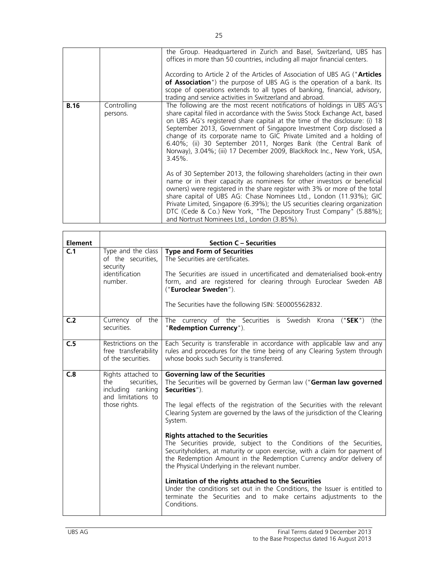|             |                         | the Group. Headquartered in Zurich and Basel, Switzerland, UBS has<br>offices in more than 50 countries, including all major financial centers.<br>According to Article 2 of the Articles of Association of UBS AG ("Articles<br>of Association") the purpose of UBS AG is the operation of a bank. Its<br>scope of operations extends to all types of banking, financial, advisory,<br>trading and service activities in Switzerland and abroad.                                                                                             |
|-------------|-------------------------|-----------------------------------------------------------------------------------------------------------------------------------------------------------------------------------------------------------------------------------------------------------------------------------------------------------------------------------------------------------------------------------------------------------------------------------------------------------------------------------------------------------------------------------------------|
| <b>B.16</b> | Controlling<br>persons. | The following are the most recent notifications of holdings in UBS AG's<br>share capital filed in accordance with the Swiss Stock Exchange Act, based<br>on UBS AG's registered share capital at the time of the disclosure: (i) 18<br>September 2013, Government of Singapore Investment Corp disclosed a<br>change of its corporate name to GIC Private Limited and a holding of<br>6.40%; (ii) 30 September 2011, Norges Bank (the Central Bank of<br>Norway), 3.04%; (iii) 17 December 2009, BlackRock Inc., New York, USA,<br>$3.45\%$ . |
|             |                         | As of 30 September 2013, the following shareholders (acting in their own<br>name or in their capacity as nominees for other investors or beneficial<br>owners) were registered in the share register with 3% or more of the total<br>share capital of UBS AG: Chase Nominees Ltd., London (11.93%); GIC<br>Private Limited, Singapore (6.39%); the US securities clearing organization<br>DTC (Cede & Co.) New York, "The Depository Trust Company" (5.88%);<br>and Nortrust Nominees Ltd., London (3.85%).                                   |

| <b>Element</b> |                                                                                                      | <b>Section C - Securities</b>                                                                                                                                                                                                                                                                                            |
|----------------|------------------------------------------------------------------------------------------------------|--------------------------------------------------------------------------------------------------------------------------------------------------------------------------------------------------------------------------------------------------------------------------------------------------------------------------|
| C.1            | Type and the class<br>of the securities,<br>security<br>identification<br>number.                    | <b>Type and Form of Securities</b><br>The Securities are certificates.<br>The Securities are issued in uncertificated and dematerialised book-entry<br>form, and are registered for clearing through Euroclear Sweden AB<br>("Euroclear Sweden").<br>The Securities have the following ISIN: SE0005562832.               |
| C <sub>2</sub> | Currency of the<br>securities.                                                                       | The currency of the Securities is Swedish Krona<br>("SEK")<br>the)<br>"Redemption Currency").                                                                                                                                                                                                                            |
| C.5            | Restrictions on the<br>free transferability<br>of the securities                                     | Each Security is transferable in accordance with applicable law and any<br>rules and procedures for the time being of any Clearing System through<br>whose books such Security is transferred.                                                                                                                           |
| C.8            | Rights attached to<br>securities,<br>the<br>including ranking<br>and limitations to<br>those rights. | <b>Governing law of the Securities</b><br>The Securities will be governed by German law ("German law governed<br>Securities").<br>The legal effects of the registration of the Securities with the relevant<br>Clearing System are governed by the laws of the jurisdiction of the Clearing<br>System.                   |
|                |                                                                                                      | <b>Rights attached to the Securities</b><br>The Securities provide, subject to the Conditions of the Securities,<br>Securityholders, at maturity or upon exercise, with a claim for payment of<br>the Redemption Amount in the Redemption Currency and/or delivery of<br>the Physical Underlying in the relevant number. |
|                |                                                                                                      | Limitation of the rights attached to the Securities<br>Under the conditions set out in the Conditions, the Issuer is entitled to<br>terminate the Securities and to make certains adjustments to the<br>Conditions.                                                                                                      |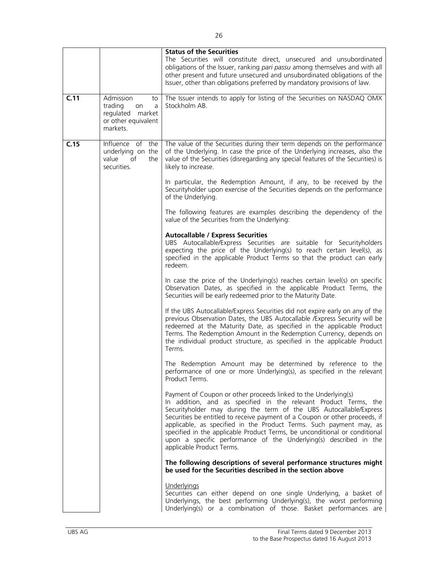|      |                                                                                              | <b>Status of the Securities</b><br>The Securities will constitute direct, unsecured and unsubordinated<br>obligations of the Issuer, ranking pari passu among themselves and with all<br>other present and future unsecured and unsubordinated obligations of the<br>Issuer, other than obligations preferred by mandatory provisions of law.                                                                                                                                                                                                   |
|------|----------------------------------------------------------------------------------------------|-------------------------------------------------------------------------------------------------------------------------------------------------------------------------------------------------------------------------------------------------------------------------------------------------------------------------------------------------------------------------------------------------------------------------------------------------------------------------------------------------------------------------------------------------|
| C.11 | Admission<br>to<br>trading<br>on<br>a<br>regulated market<br>or other equivalent<br>markets. | The Issuer intends to apply for listing of the Securities on NASDAQ OMX<br>Stockholm AB.                                                                                                                                                                                                                                                                                                                                                                                                                                                        |
| C.15 | Influence of the<br>underlying on the<br>of<br>value<br>the<br>securities.                   | The value of the Securities during their term depends on the performance<br>of the Underlying. In case the price of the Underlying increases, also the<br>value of the Securities (disregarding any special features of the Securities) is<br>likely to increase.                                                                                                                                                                                                                                                                               |
|      |                                                                                              | In particular, the Redemption Amount, if any, to be received by the<br>Securityholder upon exercise of the Securities depends on the performance<br>of the Underlying.                                                                                                                                                                                                                                                                                                                                                                          |
|      |                                                                                              | The following features are examples describing the dependency of the<br>value of the Securities from the Underlying:                                                                                                                                                                                                                                                                                                                                                                                                                            |
|      |                                                                                              | <b>Autocallable / Express Securities</b><br>UBS Autocallable/Express Securities are suitable for Securityholders<br>expecting the price of the Underlying(s) to reach certain level(s), as<br>specified in the applicable Product Terms so that the product can early<br>redeem.                                                                                                                                                                                                                                                                |
|      |                                                                                              | In case the price of the Underlying(s) reaches certain level(s) on specific<br>Observation Dates, as specified in the applicable Product Terms, the<br>Securities will be early redeemed prior to the Maturity Date.                                                                                                                                                                                                                                                                                                                            |
|      |                                                                                              | If the UBS Autocallable/Express Securities did not expire early on any of the<br>previous Observation Dates, the UBS Autocallable / Express Security will be<br>redeemed at the Maturity Date, as specified in the applicable Product<br>Terms. The Redemption Amount in the Redemption Currency, depends on<br>the individual product structure, as specified in the applicable Product<br>Terms.                                                                                                                                              |
|      |                                                                                              | The Redemption Amount may be determined by reference to the<br>performance of one or more Underlying(s), as specified in the relevant<br>Product Terms.                                                                                                                                                                                                                                                                                                                                                                                         |
|      |                                                                                              | Payment of Coupon or other proceeds linked to the Underlying(s)<br>In addition, and as specified in the relevant Product Terms, the<br>Securityholder may during the term of the UBS Autocallable/Express<br>Securities be entitled to receive payment of a Coupon or other proceeds, if<br>applicable, as specified in the Product Terms. Such payment may, as<br>specified in the applicable Product Terms, be unconditional or conditional<br>upon a specific performance of the Underlying(s) described in the<br>applicable Product Terms. |
|      |                                                                                              | The following descriptions of several performance structures might<br>be used for the Securities described in the section above                                                                                                                                                                                                                                                                                                                                                                                                                 |
|      |                                                                                              | Underlyings<br>Securities can either depend on one single Underlying, a basket of<br>Underlyings, the best performing Underlying(s), the worst performing<br>Underlying(s) or a combination of those. Basket performances are                                                                                                                                                                                                                                                                                                                   |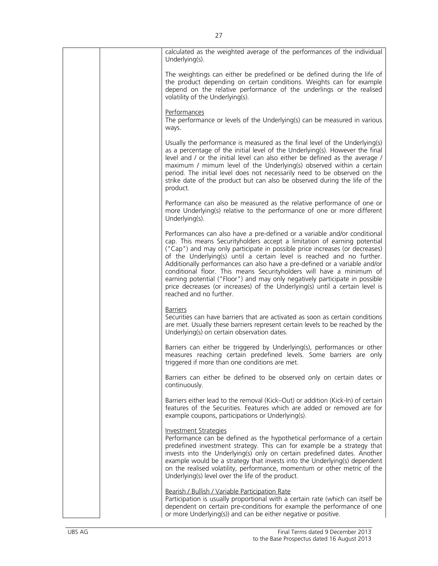| calculated as the weighted average of the performances of the individual<br>Underlying(s).                                                                                                                                                                                                                                                                                                                                                                                                                                                                                                                                                                    |
|---------------------------------------------------------------------------------------------------------------------------------------------------------------------------------------------------------------------------------------------------------------------------------------------------------------------------------------------------------------------------------------------------------------------------------------------------------------------------------------------------------------------------------------------------------------------------------------------------------------------------------------------------------------|
| The weightings can either be predefined or be defined during the life of<br>the product depending on certain conditions. Weights can for example<br>depend on the relative performance of the underlings or the realised<br>volatility of the Underlying(s).                                                                                                                                                                                                                                                                                                                                                                                                  |
| Performances<br>The performance or levels of the Underlying(s) can be measured in various<br>ways.                                                                                                                                                                                                                                                                                                                                                                                                                                                                                                                                                            |
| Usually the performance is measured as the final level of the Underlying(s)<br>as a percentage of the initial level of the Underlying(s). However the final<br>level and / or the initial level can also either be defined as the average /<br>maximum / mimum level of the Underlying(s) observed within a certain<br>period. The initial level does not necessarily need to be observed on the<br>strike date of the product but can also be observed during the life of the<br>product.                                                                                                                                                                    |
| Performance can also be measured as the relative performance of one or<br>more Underlying(s) relative to the performance of one or more different<br>Underlying(s).                                                                                                                                                                                                                                                                                                                                                                                                                                                                                           |
| Performances can also have a pre-defined or a variable and/or conditional<br>cap. This means Securityholders accept a limitation of earning potential<br>("Cap") and may only participate in possible price increases (or decreases)<br>of the Underlying(s) until a certain level is reached and no further.<br>Additionally performances can also have a pre-defined or a variable and/or<br>conditional floor. This means Securityholders will have a minimum of<br>earning potential ("Floor") and may only negatively participate in possible<br>price decreases (or increases) of the Underlying(s) until a certain level is<br>reached and no further. |
| <b>Barriers</b><br>Securities can have barriers that are activated as soon as certain conditions<br>are met. Usually these barriers represent certain levels to be reached by the<br>Underlying(s) on certain observation dates.                                                                                                                                                                                                                                                                                                                                                                                                                              |
| Barriers can either be triggered by Underlying(s), performances or other<br>measures reaching certain predefined levels. Some barriers are only<br>triggered if more than one conditions are met.                                                                                                                                                                                                                                                                                                                                                                                                                                                             |
| Barriers can either be defined to be observed only on certain dates or<br>continuously.                                                                                                                                                                                                                                                                                                                                                                                                                                                                                                                                                                       |
| Barriers either lead to the removal (Kick–Out) or addition (Kick-In) of certain<br>features of the Securities. Features which are added or removed are for<br>example coupons, participations or Underlying(s).                                                                                                                                                                                                                                                                                                                                                                                                                                               |
| <b>Investment Strategies</b><br>Performance can be defined as the hypothetical performance of a certain<br>predefined investment strategy. This can for example be a strategy that<br>invests into the Underlying(s) only on certain predefined dates. Another<br>example would be a strategy that invests into the Underlying(s) dependent<br>on the realised volatility, performance, momentum or other metric of the<br>Underlying(s) level over the life of the product.                                                                                                                                                                                  |
| Bearish / Bullish / Variable Participation Rate<br>Participation is usually proportional with a certain rate (which can itself be<br>dependent on certain pre-conditions for example the performance of one<br>or more Underlying(s)) and can be either negative or positive.                                                                                                                                                                                                                                                                                                                                                                                 |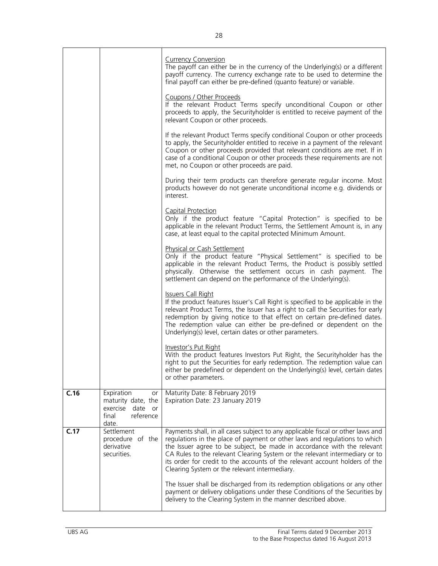|      |                                                                                                 | <b>Currency Conversion</b><br>The payoff can either be in the currency of the Underlying(s) or a different<br>payoff currency. The currency exchange rate to be used to determine the<br>final payoff can either be pre-defined (quanto feature) or variable.                                                                                                                                                                                           |
|------|-------------------------------------------------------------------------------------------------|---------------------------------------------------------------------------------------------------------------------------------------------------------------------------------------------------------------------------------------------------------------------------------------------------------------------------------------------------------------------------------------------------------------------------------------------------------|
|      |                                                                                                 | Coupons / Other Proceeds<br>If the relevant Product Terms specify unconditional Coupon or other<br>proceeds to apply, the Securityholder is entitled to receive payment of the<br>relevant Coupon or other proceeds.                                                                                                                                                                                                                                    |
|      |                                                                                                 | If the relevant Product Terms specify conditional Coupon or other proceeds<br>to apply, the Securityholder entitled to receive in a payment of the relevant<br>Coupon or other proceeds provided that relevant conditions are met. If in<br>case of a conditional Coupon or other proceeds these requirements are not<br>met, no Coupon or other proceeds are paid.                                                                                     |
|      |                                                                                                 | During their term products can therefore generate regular income. Most<br>products however do not generate unconditional income e.g. dividends or<br>interest.                                                                                                                                                                                                                                                                                          |
|      |                                                                                                 | Capital Protection<br>Only if the product feature "Capital Protection" is specified to be<br>applicable in the relevant Product Terms, the Settlement Amount is, in any<br>case, at least equal to the capital protected Minimum Amount.                                                                                                                                                                                                                |
|      |                                                                                                 | Physical or Cash Settlement<br>Only if the product feature "Physical Settlement" is specified to be<br>applicable in the relevant Product Terms, the Product is possibly settled<br>physically. Otherwise the settlement occurs in cash payment. The<br>settlement can depend on the performance of the Underlying(s).                                                                                                                                  |
|      |                                                                                                 | <b>Issuers Call Right</b><br>If the product features Issuer's Call Right is specified to be applicable in the<br>relevant Product Terms, the Issuer has a right to call the Securities for early<br>redemption by giving notice to that effect on certain pre-defined dates.<br>The redemption value can either be pre-defined or dependent on the<br>Underlying(s) level, certain dates or other parameters.                                           |
|      |                                                                                                 | Investor's Put Right<br>With the product features Investors Put Right, the Securityholder has the<br>right to put the Securities for early redemption. The redemption value can<br>either be predefined or dependent on the Underlying(s) level, certain dates<br>or other parameters.                                                                                                                                                                  |
| C.16 | Expiration<br>or<br>maturity date, the<br>exercise<br>date<br>or<br>reference<br>final<br>date. | Maturity Date: 8 February 2019<br>Expiration Date: 23 January 2019                                                                                                                                                                                                                                                                                                                                                                                      |
| C.17 | Settlement<br>procedure of the<br>derivative<br>securities.                                     | Payments shall, in all cases subject to any applicable fiscal or other laws and<br>regulations in the place of payment or other laws and regulations to which<br>the Issuer agree to be subject, be made in accordance with the relevant<br>CA Rules to the relevant Clearing System or the relevant intermediary or to<br>its order for credit to the accounts of the relevant account holders of the<br>Clearing System or the relevant intermediary. |
|      |                                                                                                 | The Issuer shall be discharged from its redemption obligations or any other<br>payment or delivery obligations under these Conditions of the Securities by<br>delivery to the Clearing System in the manner described above.                                                                                                                                                                                                                            |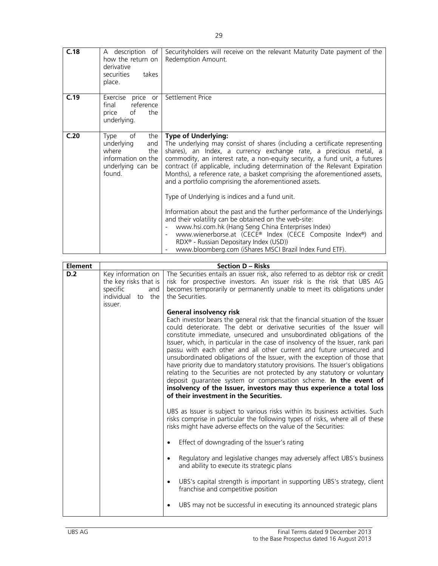| C.18 | description of<br>A<br>how the return on<br>derivative<br>securities<br>takes<br>place.                     | Security holders will receive on the relevant Maturity Date payment of the<br>Redemption Amount.                                                                                                                                                                                                                                                                                                                                                                                                                                                                                                                                                                                                                                                                                                                                                                                                                                          |
|------|-------------------------------------------------------------------------------------------------------------|-------------------------------------------------------------------------------------------------------------------------------------------------------------------------------------------------------------------------------------------------------------------------------------------------------------------------------------------------------------------------------------------------------------------------------------------------------------------------------------------------------------------------------------------------------------------------------------------------------------------------------------------------------------------------------------------------------------------------------------------------------------------------------------------------------------------------------------------------------------------------------------------------------------------------------------------|
| C.19 | Exercise<br>price or<br>reference<br>final<br>price<br>of<br>the<br>underlying.                             | Settlement Price                                                                                                                                                                                                                                                                                                                                                                                                                                                                                                                                                                                                                                                                                                                                                                                                                                                                                                                          |
| C.20 | of<br>the<br>Type<br>underlying<br>and<br>where<br>the<br>information on the<br>underlying can be<br>found. | <b>Type of Underlying:</b><br>The underlying may consist of shares (including a certificate representing<br>shares), an Index, a currency exchange rate, a precious metal, a<br>commodity, an interest rate, a non-equity security, a fund unit, a futures<br>contract (if applicable, including determination of the Relevant Expiration<br>Months), a reference rate, a basket comprising the aforementioned assets,<br>and a portfolio comprising the aforementioned assets.<br>Type of Underlying is indices and a fund unit.<br>Information about the past and the further performance of the Underlyings<br>and their volatility can be obtained on the web-site:<br>www.hsi.com.hk (Hang Seng China Enterprises Index)<br>$\overline{\phantom{a}}$<br>www.wienerborse.at (CECE® Index (CECE Composite Index®) and<br>RDX <sup>®</sup> - Russian Depositary Index (USD))<br>www.bloomberg.com (iShares MSCI Brazil Index Fund ETF). |

| Element |                                                                                                | <b>Section D - Risks</b>                                                                                                                                                                                                                                                                                                                                                                                                                                                                                                                                                                                                                                                                                                                                                                                                                                            |
|---------|------------------------------------------------------------------------------------------------|---------------------------------------------------------------------------------------------------------------------------------------------------------------------------------------------------------------------------------------------------------------------------------------------------------------------------------------------------------------------------------------------------------------------------------------------------------------------------------------------------------------------------------------------------------------------------------------------------------------------------------------------------------------------------------------------------------------------------------------------------------------------------------------------------------------------------------------------------------------------|
| D.2     | Key information on<br>the key risks that is<br>specific<br>and<br>individual to the<br>issuer. | The Securities entails an issuer risk, also referred to as debtor risk or credit<br>risk for prospective investors. An issuer risk is the risk that UBS AG<br>becomes temporarily or permanently unable to meet its obligations under<br>the Securities.                                                                                                                                                                                                                                                                                                                                                                                                                                                                                                                                                                                                            |
|         |                                                                                                | <b>General insolvency risk</b><br>Each investor bears the general risk that the financial situation of the Issuer<br>could deteriorate. The debt or derivative securities of the Issuer will<br>constitute immediate, unsecured and unsubordinated obligations of the<br>Issuer, which, in particular in the case of insolvency of the Issuer, rank pari<br>passu with each other and all other current and future unsecured and<br>unsubordinated obligations of the Issuer, with the exception of those that<br>have priority due to mandatory statutory provisions. The Issuer's obligations<br>relating to the Securities are not protected by any statutory or voluntary<br>deposit guarantee system or compensation scheme. In the event of<br>insolvency of the Issuer, investors may thus experience a total loss<br>of their investment in the Securities. |
|         |                                                                                                | UBS as Issuer is subject to various risks within its business activities. Such<br>risks comprise in particular the following types of risks, where all of these<br>risks might have adverse effects on the value of the Securities:                                                                                                                                                                                                                                                                                                                                                                                                                                                                                                                                                                                                                                 |
|         |                                                                                                | Effect of downgrading of the Issuer's rating                                                                                                                                                                                                                                                                                                                                                                                                                                                                                                                                                                                                                                                                                                                                                                                                                        |
|         |                                                                                                | Regulatory and legislative changes may adversely affect UBS's business<br>$\bullet$<br>and ability to execute its strategic plans                                                                                                                                                                                                                                                                                                                                                                                                                                                                                                                                                                                                                                                                                                                                   |
|         |                                                                                                | UBS's capital strength is important in supporting UBS's strategy, client<br>$\bullet$<br>franchise and competitive position                                                                                                                                                                                                                                                                                                                                                                                                                                                                                                                                                                                                                                                                                                                                         |
|         |                                                                                                | UBS may not be successful in executing its announced strategic plans                                                                                                                                                                                                                                                                                                                                                                                                                                                                                                                                                                                                                                                                                                                                                                                                |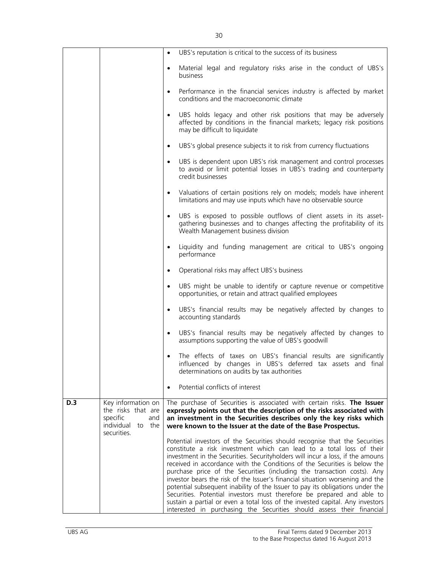|            |                                                                                                    | $\bullet$ | UBS's reputation is critical to the success of its business                                                                                                                                                                                                                                                                                                                                                                                                                                                                                                                                                                                                                                                                                                                                        |
|------------|----------------------------------------------------------------------------------------------------|-----------|----------------------------------------------------------------------------------------------------------------------------------------------------------------------------------------------------------------------------------------------------------------------------------------------------------------------------------------------------------------------------------------------------------------------------------------------------------------------------------------------------------------------------------------------------------------------------------------------------------------------------------------------------------------------------------------------------------------------------------------------------------------------------------------------------|
|            |                                                                                                    | $\bullet$ | Material legal and regulatory risks arise in the conduct of UBS's<br>business                                                                                                                                                                                                                                                                                                                                                                                                                                                                                                                                                                                                                                                                                                                      |
|            |                                                                                                    | $\bullet$ | Performance in the financial services industry is affected by market<br>conditions and the macroeconomic climate                                                                                                                                                                                                                                                                                                                                                                                                                                                                                                                                                                                                                                                                                   |
|            |                                                                                                    | $\bullet$ | UBS holds legacy and other risk positions that may be adversely<br>affected by conditions in the financial markets; legacy risk positions<br>may be difficult to liquidate                                                                                                                                                                                                                                                                                                                                                                                                                                                                                                                                                                                                                         |
|            |                                                                                                    | $\bullet$ | UBS's global presence subjects it to risk from currency fluctuations                                                                                                                                                                                                                                                                                                                                                                                                                                                                                                                                                                                                                                                                                                                               |
|            |                                                                                                    | $\bullet$ | UBS is dependent upon UBS's risk management and control processes<br>to avoid or limit potential losses in UBS's trading and counterparty<br>credit businesses                                                                                                                                                                                                                                                                                                                                                                                                                                                                                                                                                                                                                                     |
|            |                                                                                                    | $\bullet$ | Valuations of certain positions rely on models; models have inherent<br>limitations and may use inputs which have no observable source                                                                                                                                                                                                                                                                                                                                                                                                                                                                                                                                                                                                                                                             |
|            |                                                                                                    | $\bullet$ | UBS is exposed to possible outflows of client assets in its asset-<br>gathering businesses and to changes affecting the profitability of its<br>Wealth Management business division                                                                                                                                                                                                                                                                                                                                                                                                                                                                                                                                                                                                                |
|            |                                                                                                    | $\bullet$ | Liquidity and funding management are critical to UBS's ongoing<br>performance                                                                                                                                                                                                                                                                                                                                                                                                                                                                                                                                                                                                                                                                                                                      |
|            |                                                                                                    | $\bullet$ | Operational risks may affect UBS's business                                                                                                                                                                                                                                                                                                                                                                                                                                                                                                                                                                                                                                                                                                                                                        |
|            |                                                                                                    | $\bullet$ | UBS might be unable to identify or capture revenue or competitive<br>opportunities, or retain and attract qualified employees                                                                                                                                                                                                                                                                                                                                                                                                                                                                                                                                                                                                                                                                      |
|            |                                                                                                    | $\bullet$ | UBS's financial results may be negatively affected by changes to<br>accounting standards                                                                                                                                                                                                                                                                                                                                                                                                                                                                                                                                                                                                                                                                                                           |
|            |                                                                                                    | $\bullet$ | UBS's financial results may be negatively affected by changes to<br>assumptions supporting the value of UBS's goodwill                                                                                                                                                                                                                                                                                                                                                                                                                                                                                                                                                                                                                                                                             |
|            |                                                                                                    |           | The effects of taxes on UBS's financial results are significantly<br>influenced by changes in UBS's deferred tax assets and final<br>determinations on audits by tax authorities                                                                                                                                                                                                                                                                                                                                                                                                                                                                                                                                                                                                                   |
|            |                                                                                                    | $\bullet$ | Potential conflicts of interest                                                                                                                                                                                                                                                                                                                                                                                                                                                                                                                                                                                                                                                                                                                                                                    |
| <b>D.3</b> | Key information on<br>the risks that are<br>specific<br>and<br>individual<br>to the<br>securities. |           | The purchase of Securities is associated with certain risks. The Issuer<br>expressly points out that the description of the risks associated with<br>an investment in the Securities describes only the key risks which<br>were known to the Issuer at the date of the Base Prospectus.                                                                                                                                                                                                                                                                                                                                                                                                                                                                                                            |
|            |                                                                                                    |           | Potential investors of the Securities should recognise that the Securities<br>constitute a risk investment which can lead to a total loss of their<br>investment in the Securities. Securityholders will incur a loss, if the amouns<br>received in accordance with the Conditions of the Securities is below the<br>purchase price of the Securities (including the transaction costs). Any<br>investor bears the risk of the Issuer's financial situation worsening and the<br>potential subsequent inability of the Issuer to pay its obligations under the<br>Securities. Potential investors must therefore be prepared and able to<br>sustain a partial or even a total loss of the invested capital. Any investors<br>interested in purchasing the Securities should assess their financial |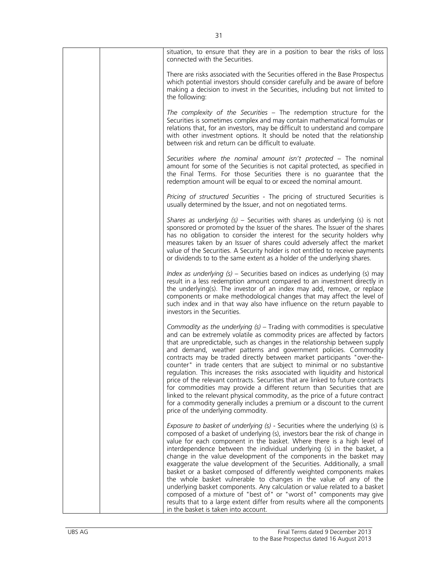| situation, to ensure that they are in a position to bear the risks of loss<br>connected with the Securities.                                                                                                                                                                                                                                                                                                                                                                                                                                                                                                                                                                                                                                                                                                                                                                                                      |
|-------------------------------------------------------------------------------------------------------------------------------------------------------------------------------------------------------------------------------------------------------------------------------------------------------------------------------------------------------------------------------------------------------------------------------------------------------------------------------------------------------------------------------------------------------------------------------------------------------------------------------------------------------------------------------------------------------------------------------------------------------------------------------------------------------------------------------------------------------------------------------------------------------------------|
| There are risks associated with the Securities offered in the Base Prospectus<br>which potential investors should consider carefully and be aware of before<br>making a decision to invest in the Securities, including but not limited to<br>the following:                                                                                                                                                                                                                                                                                                                                                                                                                                                                                                                                                                                                                                                      |
| The complexity of the Securities - The redemption structure for the<br>Securities is sometimes complex and may contain mathematical formulas or<br>relations that, for an investors, may be difficult to understand and compare<br>with other investment options. It should be noted that the relationship<br>between risk and return can be difficult to evaluate.                                                                                                                                                                                                                                                                                                                                                                                                                                                                                                                                               |
| Securities where the nominal amount isn't protected - The nominal<br>amount for some of the Securities is not capital protected, as specified in<br>the Final Terms. For those Securities there is no guarantee that the<br>redemption amount will be equal to or exceed the nominal amount.                                                                                                                                                                                                                                                                                                                                                                                                                                                                                                                                                                                                                      |
| Pricing of structured Securities - The pricing of structured Securities is<br>usually determined by the Issuer, and not on negotiated terms.                                                                                                                                                                                                                                                                                                                                                                                                                                                                                                                                                                                                                                                                                                                                                                      |
| Shares as underlying $(s)$ – Securities with shares as underlying $(s)$ is not<br>sponsored or promoted by the Issuer of the shares. The Issuer of the shares<br>has no obligation to consider the interest for the security holders why<br>measures taken by an Issuer of shares could adversely affect the market<br>value of the Securities. A Security holder is not entitled to receive payments<br>or dividends to to the same extent as a holder of the underlying shares.                                                                                                                                                                                                                                                                                                                                                                                                                                 |
| Index as underlying $(s)$ – Securities based on indices as underlying $(s)$ may<br>result in a less redemption amount compared to an investment directly in<br>the underlying(s). The investor of an index may add, remove, or replace<br>components or make methodological changes that may affect the level of<br>such index and in that way also have influence on the return payable to<br>investors in the Securities.                                                                                                                                                                                                                                                                                                                                                                                                                                                                                       |
| Commodity as the underlying $(s)$ – Trading with commodities is speculative<br>and can be extremely volatile as commodity prices are affected by factors<br>that are unpredictable, such as changes in the relationship between supply<br>and demand, weather patterns and government policies. Commodity<br>contracts may be traded directly between market participants "over-the-<br>counter" in trade centers that are subject to minimal or no substantive<br>regulation. This increases the risks associated with liquidity and historical<br>price of the relevant contracts. Securities that are linked to future contracts<br>for commodities may provide a different return than Securities that are<br>linked to the relevant physical commodity, as the price of a future contract<br>for a commodity generally includes a premium or a discount to the current<br>price of the underlying commodity. |
| Exposure to basket of underlying (s) - Securities where the underlying (s) is<br>composed of a basket of underlying (s), investors bear the risk of change in<br>value for each component in the basket. Where there is a high level of<br>interdependence between the individual underlying (s) in the basket, a<br>change in the value development of the components in the basket may<br>exaggerate the value development of the Securities. Additionally, a small<br>basket or a basket composed of differently weighted components makes<br>the whole basket vulnerable to changes in the value of any of the<br>underlying basket components. Any calculation or value related to a basket<br>composed of a mixture of "best of" or "worst of" components may give<br>results that to a large extent differ from results where all the components<br>in the basket is taken into account.                   |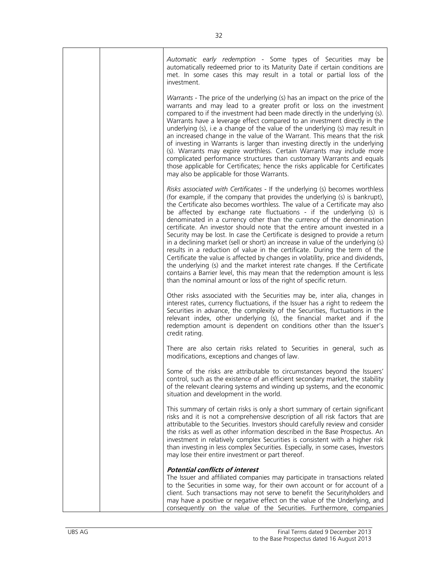|  | Automatic early redemption - Some types of Securities may be<br>automatically redeemed prior to its Maturity Date if certain conditions are<br>met. In some cases this may result in a total or partial loss of the<br>investment.                                                                                                                                                                                                                                                                                                                                                                                                                                                                                                                                                                                                                                                                                                                                                                                                               |
|--|--------------------------------------------------------------------------------------------------------------------------------------------------------------------------------------------------------------------------------------------------------------------------------------------------------------------------------------------------------------------------------------------------------------------------------------------------------------------------------------------------------------------------------------------------------------------------------------------------------------------------------------------------------------------------------------------------------------------------------------------------------------------------------------------------------------------------------------------------------------------------------------------------------------------------------------------------------------------------------------------------------------------------------------------------|
|  | Warrants - The price of the underlying (s) has an impact on the price of the<br>warrants and may lead to a greater profit or loss on the investment<br>compared to if the investment had been made directly in the underlying (s).<br>Warrants have a leverage effect compared to an investment directly in the<br>underlying (s), i.e a change of the value of the underlying (s) may result in<br>an increased change in the value of the Warrant. This means that the risk<br>of investing in Warrants is larger than investing directly in the underlying<br>(s). Warrants may expire worthless. Certain Warrants may include more<br>complicated performance structures than customary Warrants and equals<br>those applicable for Certificates; hence the risks applicable for Certificates<br>may also be applicable for those Warrants.                                                                                                                                                                                                  |
|  | Risks associated with Certificates - If the underlying (s) becomes worthless<br>(for example, if the company that provides the underlying (s) is bankrupt),<br>the Certificate also becomes worthless. The value of a Certificate may also<br>be affected by exchange rate fluctuations - if the underlying (s) is<br>denominated in a currency other than the currency of the denomination<br>certificate. An investor should note that the entire amount invested in a<br>Security may be lost. In case the Certificate is designed to provide a return<br>in a declining market (sell or short) an increase in value of the underlying (s)<br>results in a reduction of value in the certificate. During the term of the<br>Certificate the value is affected by changes in volatility, price and dividends,<br>the underlying (s) and the market interest rate changes. If the Certificate<br>contains a Barrier level, this may mean that the redemption amount is less<br>than the nominal amount or loss of the right of specific return. |
|  | Other risks associated with the Securities may be, inter alia, changes in<br>interest rates, currency fluctuations, if the Issuer has a right to redeem the<br>Securities in advance, the complexity of the Securities, fluctuations in the<br>relevant index, other underlying (s), the financial market and if the<br>redemption amount is dependent on conditions other than the Issuer's<br>credit rating.                                                                                                                                                                                                                                                                                                                                                                                                                                                                                                                                                                                                                                   |
|  | There are also certain risks related to Securities in general, such as<br>modifications, exceptions and changes of law.                                                                                                                                                                                                                                                                                                                                                                                                                                                                                                                                                                                                                                                                                                                                                                                                                                                                                                                          |
|  | Some of the risks are attributable to circumstances beyond the Issuers'<br>control, such as the existence of an efficient secondary market, the stability<br>of the relevant clearing systems and winding up systems, and the economic<br>situation and development in the world.                                                                                                                                                                                                                                                                                                                                                                                                                                                                                                                                                                                                                                                                                                                                                                |
|  | This summary of certain risks is only a short summary of certain significant<br>risks and it is not a comprehensive description of all risk factors that are<br>attributable to the Securities. Investors should carefully review and consider<br>the risks as well as other information described in the Base Prospectus. An<br>investment in relatively complex Securities is consistent with a higher risk<br>than investing in less complex Securities. Especially, in some cases, Investors<br>may lose their entire investment or part thereof.                                                                                                                                                                                                                                                                                                                                                                                                                                                                                            |
|  | <b>Potential conflicts of interest</b><br>The Issuer and affiliated companies may participate in transactions related<br>to the Securities in some way, for their own account or for account of a<br>client. Such transactions may not serve to benefit the Securityholders and<br>may have a positive or negative effect on the value of the Underlying, and<br>consequently on the value of the Securities. Furthermore, companies                                                                                                                                                                                                                                                                                                                                                                                                                                                                                                                                                                                                             |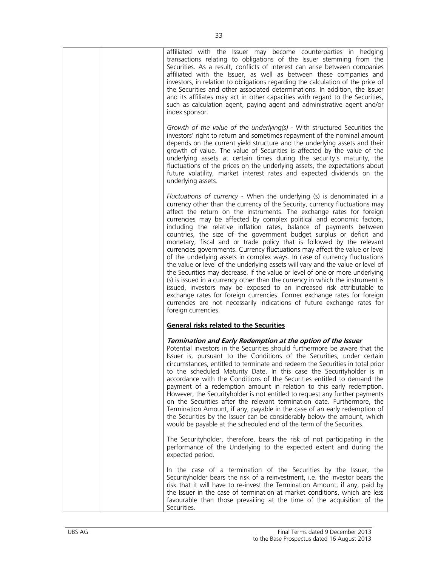| affiliated with the Issuer may become counterparties in hedging<br>transactions relating to obligations of the Issuer stemming from the<br>Securities. As a result, conflicts of interest can arise between companies<br>affiliated with the Issuer, as well as between these companies and<br>investors, in relation to obligations regarding the calculation of the price of<br>the Securities and other associated determinations. In addition, the Issuer<br>and its affiliates may act in other capacities with regard to the Securities,<br>such as calculation agent, paying agent and administrative agent and/or<br>index sponsor.                                                                                                                                                                                                                                                                                                                                                                                                                                                                                                                                                            |
|--------------------------------------------------------------------------------------------------------------------------------------------------------------------------------------------------------------------------------------------------------------------------------------------------------------------------------------------------------------------------------------------------------------------------------------------------------------------------------------------------------------------------------------------------------------------------------------------------------------------------------------------------------------------------------------------------------------------------------------------------------------------------------------------------------------------------------------------------------------------------------------------------------------------------------------------------------------------------------------------------------------------------------------------------------------------------------------------------------------------------------------------------------------------------------------------------------|
| Growth of the value of the underlying(s) - With structured Securities the<br>investors' right to return and sometimes repayment of the nominal amount<br>depends on the current yield structure and the underlying assets and their<br>growth of value. The value of Securities is affected by the value of the<br>underlying assets at certain times during the security's maturity, the<br>fluctuations of the prices on the underlying assets, the expectations about<br>future volatility, market interest rates and expected dividends on the<br>underlying assets.                                                                                                                                                                                                                                                                                                                                                                                                                                                                                                                                                                                                                               |
| Fluctuations of currency - When the underlying (s) is denominated in a<br>currency other than the currency of the Security, currency fluctuations may<br>affect the return on the instruments. The exchange rates for foreign<br>currencies may be affected by complex political and economic factors,<br>including the relative inflation rates, balance of payments between<br>countries, the size of the government budget surplus or deficit and<br>monetary, fiscal and or trade policy that is followed by the relevant<br>currencies governments. Currency fluctuations may affect the value or level<br>of the underlying assets in complex ways. In case of currency fluctuations<br>the value or level of the underlying assets will vary and the value or level of<br>the Securities may decrease. If the value or level of one or more underlying<br>(s) is issued in a currency other than the currency in which the instrument is<br>issued, investors may be exposed to an increased risk attributable to<br>exchange rates for foreign currencies. Former exchange rates for foreign<br>currencies are not necessarily indications of future exchange rates for<br>foreign currencies. |
| General risks related to the Securities                                                                                                                                                                                                                                                                                                                                                                                                                                                                                                                                                                                                                                                                                                                                                                                                                                                                                                                                                                                                                                                                                                                                                                |
| Termination and Early Redemption at the option of the Issuer<br>Potential investors in the Securities should furthermore be aware that the<br>Issuer is, pursuant to the Conditions of the Securities, under certain<br>circumstances, entitled to terminate and redeem the Securities in total prior<br>to the scheduled Maturity Date. In this case the Securityholder is in<br>accordance with the Conditions of the Securities entitled to demand the<br>payment of a redemption amount in relation to this early redemption.<br>However, the Securityholder is not entitled to request any further payments<br>on the Securities after the relevant termination date. Furthermore, the<br>Termination Amount, if any, payable in the case of an early redemption of<br>the Securities by the Issuer can be considerably below the amount, which<br>would be payable at the scheduled end of the term of the Securities.                                                                                                                                                                                                                                                                           |
| The Securityholder, therefore, bears the risk of not participating in the<br>performance of the Underlying to the expected extent and during the<br>expected period.                                                                                                                                                                                                                                                                                                                                                                                                                                                                                                                                                                                                                                                                                                                                                                                                                                                                                                                                                                                                                                   |
| In the case of a termination of the Securities by the Issuer, the<br>Securityholder bears the risk of a reinvestment, i.e. the investor bears the<br>risk that it will have to re-invest the Termination Amount, if any, paid by<br>the Issuer in the case of termination at market conditions, which are less<br>favourable than those prevailing at the time of the acquisition of the<br>Securities.                                                                                                                                                                                                                                                                                                                                                                                                                                                                                                                                                                                                                                                                                                                                                                                                |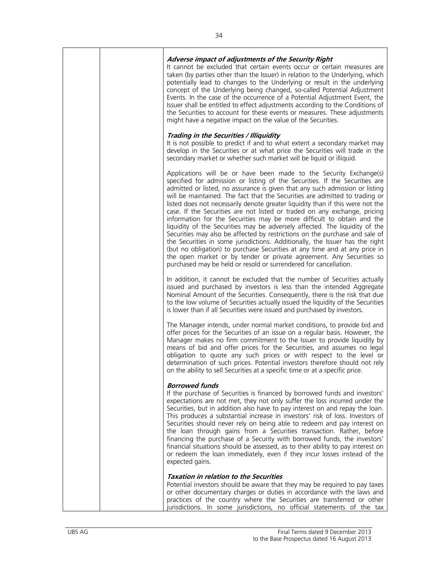|  | Adverse impact of adjustments of the Security Right<br>It cannot be excluded that certain events occur or certain measures are<br>taken (by parties other than the Issuer) in relation to the Underlying, which<br>potentially lead to changes to the Underlying or result in the underlying<br>concept of the Underlying being changed, so-called Potential Adjustment<br>Events. In the case of the occurrence of a Potential Adjustment Event, the<br>Issuer shall be entitled to effect adjustments according to the Conditions of<br>the Securities to account for these events or measures. These adjustments<br>might have a negative impact on the value of the Securities.                                                                                                                                                                                                                                                                                                                                               |
|--|-----------------------------------------------------------------------------------------------------------------------------------------------------------------------------------------------------------------------------------------------------------------------------------------------------------------------------------------------------------------------------------------------------------------------------------------------------------------------------------------------------------------------------------------------------------------------------------------------------------------------------------------------------------------------------------------------------------------------------------------------------------------------------------------------------------------------------------------------------------------------------------------------------------------------------------------------------------------------------------------------------------------------------------|
|  | Trading in the Securities / Illiquidity<br>It is not possible to predict if and to what extent a secondary market may<br>develop in the Securities or at what price the Securities will trade in the<br>secondary market or whether such market will be liquid or illiquid.                                                                                                                                                                                                                                                                                                                                                                                                                                                                                                                                                                                                                                                                                                                                                       |
|  | Applications will be or have been made to the Security Exchange(s)<br>specified for admission or listing of the Securities. If the Securities are<br>admitted or listed, no assurance is given that any such admission or listing<br>will be maintained. The fact that the Securities are admitted to trading or<br>listed does not necessarily denote greater liquidity than if this were not the<br>case. If the Securities are not listed or traded on any exchange, pricing<br>information for the Securities may be more difficult to obtain and the<br>liquidity of the Securities may be adversely affected. The liquidity of the<br>Securities may also be affected by restrictions on the purchase and sale of<br>the Securities in some jurisdictions. Additionally, the Issuer has the right<br>(but no obligation) to purchase Securities at any time and at any price in<br>the open market or by tender or private agreement. Any Securities so<br>purchased may be held or resold or surrendered for cancellation. |
|  | In addition, it cannot be excluded that the number of Securities actually<br>issued and purchased by investors is less than the intended Aggregate<br>Nominal Amount of the Securities. Consequently, there is the risk that due<br>to the low volume of Securities actually issued the liquidity of the Securities<br>is lower than if all Securities were issued and purchased by investors.                                                                                                                                                                                                                                                                                                                                                                                                                                                                                                                                                                                                                                    |
|  | The Manager intends, under normal market conditions, to provide bid and<br>offer prices for the Securities of an issue on a regular basis. However, the<br>Manager makes no firm commitment to the Issuer to provide liquidity by<br>means of bid and offer prices for the Securities, and assumes no legal<br>obligation to quote any such prices or with respect to the level or<br>determination of such prices. Potential investors therefore should not rely<br>on the ability to sell Securities at a specific time or at a specific price.                                                                                                                                                                                                                                                                                                                                                                                                                                                                                 |
|  | <b>Borrowed funds</b><br>If the purchase of Securities is financed by borrowed funds and investors'<br>expectations are not met, they not only suffer the loss incurred under the<br>Securities, but in addition also have to pay interest on and repay the loan.<br>This produces a substantial increase in investors' risk of loss. Investors of<br>Securities should never rely on being able to redeem and pay interest on<br>the loan through gains from a Securities transaction. Rather, before<br>financing the purchase of a Security with borrowed funds, the investors'<br>financial situations should be assessed, as to their ability to pay interest on<br>or redeem the loan immediately, even if they incur losses instead of the<br>expected gains.                                                                                                                                                                                                                                                              |
|  | <b>Taxation in relation to the Securities</b><br>Potential investors should be aware that they may be required to pay taxes<br>or other documentary charges or duties in accordance with the laws and<br>practices of the country where the Securities are transferred or other<br>jurisdictions. In some jurisdictions, no official statements of the tax                                                                                                                                                                                                                                                                                                                                                                                                                                                                                                                                                                                                                                                                        |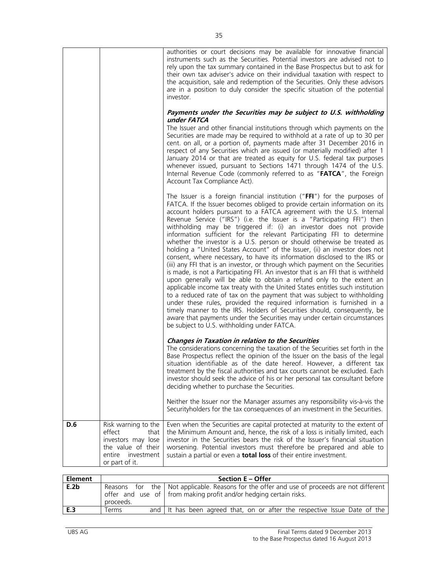|     |                                                                                                                             | authorities or court decisions may be available for innovative financial<br>instruments such as the Securities. Potential investors are advised not to<br>rely upon the tax summary contained in the Base Prospectus but to ask for<br>their own tax adviser's advice on their individual taxation with respect to<br>the acquisition, sale and redemption of the Securities. Only these advisors<br>are in a position to duly consider the specific situation of the potential<br>investor.<br>Payments under the Securities may be subject to U.S. withholding<br>under FATCA<br>The Issuer and other financial institutions through which payments on the<br>Securities are made may be required to withhold at a rate of up to 30 per<br>cent. on all, or a portion of, payments made after 31 December 2016 in<br>respect of any Securities which are issued (or materially modified) after 1<br>January 2014 or that are treated as equity for U.S. federal tax purposes<br>whenever issued, pursuant to Sections 1471 through 1474 of the U.S.<br>Internal Revenue Code (commonly referred to as "FATCA", the Foreign                                                                                                                                                                                                                                                                                              |
|-----|-----------------------------------------------------------------------------------------------------------------------------|---------------------------------------------------------------------------------------------------------------------------------------------------------------------------------------------------------------------------------------------------------------------------------------------------------------------------------------------------------------------------------------------------------------------------------------------------------------------------------------------------------------------------------------------------------------------------------------------------------------------------------------------------------------------------------------------------------------------------------------------------------------------------------------------------------------------------------------------------------------------------------------------------------------------------------------------------------------------------------------------------------------------------------------------------------------------------------------------------------------------------------------------------------------------------------------------------------------------------------------------------------------------------------------------------------------------------------------------------------------------------------------------------------------------------|
|     |                                                                                                                             | Account Tax Compliance Act).<br>The Issuer is a foreign financial institution ("FFI") for the purposes of<br>FATCA. If the Issuer becomes obliged to provide certain information on its<br>account holders pursuant to a FATCA agreement with the U.S. Internal<br>Revenue Service ("IRS") (i.e. the Issuer is a "Participating FFI") then<br>withholding may be triggered if: (i) an investor does not provide<br>information sufficient for the relevant Participating FFI to determine<br>whether the investor is a U.S. person or should otherwise be treated as<br>holding a "United States Account" of the Issuer, (ii) an investor does not<br>consent, where necessary, to have its information disclosed to the IRS or<br>(iii) any FFI that is an investor, or through which payment on the Securities<br>is made, is not a Participating FFI. An investor that is an FFI that is withheld<br>upon generally will be able to obtain a refund only to the extent an<br>applicable income tax treaty with the United States entitles such institution<br>to a reduced rate of tax on the payment that was subject to withholding<br>under these rules, provided the required information is furnished in a<br>timely manner to the IRS. Holders of Securities should, consequently, be<br>aware that payments under the Securities may under certain circumstances<br>be subject to U.S. withholding under FATCA. |
|     |                                                                                                                             | <b>Changes in Taxation in relation to the Securities</b><br>The considerations concerning the taxation of the Securities set forth in the<br>Base Prospectus reflect the opinion of the Issuer on the basis of the legal<br>situation identifiable as of the date hereof. However, a different tax<br>treatment by the fiscal authorities and tax courts cannot be excluded. Each<br>investor should seek the advice of his or her personal tax consultant before<br>deciding whether to purchase the Securities.<br>Neither the Issuer nor the Manager assumes any responsibility vis-à-vis the<br>Securityholders for the tax consequences of an investment in the Securities.                                                                                                                                                                                                                                                                                                                                                                                                                                                                                                                                                                                                                                                                                                                                          |
| D.6 | Risk warning to the<br>effect<br>that<br>investors may lose<br>the value of their<br>entire<br>investment<br>or part of it. | Even when the Securities are capital protected at maturity to the extent of<br>the Minimum Amount and, hence, the risk of a loss is initially limited, each<br>investor in the Securities bears the risk of the Issuer's financial situation<br>worsening. Potential investors must therefore be prepared and able to<br>sustain a partial or even a total loss of their entire investment.                                                                                                                                                                                                                                                                                                                                                                                                                                                                                                                                                                                                                                                                                                                                                                                                                                                                                                                                                                                                                               |

| <b>Element</b> |            | Section E - Offer                                                                                                                                                          |
|----------------|------------|----------------------------------------------------------------------------------------------------------------------------------------------------------------------------|
| E.2b           | proceeds.  | Reasons for the   Not applicable. Reasons for the offer and use of proceeds are not different<br>offer and use of $\vert$ from making profit and/or hedging certain risks. |
| E.3            | .<br>Ferms | and It has been agreed that, on or after the respective Issue Date of the                                                                                                  |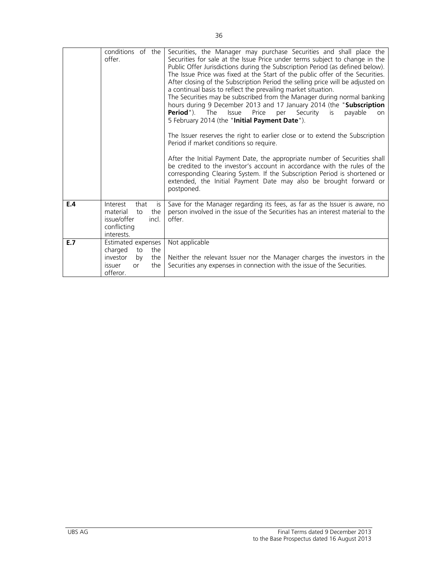|     | conditions of the<br>offer.                                                                                   | Securities, the Manager may purchase Securities and shall place the<br>Securities for sale at the Issue Price under terms subject to change in the<br>Public Offer Jurisdictions during the Subscription Period (as defined below).<br>The Issue Price was fixed at the Start of the public offer of the Securities.<br>After closing of the Subscription Period the selling price will be adjusted on<br>a continual basis to reflect the prevailing market situation.<br>The Securities may be subscribed from the Manager during normal banking<br>hours during 9 December 2013 and 17 January 2014 (the "Subscription<br><b>Period</b> "). The<br>Price<br><b>Issue</b><br>Security<br>is<br>payable<br>per<br><b>on</b><br>5 February 2014 (the "Initial Payment Date").<br>The Issuer reserves the right to earlier close or to extend the Subscription<br>Period if market conditions so require.<br>After the Initial Payment Date, the appropriate number of Securities shall<br>be credited to the investor's account in accordance with the rules of the |
|-----|---------------------------------------------------------------------------------------------------------------|---------------------------------------------------------------------------------------------------------------------------------------------------------------------------------------------------------------------------------------------------------------------------------------------------------------------------------------------------------------------------------------------------------------------------------------------------------------------------------------------------------------------------------------------------------------------------------------------------------------------------------------------------------------------------------------------------------------------------------------------------------------------------------------------------------------------------------------------------------------------------------------------------------------------------------------------------------------------------------------------------------------------------------------------------------------------|
|     |                                                                                                               | corresponding Clearing System. If the Subscription Period is shortened or<br>extended, the Initial Payment Date may also be brought forward or<br>postponed.                                                                                                                                                                                                                                                                                                                                                                                                                                                                                                                                                                                                                                                                                                                                                                                                                                                                                                        |
| E.4 | Interest<br>that<br>is<br>material<br>the<br>to<br>issue/offer<br>incl.<br>conflicting<br>interests.          | Save for the Manager regarding its fees, as far as the Issuer is aware, no<br>person involved in the issue of the Securities has an interest material to the<br>offer.                                                                                                                                                                                                                                                                                                                                                                                                                                                                                                                                                                                                                                                                                                                                                                                                                                                                                              |
| E.7 | Estimated expenses<br>charged<br>the<br>to<br>investor<br>the<br>by<br>the<br>issuer<br><b>or</b><br>offeror. | Not applicable<br>Neither the relevant Issuer nor the Manager charges the investors in the<br>Securities any expenses in connection with the issue of the Securities.                                                                                                                                                                                                                                                                                                                                                                                                                                                                                                                                                                                                                                                                                                                                                                                                                                                                                               |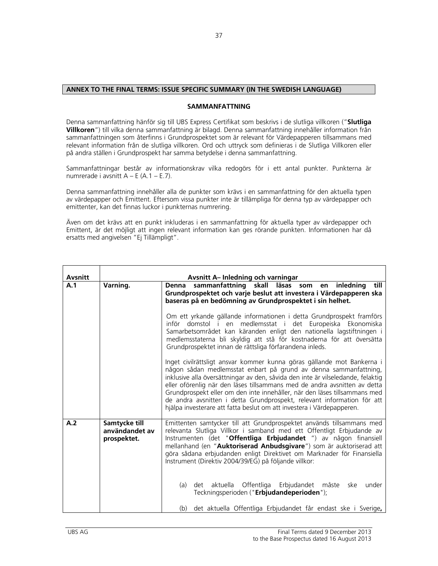## **ANNEX TO THE FINAL TERMS: ISSUE SPECIFIC SUMMARY (IN THE SWEDISH LANGUAGE)**

## **SAMMANFATTNING**

Denna sammanfattning hänför sig till UBS Express Certifikat som beskrivs i de slutliga villkoren ("**Slutliga Villkoren**") till vilka denna sammanfattning är bilagd. Denna sammanfattning innehåller information från sammanfattningen som återfinns i Grundprospektet som är relevant för Värdepapperen tillsammans med relevant information från de slutliga villkoren. Ord och uttryck som definieras i de Slutliga Villkoren eller på andra ställen i Grundprospekt har samma betydelse i denna sammanfattning.

Sammanfattningar består av informationskrav vilka redogörs för i ett antal punkter. Punkterna är numrerade i avsnitt A – E (A.1 – E.7).

Denna sammanfattning innehåller alla de punkter som krävs i en sammanfattning för den aktuella typen av värdepapper och Emittent. Eftersom vissa punkter inte är tillämpliga för denna typ av värdepapper och emittenter, kan det finnas luckor i punkternas numrering.

Även om det krävs att en punkt inkluderas i en sammanfattning för aktuella typer av värdepapper och Emittent, är det möjligt att ingen relevant information kan ges rörande punkten. Informationen har då ersatts med angivelsen "Ej Tillämpligt".

| <b>Avsnitt</b> |                                                | Avsnitt A- Inledning och varningar                                                                                                                                                                                                                                                                                                                                                                                                                                                                                                         |
|----------------|------------------------------------------------|--------------------------------------------------------------------------------------------------------------------------------------------------------------------------------------------------------------------------------------------------------------------------------------------------------------------------------------------------------------------------------------------------------------------------------------------------------------------------------------------------------------------------------------------|
| A.1            | Varning.                                       | sammanfattning skall läsas som<br>en inledning till<br>Denna<br>Grundprospektet och varje beslut att investera i Värdepapperen ska<br>baseras på en bedömning av Grundprospektet i sin helhet.                                                                                                                                                                                                                                                                                                                                             |
|                |                                                | Om ett yrkande gällande informationen i detta Grundprospekt framförs<br>inför domstol i en medlemsstat i det Europeiska Ekonomiska<br>Samarbetsområdet kan käranden enligt den nationella lagstiftningen i<br>medlemsstaterna bli skyldig att stå för kostnaderna för att översätta<br>Grundprospektet innan de rättsliga förfarandena inleds.                                                                                                                                                                                             |
|                |                                                | Inget civilrättsligt ansvar kommer kunna göras gällande mot Bankerna i<br>någon sådan medlemsstat enbart på grund av denna sammanfattning,<br>inklusive alla översättningar av den, såvida den inte är vilseledande, felaktig<br>eller oförenlig när den läses tillsammans med de andra avsnitten av detta<br>Grundprospekt eller om den inte innehåller, när den läses tillsammans med<br>de andra avsnitten i detta Grundprospekt, relevant information för att<br>hjälpa investerare att fatta beslut om att investera i Värdepapperen. |
| A.2            | Samtycke till<br>användandet av<br>prospektet. | Emittenten samtycker till att Grundprospektet används tillsammans med<br>relevanta Slutliga Villkor i samband med ett Offentligt Erbjudande av<br>Instrumenten (det "Offentliga Erbjudandet ") av någon finansiell<br>mellanhand (en "Auktoriserad Anbudsgivare") som är auktoriserad att<br>göra sådana erbjudanden enligt Direktivet om Marknader för Finansiella<br>Instrument (Direktiv 2004/39/EG) på följande villkor:                                                                                                               |
|                |                                                | aktuella Offentliga<br>Erbjudandet måste<br>(a)<br>det<br>under<br>ske<br>Teckningsperioden ("Erbjudandeperioden");                                                                                                                                                                                                                                                                                                                                                                                                                        |
|                |                                                | det aktuella Offentliga Erbjudandet får endast ske i Sverige,<br>(b)                                                                                                                                                                                                                                                                                                                                                                                                                                                                       |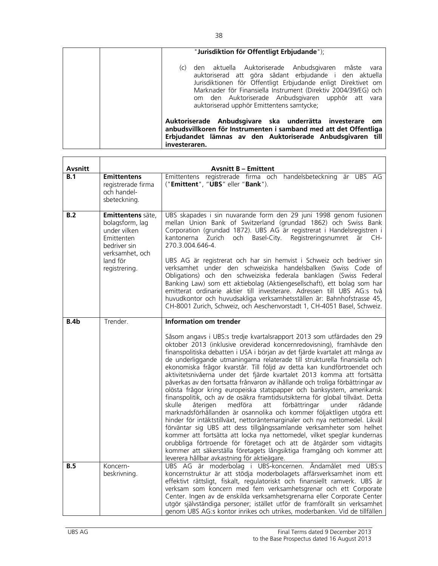| "Jurisdiktion för Offentligt Erbjudande");                                                                                                                                                                                                                                                                                                                    |
|---------------------------------------------------------------------------------------------------------------------------------------------------------------------------------------------------------------------------------------------------------------------------------------------------------------------------------------------------------------|
| den aktuella Auktoriserade Anbudsgivaren måste<br>(C)<br>vara<br>auktoriserad att göra sådant erbjudande i den aktuella<br>Jurisdiktionen för Offentligt Erbjudande enligt Direktivet om<br>Marknader för Finansiella Instrument (Direktiv 2004/39/EG) och<br>om den Auktoriserade Anbudsgivaren upphör att vara<br>auktoriserad upphör Emittentens samtycke; |
| Auktoriserade Anbudsgivare ska underrätta investerare<br>om<br>anbudsvillkoren för Instrumenten i samband med att det Offentliga<br>Erbjudandet lämnas av den Auktoriserade Anbudsgivaren till<br>investeraren.                                                                                                                                               |

| Avsnitt |                                                                                                                                    | <b>Avsnitt B - Emittent</b>                                                                                                                                                                                                                                                                                                                                                                                                                                                                                                                                                                                                                                                                                                                                                                                                                                                                                                                                                                                                                                                                                                                                                                                                                                                                           |
|---------|------------------------------------------------------------------------------------------------------------------------------------|-------------------------------------------------------------------------------------------------------------------------------------------------------------------------------------------------------------------------------------------------------------------------------------------------------------------------------------------------------------------------------------------------------------------------------------------------------------------------------------------------------------------------------------------------------------------------------------------------------------------------------------------------------------------------------------------------------------------------------------------------------------------------------------------------------------------------------------------------------------------------------------------------------------------------------------------------------------------------------------------------------------------------------------------------------------------------------------------------------------------------------------------------------------------------------------------------------------------------------------------------------------------------------------------------------|
| B.1     | <b>Emittentens</b><br>registrerade firma<br>och handel-<br>sbeteckning.                                                            | Emittentens registrerade firma och handelsbeteckning är UBS AG<br>("Emittent", "UBS" eller "Bank").                                                                                                                                                                                                                                                                                                                                                                                                                                                                                                                                                                                                                                                                                                                                                                                                                                                                                                                                                                                                                                                                                                                                                                                                   |
| B.2     | Emittentens säte,<br>bolagsform, lag<br>under vilken<br>Emittenten<br>bedriver sin<br>verksamhet, och<br>land för<br>registrering. | UBS skapades i sin nuvarande form den 29 juni 1998 genom fusionen<br>mellan Union Bank of Switzerland (grundad 1862) och Swiss Bank<br>Corporation (grundad 1872). UBS AG är registrerat i Handelsregistren i<br>kantonerna<br>Zurich<br>Basel-City.<br>Registreringsnumret<br>och<br>CH-<br>är<br>270.3.004.646-4.<br>UBS AG är registrerat och har sin hemvist i Schweiz och bedriver sin<br>verksamhet under den schweiziska handelsbalken (Swiss Code of<br>Obligations) och den schweiziska federala banklagen (Swiss Federal<br>Banking Law) som ett aktiebolag (Aktiengesellschaft), ett bolag som har<br>emitterat ordinarie aktier till investerare. Adressen till UBS AG:s två<br>huvudkontor och huvudsakliga verksamhetsställen är: Bahnhofstrasse 45,<br>CH-8001 Zurich, Schweiz, och Aeschenvorstadt 1, CH-4051 Basel, Schweiz.                                                                                                                                                                                                                                                                                                                                                                                                                                                         |
| B.4b    | Trender.                                                                                                                           | <b>Information om trender</b>                                                                                                                                                                                                                                                                                                                                                                                                                                                                                                                                                                                                                                                                                                                                                                                                                                                                                                                                                                                                                                                                                                                                                                                                                                                                         |
|         |                                                                                                                                    | Såsom angavs i UBS:s tredje kvartalsrapport 2013 som utfärdades den 29<br>oktober 2013 (inklusive oreviderad koncernredovisning), framhävde den<br>finanspolitiska debatten i USA i början av det fjärde kvartalet att många av<br>de underliggande utmaningarna relaterade till strukturella finansiella och<br>ekonomiska frågor kvarstår. Till följd av detta kan kundförtroendet och<br>aktivitetsnivåerna under det fjärde kvartalet 2013 komma att fortsätta<br>påverkas av den fortsatta frånvaron av ihållande och troliga förbättringar av<br>olösta frågor kring europeiska statspapper och banksystem, amerikansk<br>finanspolitik, och av de osäkra framtidsutsikterna för global tillväxt. Detta<br>skulle<br>återigen<br>medföra<br>att<br>förbättringar<br>under<br>rådande<br>marknadsförhållanden är osannolika och kommer följaktligen utgöra ett<br>hinder för intäktstillväxt, nettoräntemarginaler och nya nettomedel. Likväl<br>förväntar sig UBS att dess tillgångssamlande verksamheter som helhet<br>kommer att fortsätta att locka nya nettomedel, vilket speglar kundernas<br>orubbliga förtroende för företaget och att de åtgärder som vidtagits<br>kommer att säkerställa företagets långsiktiga framgång och kommer att<br>leverera hållbar avkastning för aktieägare. |
| B.5     | Koncern-<br>beskrivning.                                                                                                           | UBS AG är moderbolag i UBS-koncernen. Ändamålet med UBS:s<br>koncernstruktur är att stödja moderbolagets affärsverksamhet inom ett<br>effektivt rättsligt, fiskalt, regulatoriskt och finansiellt ramverk. UBS är<br>verksam som koncern med fem verksamhetsgrenar och ett Corporate<br>Center. Ingen av de enskilda verksamhetsgrenarna eller Corporate Center<br>utgör självständiga personer; istället utför de framförallt sin verksamhet<br>genom UBS AG:s kontor inrikes och utrikes, moderbanken. Vid de tillfällen                                                                                                                                                                                                                                                                                                                                                                                                                                                                                                                                                                                                                                                                                                                                                                            |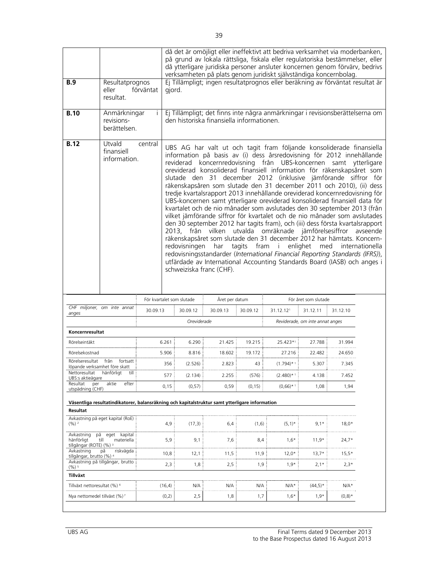|                                                                |                                                  |                                                                                                |                                                                                                                            | på grund av lokala rättsliga, fiskala eller regulatoriska bestämmelser, eller<br>då ytterligare juridiska personer ansluter koncernen genom förvärv, bedrivs<br>verksamheten på plats genom juridiskt självständiga koncernbolag.                                                                                                                                                                                                                                                                                                                                                                                                                                                                                                                                                                                                                                                                                                                                                                                                                                                                                                                                          |                | då det är omöjligt eller ineffektivt att bedriva verksamhet via moderbanken, |                                 |          |                             |
|----------------------------------------------------------------|--------------------------------------------------|------------------------------------------------------------------------------------------------|----------------------------------------------------------------------------------------------------------------------------|----------------------------------------------------------------------------------------------------------------------------------------------------------------------------------------------------------------------------------------------------------------------------------------------------------------------------------------------------------------------------------------------------------------------------------------------------------------------------------------------------------------------------------------------------------------------------------------------------------------------------------------------------------------------------------------------------------------------------------------------------------------------------------------------------------------------------------------------------------------------------------------------------------------------------------------------------------------------------------------------------------------------------------------------------------------------------------------------------------------------------------------------------------------------------|----------------|------------------------------------------------------------------------------|---------------------------------|----------|-----------------------------|
| <b>B.9</b>                                                     | Resultatprognos<br>eller<br>resultat.            | förväntat                                                                                      | gjord.                                                                                                                     | Ej Tillämpligt; ingen resultatprognos eller beräkning av förväntat resultat är                                                                                                                                                                                                                                                                                                                                                                                                                                                                                                                                                                                                                                                                                                                                                                                                                                                                                                                                                                                                                                                                                             |                |                                                                              |                                 |          |                             |
| <b>B.10</b>                                                    | Anmärkningar<br>İ.<br>revisions-<br>berättelsen. |                                                                                                | Ej Tillämpligt; det finns inte några anmärkningar i revisionsberättelserna om<br>den historiska finansiella informationen. |                                                                                                                                                                                                                                                                                                                                                                                                                                                                                                                                                                                                                                                                                                                                                                                                                                                                                                                                                                                                                                                                                                                                                                            |                |                                                                              |                                 |          |                             |
| <b>B.12</b>                                                    | Utvald<br>central<br>finansiell<br>information.  |                                                                                                | redovisningen                                                                                                              | UBS AG har valt ut och tagit fram följande konsoliderade finansiella<br>information på basis av (i) dess årsredovisning för 2012 innehållande<br>reviderad koncernredovisning från UBS-koncernen samt ytterligare<br>oreviderad konsoliderad finansiell information för räkenskapsåret som<br>slutade den 31 december 2012 (inklusive jämförande siffror för<br>räkenskapsåren som slutade den 31 december 2011 och 2010), (ii) dess<br>tredje kvartalsrapport 2013 innehållande oreviderad koncernredovisning för<br>UBS-koncernen samt ytterligare oreviderad konsoliderad finansiell data för<br>kvartalet och de nio månader som avslutades den 30 september 2013 (från<br>vilket jämförande siffror för kvartalet och de nio månader som avslutades<br>den 30 september 2012 har tagits fram), och (iii) dess första kvartalsrapport<br>2013, från vilken utvalda omräknade jämförelsesiffror<br>räkenskapsåret som slutade den 31 december 2012 har hämtats. Koncern-<br>har<br>redovisningsstandarder (International Financial Reporting Standards (IFRS)),<br>utfärdade av International Accounting Standards Board (IASB) och anges i<br>schweiziska franc (CHF). | tagits<br>fram | - i                                                                          | enlighet<br>med                 |          | avseende<br>internationella |
|                                                                |                                                  |                                                                                                |                                                                                                                            |                                                                                                                                                                                                                                                                                                                                                                                                                                                                                                                                                                                                                                                                                                                                                                                                                                                                                                                                                                                                                                                                                                                                                                            |                |                                                                              |                                 |          |                             |
|                                                                |                                                  | För kvartalet som slutade                                                                      |                                                                                                                            | Året per datum                                                                                                                                                                                                                                                                                                                                                                                                                                                                                                                                                                                                                                                                                                                                                                                                                                                                                                                                                                                                                                                                                                                                                             |                |                                                                              | För året som slutade            |          |                             |
| anges                                                          | CHF miljoner, om inte annat                      | 30.09.13                                                                                       | 30.09.12                                                                                                                   | 30.09.13                                                                                                                                                                                                                                                                                                                                                                                                                                                                                                                                                                                                                                                                                                                                                                                                                                                                                                                                                                                                                                                                                                                                                                   | 30.09.12       | 31.12.121                                                                    | 31.12.11                        | 31.12.10 |                             |
|                                                                |                                                  |                                                                                                | Oreviderade                                                                                                                |                                                                                                                                                                                                                                                                                                                                                                                                                                                                                                                                                                                                                                                                                                                                                                                                                                                                                                                                                                                                                                                                                                                                                                            |                |                                                                              | Reviderade, om inte annat anges |          |                             |
| Koncernresultat                                                |                                                  |                                                                                                |                                                                                                                            |                                                                                                                                                                                                                                                                                                                                                                                                                                                                                                                                                                                                                                                                                                                                                                                                                                                                                                                                                                                                                                                                                                                                                                            |                |                                                                              |                                 |          |                             |
| Rörelseintäkt                                                  |                                                  | 6.261                                                                                          | 6.290                                                                                                                      | 21.425                                                                                                                                                                                                                                                                                                                                                                                                                                                                                                                                                                                                                                                                                                                                                                                                                                                                                                                                                                                                                                                                                                                                                                     | 19.215         | 25.423*1                                                                     | 27.788                          | 31.994   |                             |
| Rörelsekostnad                                                 |                                                  | 5.906                                                                                          | 8.816                                                                                                                      | 18.602                                                                                                                                                                                                                                                                                                                                                                                                                                                                                                                                                                                                                                                                                                                                                                                                                                                                                                                                                                                                                                                                                                                                                                     | 19.172         | 27.216                                                                       | 22.482                          | 24.650   |                             |
| löpande verksamhet före skatt                                  | Rörelseresultat från fortsatt                    | 356                                                                                            | (2.526)                                                                                                                    | 2.823                                                                                                                                                                                                                                                                                                                                                                                                                                                                                                                                                                                                                                                                                                                                                                                                                                                                                                                                                                                                                                                                                                                                                                      | 43             | $(1.794)$ * 1                                                                | 5.307                           | 7.345    |                             |
| Nettoresultat<br>UBS:s aktieägare                              | hänförligt<br>till                               | 577                                                                                            | (2.134)                                                                                                                    | 2.255                                                                                                                                                                                                                                                                                                                                                                                                                                                                                                                                                                                                                                                                                                                                                                                                                                                                                                                                                                                                                                                                                                                                                                      | (576)          | $(2.480)$ * 1                                                                | 4.138                           | 7.452    |                             |
| Resultat<br>per<br>utspädning (CHF)                            | efter<br>aktie                                   | 0,15                                                                                           | (0,57)                                                                                                                     | 0,59                                                                                                                                                                                                                                                                                                                                                                                                                                                                                                                                                                                                                                                                                                                                                                                                                                                                                                                                                                                                                                                                                                                                                                       | (0, 15)        | $(0.66)$ * 1                                                                 | 1,08                            | 1,94     |                             |
|                                                                |                                                  | Väsentliga resultatindikatorer, balansräkning och kapitalstruktur samt ytterligare information |                                                                                                                            |                                                                                                                                                                                                                                                                                                                                                                                                                                                                                                                                                                                                                                                                                                                                                                                                                                                                                                                                                                                                                                                                                                                                                                            |                |                                                                              |                                 |          |                             |
| Resultat                                                       |                                                  |                                                                                                |                                                                                                                            |                                                                                                                                                                                                                                                                                                                                                                                                                                                                                                                                                                                                                                                                                                                                                                                                                                                                                                                                                                                                                                                                                                                                                                            |                |                                                                              |                                 |          |                             |
| $(%)^2$                                                        | Avkastning på eget kapital (RoE)                 | 4,9                                                                                            | (17,3)                                                                                                                     | 6,4                                                                                                                                                                                                                                                                                                                                                                                                                                                                                                                                                                                                                                                                                                                                                                                                                                                                                                                                                                                                                                                                                                                                                                        | (1,6)          | $(5,1)^*$                                                                    | $9,1*$                          | $18,0*$  |                             |
| Avkastning<br>hänförligt<br>tillgångar (ROTE) (%) <sup>3</sup> | på eget kapital<br>materiella<br>till            | 5,9                                                                                            | 9,1                                                                                                                        | 7,6                                                                                                                                                                                                                                                                                                                                                                                                                                                                                                                                                                                                                                                                                                                                                                                                                                                                                                                                                                                                                                                                                                                                                                        | 8,4            | $1,6*$                                                                       | $11,9*$                         | $24,7*$  |                             |
| Avkastning<br>tillgångar, brutto (%) 4                         | рå<br>riskvägda                                  | 10,8                                                                                           | 12,1                                                                                                                       | 11,5                                                                                                                                                                                                                                                                                                                                                                                                                                                                                                                                                                                                                                                                                                                                                                                                                                                                                                                                                                                                                                                                                                                                                                       | 11,9           | $12,0*$                                                                      | $13,7*$                         | $15,5*$  |                             |
| $(96)$ <sup>5</sup>                                            | Avkastning på tillgångar, brutto                 | 2,3                                                                                            | 1,8                                                                                                                        | 2,5                                                                                                                                                                                                                                                                                                                                                                                                                                                                                                                                                                                                                                                                                                                                                                                                                                                                                                                                                                                                                                                                                                                                                                        | 1,9            | $1,9*$                                                                       | $2,1*$                          | $2,3*$   |                             |
| Tillväxt                                                       |                                                  |                                                                                                |                                                                                                                            |                                                                                                                                                                                                                                                                                                                                                                                                                                                                                                                                                                                                                                                                                                                                                                                                                                                                                                                                                                                                                                                                                                                                                                            |                |                                                                              |                                 |          |                             |
| Tillväxt nettoresultat (%) <sup>6</sup>                        |                                                  | (16, 4)                                                                                        | N/A                                                                                                                        | N/A                                                                                                                                                                                                                                                                                                                                                                                                                                                                                                                                                                                                                                                                                                                                                                                                                                                                                                                                                                                                                                                                                                                                                                        | N/A            | $N/A*$                                                                       | $(44,5)*$                       | $N/A*$   |                             |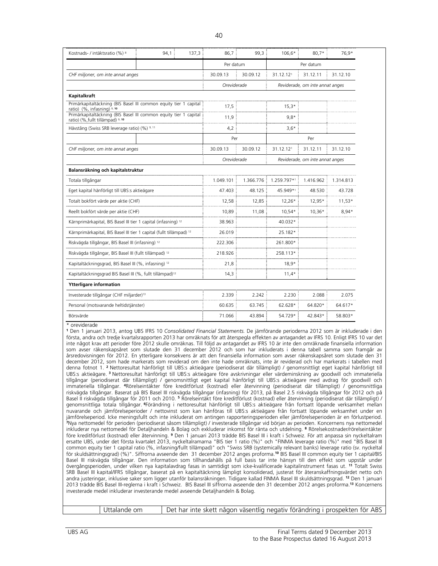| Kostnads- / intäktsratio (%) 8                                                                              | 94,1 | 137,3 | 86.7        | 99,3      | 106,6*      | $80.7*$                         | 76,9*     |
|-------------------------------------------------------------------------------------------------------------|------|-------|-------------|-----------|-------------|---------------------------------|-----------|
|                                                                                                             |      |       | Per datum   |           |             | Per datum                       |           |
| CHF miljoner, om inte annat anges                                                                           |      |       | 30.09.13    | 30.09.12  | 31.12.121   | 31.12.11                        | 31.12.10  |
|                                                                                                             |      |       | Oreviderade |           |             | Reviderade, om inte annat anges |           |
| Kapitalkraft                                                                                                |      |       |             |           |             |                                 |           |
| Primärkapitaltäckning (BIS Basel III common equity tier 1 capital<br>ratio) (%, infasning) <sup>9, 10</sup> |      |       | 17,5        |           | $15,3*$     |                                 |           |
| Primärkapitaltäckning (BIS Basel III common equity tier 1 capital<br>ratio) (%, fullt tillämpad) 9, 10      |      |       | 11,9        |           | $9.8*$      |                                 |           |
| Hävstång (Swiss SRB leverage ratio) (%) 9, 11                                                               |      |       | 4,2         |           | $3,6*$      |                                 |           |
|                                                                                                             |      |       | Per         |           |             | Per                             |           |
| CHF miljoner, om inte annat anges                                                                           |      |       | 30.09.13    | 30.09.12  | 31.12.121   | 31.12.11                        | 31.12.10  |
|                                                                                                             |      |       | Oreviderade |           |             | Reviderade, om inte annat anges |           |
| Balansräkning och kapitalstruktur                                                                           |      |       |             |           |             |                                 |           |
| Totala tillgångar                                                                                           |      |       | 1.049.101   | 1.366.776 | 1.259.797*1 | 1.416.962                       | 1.314.813 |
| Eget kapital hänförligt till UBS:s aktieägare                                                               |      |       | 47.403      | 48.125    | 45.949*1    | 48.530                          | 43.728    |
| Totalt bokfört värde per aktie (CHF)                                                                        |      |       | 12,58       | 12,85     | $12,26*$    | 12,95*                          | $11,53*$  |
| Reellt bokfört värde per aktie (CHF)                                                                        |      |       | 10,89       | 11,08     | 10,54*      | $10,36*$                        | $8,94*$   |
| Kärnprimärkapital, BIS Basel III tier 1 capital (infasning) 12                                              |      |       | 38.963      |           | 40.032*     |                                 |           |
| Kärnprimärkapital, BIS Basel III tier 1 capital (fullt tillämpad) <sup>12</sup>                             |      |       | 26.019      |           | 25.182*     |                                 |           |
| Riskvägda tillgångar, BIS Basel III (infasning) 12                                                          |      |       | 222.306     |           | 261.800*    |                                 |           |
| Riskvägda tillgångar, BIS Basel III (fullt tillämpad) 12                                                    |      |       | 218.926     |           | 258.113*    |                                 |           |
| Kapitaltäckningsgrad, BIS Basel III (%, infasning) <sup>12</sup>                                            |      |       | 21,8        |           | $18.9*$     |                                 |           |
| Kapitaltäckningsgrad BIS Basel III (%, fullt tillämpad) <sup>12</sup>                                       |      |       | 14,3        |           | $11,4*$     |                                 |           |
| <b>Ytterligare information</b>                                                                              |      |       |             |           |             |                                 |           |
| Investerade tillgångar (CHF miljarder) <sup>13</sup>                                                        |      |       | 2.339       | 2.242     | 2.230       | 2.088                           | 2.075     |
| Personal (motsvarande heltidstjänster)                                                                      |      |       | 60.635      | 63.745    | 62.628*     | 64.820*                         | 64.617*   |
| Börsvärde                                                                                                   |      |       | 71.066      | 43.894    | 54.729*     | 42.843*                         | 58.803*   |

**<sup>1</sup>** Den 1 januari 2013, antog UBS IFRS 10 *Consolidated Financial Statements.* De jämförande perioderna 2012 som är inkluderade i den första, andra och tredje kvartalsrapporten 2013 har omräknats för att återspegla effekten av antagandet av IFRS 10. Enligt IFRS 10 var det inte något krav att perioder före 2012 skulle omräknas. Till följd av antagandet av IFRS 10 är inte den omräknade finansiella information som avser räkenskapsåret som slutade den 31 december 2012 och som har inkluderats i denna tabell samma som framgår av årsredovisningen för 2012. En ytterligare konsekvens är att den finansiella information som avser räkenskapsåret som slutade den 31 december 2012, som hade markerats som reviderad om den inte hade omräknats, inte är reviderad och har markerats i tabellen med denna fotnot 1. **<sup>2</sup>**Nettoresultat hänförligt till UBS:s aktieägare (periodiserat där tillämpligt) / genomsnittligt eget kapital hänförligt till UBS:s aktieägare.**<sup>3</sup>** Nettoresultat hänförligt till UBS:s aktieägare före avskrivningar eller värdeminskning av goodwill och immateriella tillgångar (periodiserat där tillämpligt) / genomsnittligt eget kapital hänförligt till UBS:s aktieägare med avdrag för goodwill och immateriella tillgångar. **<sup>4</sup>**Rörelseintäkter före kreditförlust (kostnad) eller återvinning (periodiserat där tillämpligt) / genomsnittliga riskvägda tillgångar. Baserat på BIS Basel III riskvägda tillgångar (infasning) för 2013, på Basel 2.5 riskvägda tillgångar för 2012 och på Basel II riskvägda tillgångar för 2011 och 2010. **<sup>5</sup>** Rörelseintäkt före kreditförlust (kostnad) eller återvinning (periodiserat där tillämpligt) / genomsnittliga totala tillgångar. **<sup>6</sup>**Förändring i nettoresultat hänförligt till UBS:s aktieägare från fortsatt löpande verksamhet mellan nuvarande och jämförelseperioder / nettovinst som kan hänföras till UBS:s aktieägare från fortsatt löpande verksamhet under en jämförelseperiod. Icke meningsfullt och inte inkluderat om antingen rapporteringsperioden eller jämförelseperioden är en förlustperiod. **<sup>7</sup>**Nya nettomedel för perioden (periodiserat såsom tillämpligt) / investerade tillgångar vid början av perioden. Koncernens nya nettomedel inkluderar nya nettomedel för Detaljhandeln & Bolag och exkluderar inkomst för ränta och utdelning. **<sup>8</sup>** Rörelsekostnader/rörelseintäkter före kreditförlust (kostnad) eller återvinning. **<sup>9</sup>** Den 1 januari 2013 trädde BIS Basel III i kraft i Schweiz. För att anpassa sin nyckeltalram ersatte UBS, under det första kvartalet 2013, nyckeltalramarna "BIS tier 1 ratio (%)" och "FINMA leverage ratio (%)" med "BIS Basel III common equity tier 1 capital ratio (%, infasning/fullt tillämpad)" och "Swiss SRB (systemically relevant banks) leverage ratio (sv. nyckeltal för skuldsättningsgrad) (%)". Siffrorna avseende den 31 december 2012 anges proforma.**<sup>10</sup>** BIS Basel III common equity tier 1 capital/BIS Basel III riskvägda tillgångar. Den information som tillhandahålls på full basis tar inte hänsyn till den effekt som uppstår under övergångsperioden, under vilken nya kapitalavdrag fasas in samtidigt som icke-kvalificerade kapitalinstrument fasas ut. **<sup>11</sup>** Totalt Swiss SRB Basel III kapital/IFRS tillgångar, baserat på en kapitaltäckning lämpligt konsoliderad, justerat för återanskaffningsvärdet netto och andra justeringar, inklusive saker som ligger utanför balansräkningen. Tidigare kallad FINMA Basel III skuldsättningsgrad. **<sup>12</sup>** Den 1 januari 2013 trädde BIS Basel III-reglerna i kraft i Schweiz. BIS Basel III siffrorna avseende den 31 december 2012 anges proforma.**<sup>13</sup>** Koncernens investerade medel inkluderar investerande medel avseende Detaljhandeln & Bolag.

Uttalande om Det har inte skett någon väsentlig negativ förändring i prospekten för ABS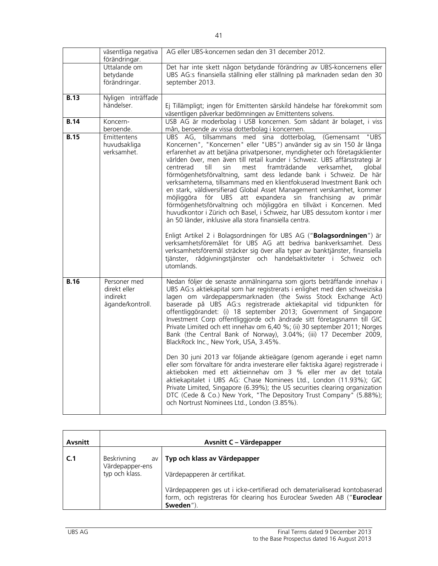|             | väsentliga negativa<br>förändringar.         | AG eller UBS-koncernen sedan den 31 december 2012.                                                                                                                                                                                                                                                                                                                                                                                                                                                                                                                                                                                                                                                                                                                                                                                                                                                                                                                                                                                                                                                               |
|-------------|----------------------------------------------|------------------------------------------------------------------------------------------------------------------------------------------------------------------------------------------------------------------------------------------------------------------------------------------------------------------------------------------------------------------------------------------------------------------------------------------------------------------------------------------------------------------------------------------------------------------------------------------------------------------------------------------------------------------------------------------------------------------------------------------------------------------------------------------------------------------------------------------------------------------------------------------------------------------------------------------------------------------------------------------------------------------------------------------------------------------------------------------------------------------|
|             | Uttalande om<br>betydande<br>förändringar.   | Det har inte skett någon betydande förändring av UBS-koncernens eller<br>UBS AG:s finansiella ställning eller ställning på marknaden sedan den 30<br>september 2013.                                                                                                                                                                                                                                                                                                                                                                                                                                                                                                                                                                                                                                                                                                                                                                                                                                                                                                                                             |
| <b>B.13</b> | Nyligen inträffade<br>händelser.             | Ej Tillämpligt; ingen för Emittenten särskild händelse har förekommit som<br>väsentligen påverkar bedömningen av Emittentens solvens.                                                                                                                                                                                                                                                                                                                                                                                                                                                                                                                                                                                                                                                                                                                                                                                                                                                                                                                                                                            |
| B.14        | Koncern-<br>beroende.                        | USB AG är moderbolag i USB koncernen. Som sådant är bolaget, i viss<br>mån, beroende av vissa dotterbolag i koncernen.                                                                                                                                                                                                                                                                                                                                                                                                                                                                                                                                                                                                                                                                                                                                                                                                                                                                                                                                                                                           |
| B.15        | Emittentens<br>huvudsakliga<br>verksamhet.   | UBS AG, tillsammans med sina dotterbolag,<br>(Gemensamt<br>"UBS<br>Koncernen", "Koncernen" eller "UBS") använder sig av sin 150 år långa<br>erfarenhet av att betjäna privatpersoner, myndigheter och företagsklienter<br>världen över, men även till retail kunder i Schweiz. UBS affärsstrategi är<br>centrerad<br>framträdande<br>verksamhet.<br>till<br>sin<br>mest<br>alobal<br>förmögenhetsförvaltning, samt dess ledande bank i Schweiz. De här<br>verksamheterna, tillsammans med en klientfokuserad Investment Bank och<br>en stark, väldiversifierad Global Asset Management verskamhet, kommer<br>möjliggöra för UBS att expandera sin franchising av primär<br>förmögenhetsförvaltning och möjliggöra en tillväxt i Koncernen. Med<br>huvudkontor i Zürich och Basel, i Schweiz, har UBS dessutom kontor i mer<br>än 50 länder, inklusive alla stora finansiella centra.<br>Enligt Artikel 2 i Bolagsordningen för UBS AG ("Bolagsordningen") är<br>verksamhetsföremålet för UBS AG att bedriva bankverksamhet. Dess<br>verksamhetsföremål sträcker sig över alla typer av banktjänster, finansiella |
| <b>B.16</b> | Personer med                                 | tjänster, rådgivningstjänster och handelsaktiviteter i Schweiz och<br>utomlands.<br>Nedan följer de senaste anmälningarna som gjorts beträffande innehav i                                                                                                                                                                                                                                                                                                                                                                                                                                                                                                                                                                                                                                                                                                                                                                                                                                                                                                                                                       |
|             | direkt eller<br>indirekt<br>ägande/kontroll. | UBS AG:s aktiekapital som har registrerats i enlighet med den schweiziska<br>lagen om värdepappersmarknaden (the Swiss Stock Exchange Act)<br>baserade på UBS AG:s registrerade aktiekapital vid tidpunkten för<br>offentliggörandet: (i) 18 september 2013; Government of Singapore<br>Investment Corp offentliggjorde och ändrade sitt företagsnamn till GIC<br>Private Limited och ett innehav om 6,40 %; (ii) 30 september 2011; Norges<br>Bank (the Central Bank of Norway), 3.04%; (iii) 17 December 2009,<br>BlackRock Inc., New York, USA, 3.45%.                                                                                                                                                                                                                                                                                                                                                                                                                                                                                                                                                        |
|             |                                              | Den 30 juni 2013 var följande aktieägare (genom agerande i eget namn<br>eller som förvaltare för andra investerare eller faktiska ägare) registrerade i<br>aktieboken med ett aktieinnehav om 3 % eller mer av det totala<br>aktiekapitalet i UBS AG: Chase Nominees Ltd., London (11.93%); GIC<br>Private Limited, Singapore (6.39%); the US securities clearing organization<br>DTC (Cede & Co.) New York, "The Depository Trust Company" (5.88%);<br>och Nortrust Nominees Ltd., London (3.85%).                                                                                                                                                                                                                                                                                                                                                                                                                                                                                                                                                                                                              |

| Avsnitt |                                                               | Avsnitt C - Värdepapper                                                                                                                                         |  |  |  |  |
|---------|---------------------------------------------------------------|-----------------------------------------------------------------------------------------------------------------------------------------------------------------|--|--|--|--|
| C.1     | <b>Beskrivning</b><br>av<br>Värdepapper-ens<br>typ och klass. | Typ och klass av Värdepapper<br>Värdepapperen är certifikat.                                                                                                    |  |  |  |  |
|         |                                                               | Värdepapperen ges ut i icke-certifierad och dematerialiserad kontobaserad<br>form, och registreras för clearing hos Euroclear Sweden AB ("Euroclear<br>Sweden") |  |  |  |  |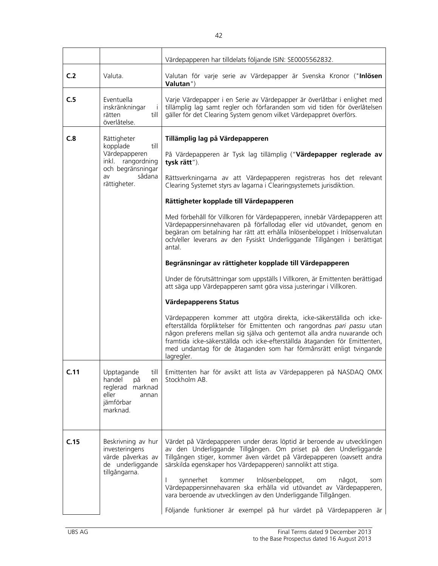|      |                                                                                                                            | Värdepapperen har tilldelats följande ISIN: SE0005562832.                                                                                                                                                                                                                                                                                                                                                                                                                                                                                                                                                                                                                                                                                                                                                                                                                                                                                                                                                                                                                                                                                                                                                                                                            |
|------|----------------------------------------------------------------------------------------------------------------------------|----------------------------------------------------------------------------------------------------------------------------------------------------------------------------------------------------------------------------------------------------------------------------------------------------------------------------------------------------------------------------------------------------------------------------------------------------------------------------------------------------------------------------------------------------------------------------------------------------------------------------------------------------------------------------------------------------------------------------------------------------------------------------------------------------------------------------------------------------------------------------------------------------------------------------------------------------------------------------------------------------------------------------------------------------------------------------------------------------------------------------------------------------------------------------------------------------------------------------------------------------------------------|
| C.2  | Valuta.                                                                                                                    | Valutan för varje serie av Värdepapper är Svenska Kronor ("Inlösen<br>Valutan")                                                                                                                                                                                                                                                                                                                                                                                                                                                                                                                                                                                                                                                                                                                                                                                                                                                                                                                                                                                                                                                                                                                                                                                      |
| C.5  | Eventuella<br>inskränkningar<br>$\mathbf{i}$<br>rätten<br>till<br>överlåtelse.                                             | Varje Värdepapper i en Serie av Värdepapper är överlåtbar i enlighet med<br>tillämplig lag samt regler och förfaranden som vid tiden för överlåtelsen<br>gäller för det Clearing System genom vilket Värdepappret överförs.                                                                                                                                                                                                                                                                                                                                                                                                                                                                                                                                                                                                                                                                                                                                                                                                                                                                                                                                                                                                                                          |
| C.8  | Rättigheter<br>kopplade<br>till<br>Värdepapperen<br>inkl. rangordning<br>och begränsningar<br>sådana<br>av<br>rättigheter. | Tillämplig lag på Värdepapperen<br>På Värdepapperen är Tysk lag tillämplig ("Värdepapper reglerade av<br>tysk rätt").<br>Rättsverkningarna av att Värdepapperen registreras hos det relevant<br>Clearing Systemet styrs av lagarna i Clearingsystemets jurisdiktion.<br>Rättigheter kopplade till Värdepapperen<br>Med förbehåll för Villkoren för Värdepapperen, innebär Värdepapperen att<br>Värdepappersinnehavaren på förfallodag eller vid utövandet, genom en<br>begäran om betalning har rätt att erhålla Inlösenbeloppet i Inlösenvalutan<br>och/eller leverans av den Fysiskt Underliggande Tillgången i berättigat<br>antal<br>Begränsningar av rättigheter kopplade till Värdepapperen<br>Under de förutsättningar som uppställs I Villkoren, är Emittenten berättigad<br>att säga upp Värdepapperen samt göra vissa justeringar i Villkoren.<br>Värdepapperens Status<br>Värdepapperen kommer att utgöra direkta, icke-säkerställda och icke-<br>efterställda förpliktelser för Emittenten och rangordnas pari passu utan<br>någon preferens mellan sig själva och gentemot alla andra nuvarande och<br>framtida icke-säkerställda och icke-efterställda åtaganden för Emittenten,<br>med undantag för de åtaganden som har förmånsrätt enligt tvingande |
| C.11 | Upptagande<br>till<br>handel<br>рå<br>en<br>reglerad<br>marknad<br>eller<br>annan<br>jämförbar<br>marknad.                 | lagregler.<br>Emittenten har för avsikt att lista av Värdepapperen på NASDAQ OMX<br>Stockholm AB.                                                                                                                                                                                                                                                                                                                                                                                                                                                                                                                                                                                                                                                                                                                                                                                                                                                                                                                                                                                                                                                                                                                                                                    |
| C.15 | Beskrivning av hur<br>investeringens<br>värde påverkas av<br>de underliggande<br>tillgångarna.                             | Värdet på Värdepapperen under deras löptid är beroende av utvecklingen<br>av den Underliggande Tillgången. Om priset på den Underliggande<br>Tillgången stiger, kommer även värdet på Värdepapperen (oavsett andra<br>särskilda egenskaper hos Värdepapperen) sannolikt att stiga.<br>Inlösenbeloppet,<br>synnerhet<br>kommer<br>något,<br>som<br>om<br>Värdepappersinnehavaren ska erhålla vid utövandet av Värdepapperen,<br>vara beroende av utvecklingen av den Underliggande Tillgången.<br>Följande funktioner är exempel på hur värdet på Värdepapperen är                                                                                                                                                                                                                                                                                                                                                                                                                                                                                                                                                                                                                                                                                                    |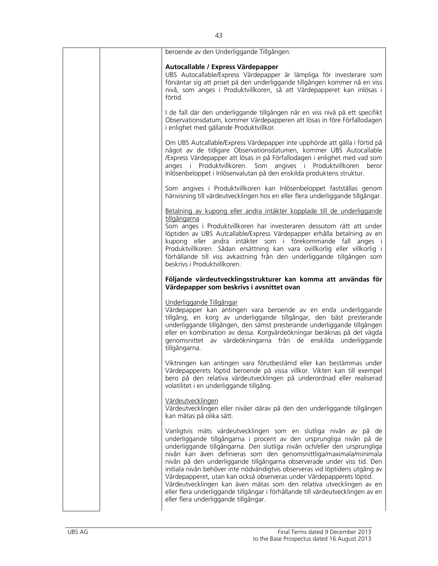| beroende av den Underliggande Tillgången:                                                                                                                                                                                                                                                                                                                                                                                                                                                                                                                                                                                                                                                                                           |
|-------------------------------------------------------------------------------------------------------------------------------------------------------------------------------------------------------------------------------------------------------------------------------------------------------------------------------------------------------------------------------------------------------------------------------------------------------------------------------------------------------------------------------------------------------------------------------------------------------------------------------------------------------------------------------------------------------------------------------------|
| Autocallable / Express Värdepapper<br>UBS Autocallable/Express Värdepapper är lämpliga för investerare som<br>förväntar sig att priset på den underliggande tillgången kommer nå en viss<br>nivå, som anges i Produktvillkoren, så att Värdepapperet kan inlösas i<br>förtid.                                                                                                                                                                                                                                                                                                                                                                                                                                                       |
| I de fall där den underliggande tillgången når en viss nivå på ett specifikt<br>Observationsdatum, kommer Värdepapperen att lösas in före Förfallodagen<br>i enlighet med gällande Produktvillkor.                                                                                                                                                                                                                                                                                                                                                                                                                                                                                                                                  |
| Om UBS Autcallable/Express Värdepapper inte upphörde att gälla i förtid på<br>något av de tidigare Observationsdatumen, kommer UBS Autocallable<br>/Express Värdepapper att lösas in på Förfallodagen i enlighet med vad som<br>anges i Produktvillkoren. Som angives i Produktvillkoren beror<br>Inlösenbeloppet i Inlösenvalutan på den enskilda produktens struktur.                                                                                                                                                                                                                                                                                                                                                             |
| Som angives i Produktvillkoren kan Inlösenbeloppet fastställas genom<br>hänvisning till värdeutvecklingen hos en eller flera underliggande tillgångar.                                                                                                                                                                                                                                                                                                                                                                                                                                                                                                                                                                              |
| Betalning av kupong eller andra intäkter kopplade till de underliggande                                                                                                                                                                                                                                                                                                                                                                                                                                                                                                                                                                                                                                                             |
| tillgångarna<br>Som anges i Produktvillkoren har investeraren dessutom rätt att under<br>löptiden av UBS Autcallable/Express Värdepapper erhålla betalning av en<br>kupong eller andra intäkter som i förekommande fall anges i<br>Produktvillkoren. Sådan ersättning kan vara ovillkorlig eller villkorlig i<br>förhållande till viss avkastning från den underliggande tillgången som<br>beskrivs i Produktvillkoren.                                                                                                                                                                                                                                                                                                             |
| Följande värdeutvecklingsstrukturer kan komma att användas för                                                                                                                                                                                                                                                                                                                                                                                                                                                                                                                                                                                                                                                                      |
| Värdepapper som beskrivs i avsnittet ovan                                                                                                                                                                                                                                                                                                                                                                                                                                                                                                                                                                                                                                                                                           |
| Underliggande Tillgångar<br>Värdepapper kan antingen vara beroende av en enda underliggande<br>tillgång, en korg av underliggande tillgångar, den bäst presterande<br>underliggande tillgången, den sämst presterande underliggande tillgången<br>eller en kombination av dessa. Korgvärdeökningar beräknas på det vägda<br>genomsnittet av värdeökningarna från de enskilda underliggande<br>tillgångarna.                                                                                                                                                                                                                                                                                                                         |
| Viktningen kan antingen vara förutbestämd eller kan bestämmas under<br>Värdepapperets löptid beroende på vissa villkor. Vikten kan till exempel<br>bero på den relativa värdeutvecklingen på underordnad eller realiserad<br>volatilitet i en underliggande tillgång.                                                                                                                                                                                                                                                                                                                                                                                                                                                               |
| Värdeutvecklingen<br>Värdeutvecklingen eller nivåer därav på den den underliggande tillgången<br>kan mätas på olika sätt.                                                                                                                                                                                                                                                                                                                                                                                                                                                                                                                                                                                                           |
| Vanligtvis mäts värdeutvecklingen som en slutliga nivån av på de<br>underliggande tillgångarna i procent av den ursprungliga nivån på de<br>underliggande tillgångarna. Den slutliga nivån och/eller den ursprungliga<br>nivån kan även definieras som den genomsnittliga/maximala/minimala<br>nivån på den underliggande tillgångarna observerade under viss tid. Den<br>initiala nivån behöver inte nödvändigtvis observeras vid löptidens utgång av<br>Värdepapperet, utan kan också observeras under Värdepapperets löptid.<br>Värdeutvecklingen kan även mätas som den relativa utvecklingen av en<br>eller flera underliggande tillgångar i förhållande till värdeutvecklingen av en<br>eller flera underliggande tillgångar. |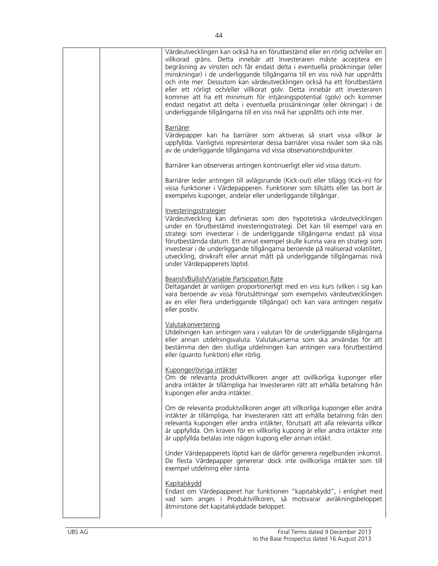| villkorad gräns. Detta innebär att Investeraren måste acceptera en<br>begräsning av vinsten och får endast delta i eventuella prisökningar (eller<br>minskningar) i de underliggande tillgångarna till en viss nivå har uppnåtts<br>och inte mer. Dessutom kan värdeutvecklingen också ha ett förutbestämt<br>eller ett rörligt och/eller villkorat golv. Detta innebär att investeraren<br>kommer att ha ett minimum för intjäningspotential (golv) och kommer<br>endast negativt att delta i eventuella prissänkningar (eller ökningar) i de<br>underliggande tillgångarna till en viss nivå har uppnåtts och inte mer.<br><b>Barriärer</b><br>Värdepapper kan ha barriärer som aktiveras så snart vissa villkor är<br>uppfyllda. Vanligtvis representerar dessa barriärer vissa nivåer som ska nås<br>av de underliggande tillgångarna vid vissa observationstidpunkter.<br>Barriärer kan observeras antingen kontinuerligt eller vid vissa datum.<br>Barriärer leder antingen till avlägsnande (Kick-out) eller tillägg (Kick-in) för<br>vissa funktioner i Värdepapperen. Funktioner som tillsätts eller tas bort är<br>exempelvis kuponger, andelar eller underliggande tillgångar.<br><u>Investeringsstrategier</u><br>Värdeutveckling kan definieras som den hypotetiska värdeutvecklingen<br>under en förutbestämd investeringsstrategi. Det kan till exempel vara en<br>strategi som investerar i de underliggande tillgångarna endast på vissa<br>förutbestämda datum. Ett annat exempel skulle kunna vara en strategi som<br>investerar i de underliggande tillgångarna beroende på realiserad volatilitet,<br>utveckling, drivkraft eller annat mått på underliggande tillgångarnas nivå<br>under Värdepapperets löptid.<br>Bearish/Bullish/Variable Participation Rate<br>Deltagandet är vanligen proportionerligt med en viss kurs (vilken i sig kan<br>vara beroende av vissa förutsättningar som exempelvis värdeutvecklingen<br>av en eller flera underliggande tillgångar) och kan vara antingen negativ<br>eller positiv.<br><u>Valutakonvertering</u><br>Utdelningen kan antingen vara i valutan för de underliggande tillgångarna<br>eller annan utdelningsvaluta. Valutakurserna som ska användas för att<br>bestämma den den slutliga utdelningen kan antingen vara förutbestämd<br>eller (quanto funktion) eller rörlig.<br>Kuponger/övriga intäkter<br>Om de relevanta produktvillkoren anger att ovillkorliga kuponger eller<br>andra intäkter är tillämpliga har Investeraren rätt att erhålla betalning från<br>kupongen eller andra intäkter.<br>Om de relevanta produktvillkoren anger att villkorliga kuponger eller andra<br>intäkter är tillämpliga, har Investeraren rätt att erhålla betalning från den<br>relevanta kupongen eller andra intäkter, förutsatt att alla relevanta villkor<br>är uppfyllda. Om kraven för en villkorlig kupong är eller andra intäkter inte<br>är uppfyllda betalas inte någon kupong eller annan intäkt.<br>Under Värdepapperets löptid kan de därför generera regelbunden inkomst.<br>De flesta Värdepapper genererar dock inte ovillkorliga intäkter som till<br>exempel utdelning eller ränta.<br><b>Kapitalskydd</b><br>Endast om Värdepapperet har funktionen "kapitalskydd", i enlighet med<br>vad som anges i Produktvillkoren, så motsvarar avräkningsbeloppet<br>åtminstone det kapitalskyddade beloppet. |  |                                                                             |
|---------------------------------------------------------------------------------------------------------------------------------------------------------------------------------------------------------------------------------------------------------------------------------------------------------------------------------------------------------------------------------------------------------------------------------------------------------------------------------------------------------------------------------------------------------------------------------------------------------------------------------------------------------------------------------------------------------------------------------------------------------------------------------------------------------------------------------------------------------------------------------------------------------------------------------------------------------------------------------------------------------------------------------------------------------------------------------------------------------------------------------------------------------------------------------------------------------------------------------------------------------------------------------------------------------------------------------------------------------------------------------------------------------------------------------------------------------------------------------------------------------------------------------------------------------------------------------------------------------------------------------------------------------------------------------------------------------------------------------------------------------------------------------------------------------------------------------------------------------------------------------------------------------------------------------------------------------------------------------------------------------------------------------------------------------------------------------------------------------------------------------------------------------------------------------------------------------------------------------------------------------------------------------------------------------------------------------------------------------------------------------------------------------------------------------------------------------------------------------------------------------------------------------------------------------------------------------------------------------------------------------------------------------------------------------------------------------------------------------------------------------------------------------------------------------------------------------------------------------------------------------------------------------------------------------------------------------------------------------------------------------------------------------------------------------------------------------------------------------------------------------------------------------------------------------------------------------------------------------------------------------------------------------------------------------------------------------------------------------------------------------------|--|-----------------------------------------------------------------------------|
|                                                                                                                                                                                                                                                                                                                                                                                                                                                                                                                                                                                                                                                                                                                                                                                                                                                                                                                                                                                                                                                                                                                                                                                                                                                                                                                                                                                                                                                                                                                                                                                                                                                                                                                                                                                                                                                                                                                                                                                                                                                                                                                                                                                                                                                                                                                                                                                                                                                                                                                                                                                                                                                                                                                                                                                                                                                                                                                                                                                                                                                                                                                                                                                                                                                                                                                                                                                       |  | Värdeutvecklingen kan också ha en förutbestämd eller en rörlig och/eller en |
|                                                                                                                                                                                                                                                                                                                                                                                                                                                                                                                                                                                                                                                                                                                                                                                                                                                                                                                                                                                                                                                                                                                                                                                                                                                                                                                                                                                                                                                                                                                                                                                                                                                                                                                                                                                                                                                                                                                                                                                                                                                                                                                                                                                                                                                                                                                                                                                                                                                                                                                                                                                                                                                                                                                                                                                                                                                                                                                                                                                                                                                                                                                                                                                                                                                                                                                                                                                       |  |                                                                             |
|                                                                                                                                                                                                                                                                                                                                                                                                                                                                                                                                                                                                                                                                                                                                                                                                                                                                                                                                                                                                                                                                                                                                                                                                                                                                                                                                                                                                                                                                                                                                                                                                                                                                                                                                                                                                                                                                                                                                                                                                                                                                                                                                                                                                                                                                                                                                                                                                                                                                                                                                                                                                                                                                                                                                                                                                                                                                                                                                                                                                                                                                                                                                                                                                                                                                                                                                                                                       |  |                                                                             |
|                                                                                                                                                                                                                                                                                                                                                                                                                                                                                                                                                                                                                                                                                                                                                                                                                                                                                                                                                                                                                                                                                                                                                                                                                                                                                                                                                                                                                                                                                                                                                                                                                                                                                                                                                                                                                                                                                                                                                                                                                                                                                                                                                                                                                                                                                                                                                                                                                                                                                                                                                                                                                                                                                                                                                                                                                                                                                                                                                                                                                                                                                                                                                                                                                                                                                                                                                                                       |  |                                                                             |
|                                                                                                                                                                                                                                                                                                                                                                                                                                                                                                                                                                                                                                                                                                                                                                                                                                                                                                                                                                                                                                                                                                                                                                                                                                                                                                                                                                                                                                                                                                                                                                                                                                                                                                                                                                                                                                                                                                                                                                                                                                                                                                                                                                                                                                                                                                                                                                                                                                                                                                                                                                                                                                                                                                                                                                                                                                                                                                                                                                                                                                                                                                                                                                                                                                                                                                                                                                                       |  |                                                                             |
|                                                                                                                                                                                                                                                                                                                                                                                                                                                                                                                                                                                                                                                                                                                                                                                                                                                                                                                                                                                                                                                                                                                                                                                                                                                                                                                                                                                                                                                                                                                                                                                                                                                                                                                                                                                                                                                                                                                                                                                                                                                                                                                                                                                                                                                                                                                                                                                                                                                                                                                                                                                                                                                                                                                                                                                                                                                                                                                                                                                                                                                                                                                                                                                                                                                                                                                                                                                       |  |                                                                             |
|                                                                                                                                                                                                                                                                                                                                                                                                                                                                                                                                                                                                                                                                                                                                                                                                                                                                                                                                                                                                                                                                                                                                                                                                                                                                                                                                                                                                                                                                                                                                                                                                                                                                                                                                                                                                                                                                                                                                                                                                                                                                                                                                                                                                                                                                                                                                                                                                                                                                                                                                                                                                                                                                                                                                                                                                                                                                                                                                                                                                                                                                                                                                                                                                                                                                                                                                                                                       |  |                                                                             |
|                                                                                                                                                                                                                                                                                                                                                                                                                                                                                                                                                                                                                                                                                                                                                                                                                                                                                                                                                                                                                                                                                                                                                                                                                                                                                                                                                                                                                                                                                                                                                                                                                                                                                                                                                                                                                                                                                                                                                                                                                                                                                                                                                                                                                                                                                                                                                                                                                                                                                                                                                                                                                                                                                                                                                                                                                                                                                                                                                                                                                                                                                                                                                                                                                                                                                                                                                                                       |  |                                                                             |
|                                                                                                                                                                                                                                                                                                                                                                                                                                                                                                                                                                                                                                                                                                                                                                                                                                                                                                                                                                                                                                                                                                                                                                                                                                                                                                                                                                                                                                                                                                                                                                                                                                                                                                                                                                                                                                                                                                                                                                                                                                                                                                                                                                                                                                                                                                                                                                                                                                                                                                                                                                                                                                                                                                                                                                                                                                                                                                                                                                                                                                                                                                                                                                                                                                                                                                                                                                                       |  |                                                                             |
|                                                                                                                                                                                                                                                                                                                                                                                                                                                                                                                                                                                                                                                                                                                                                                                                                                                                                                                                                                                                                                                                                                                                                                                                                                                                                                                                                                                                                                                                                                                                                                                                                                                                                                                                                                                                                                                                                                                                                                                                                                                                                                                                                                                                                                                                                                                                                                                                                                                                                                                                                                                                                                                                                                                                                                                                                                                                                                                                                                                                                                                                                                                                                                                                                                                                                                                                                                                       |  |                                                                             |
|                                                                                                                                                                                                                                                                                                                                                                                                                                                                                                                                                                                                                                                                                                                                                                                                                                                                                                                                                                                                                                                                                                                                                                                                                                                                                                                                                                                                                                                                                                                                                                                                                                                                                                                                                                                                                                                                                                                                                                                                                                                                                                                                                                                                                                                                                                                                                                                                                                                                                                                                                                                                                                                                                                                                                                                                                                                                                                                                                                                                                                                                                                                                                                                                                                                                                                                                                                                       |  |                                                                             |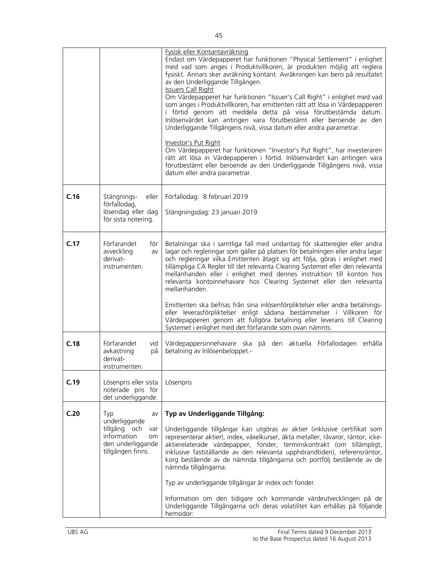|      |                                                                                                                  | Fysisk eller Kontantavräkning<br>Endast om Värdepapperet har funktionen "Physical Settlement" i enlighet<br>med vad som anges i Produktvillkoren, är produkten möjlig att reglera<br>fysiskt. Annars sker avräkning kontant. Avräkningen kan bero på resultatet<br>av den Underliggande Tillgången.<br><b>Issuers Call Right</b><br>Om Värdepapperet har funktionen "Issuer's Call Right" i enlighet med vad<br>som anges i Produktvillkoren, har emittenten rätt att lösa in Värdepapperen<br>i förtid genom att meddela detta på vissa förutbestämda datum.<br>Inlösenvärdet kan antingen vara förutbestämt eller beroende av den<br>Underliggande Tillgångens nivå, vissa datum eller andra parametrar.<br>Investor's Put Right<br>Om Värdepapperet har funktionen "Investor's Put Right", har investeraren<br>rätt att lösa in Värdepapperen i förtid. Inlösenvärdet kan antingen vara<br>förutbestämt eller beroende av den Underliggande Tillgångens nivå, vissa<br>datum eller andra parametrar. |
|------|------------------------------------------------------------------------------------------------------------------|---------------------------------------------------------------------------------------------------------------------------------------------------------------------------------------------------------------------------------------------------------------------------------------------------------------------------------------------------------------------------------------------------------------------------------------------------------------------------------------------------------------------------------------------------------------------------------------------------------------------------------------------------------------------------------------------------------------------------------------------------------------------------------------------------------------------------------------------------------------------------------------------------------------------------------------------------------------------------------------------------------|
| C.16 | Stängnings-<br>eller<br>förfallodag,<br>lösendag eller dag<br>för sista notering.                                | Förfallodag: 8 februari 2019<br>Stängningsdag: 23 januari 2019                                                                                                                                                                                                                                                                                                                                                                                                                                                                                                                                                                                                                                                                                                                                                                                                                                                                                                                                          |
| C.17 | Förfarandet<br>för<br>avveckling<br>av<br>derivat-<br>instrumenten.                                              | Betalningar ska i samtliga fall med undantag för skatteregler eller andra<br>lagar och regleringar som gäller på platsen för betalningen eller andra lagar<br>och regleringar vilka Emittenten åtagit sig att följa, göras i enlighet med<br>tillämpliga CA Regler till det relevanta Clearing Systemet eller den relevanta<br>mellanhanden eller i enlighet med dennes instruktion till konton hos<br>relevanta kontoinnehavare hos Clearing Systemet eller den relevanta<br>mellanhanden.<br>Emittenten ska befrias från sina inlösenförpliktelser eller andra betalnings-<br>eller leverasförpliktelser enligt sådana bestämmelser i Villkoren för<br>Värdepapperen genom att fullgöra betalning eller leverans till Clearing<br>Systemet i enlighet med det förfarande som ovan nämnts.                                                                                                                                                                                                             |
| C.18 | Förfarandet<br>vid<br>avkastning<br>på<br>derivat-<br>instrumenten.                                              | Värdepappersinnehavare ska på den aktuella Förfallodagen erhålla<br>betalning av Inlösenbeloppet.-                                                                                                                                                                                                                                                                                                                                                                                                                                                                                                                                                                                                                                                                                                                                                                                                                                                                                                      |
| C.19 | Lösenpris eller sista<br>noterade pris för<br>det underliggande.                                                 | Lösenpris                                                                                                                                                                                                                                                                                                                                                                                                                                                                                                                                                                                                                                                                                                                                                                                                                                                                                                                                                                                               |
| C.20 | Typ<br>av<br>underliggande<br>tillgång och<br>var<br>information<br>om<br>den underliggande<br>tillgången finns. | Typ av Underliggande Tillgång:<br>Underliggande tillgångar kan utgöras av aktier (inklusive certifikat som<br>representerar aktier), index, växelkurser, äkta metaller, råvaror, räntor, icke-<br>aktierelaterade värdepapper, fonder, terminskontrakt (om tillämpligt,<br>inklusive fastställande av den relevanta upphörandtiden), referensräntor,<br>korg bestående av de nämnda tillgångarna och portfölj bestående av de<br>nämnda tillgångarna.<br>Typ av underliggande tillgångar är index och fonder.<br>Information om den tidigare och kommande värdeutvecklingen på de<br>Underliggande Tillgångarna och deras volatilitet kan erhållas på följande<br>hemsidor:                                                                                                                                                                                                                                                                                                                             |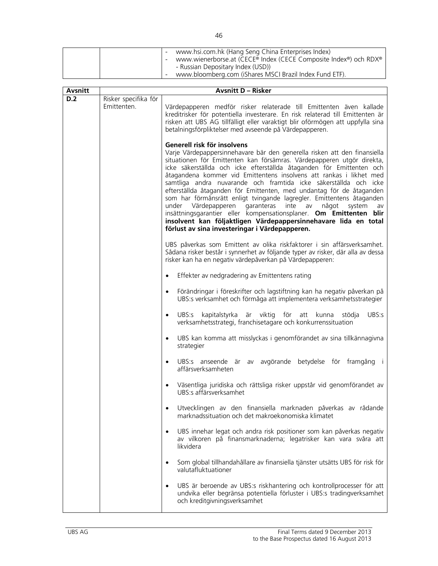|  | www.hsi.com.hk (Hang Seng China Enterprises Index)               |
|--|------------------------------------------------------------------|
|  | www.wienerborse.at (CECE® Index (CECE Composite Index®) och RDX® |
|  | - Russian Depositary Index (USD))                                |
|  | www.bloomberg.com (iShares MSCI Brazil Index Fund ETF).          |

| Avsnitt |                                     | <b>Avsnitt D - Risker</b>                                                                                                                                                                                                                                                                                                                                                                                                                                                                                                                                                                                                                                                                                                                                                                                            |
|---------|-------------------------------------|----------------------------------------------------------------------------------------------------------------------------------------------------------------------------------------------------------------------------------------------------------------------------------------------------------------------------------------------------------------------------------------------------------------------------------------------------------------------------------------------------------------------------------------------------------------------------------------------------------------------------------------------------------------------------------------------------------------------------------------------------------------------------------------------------------------------|
| D.2     | Risker specifika för<br>Emittenten. | Värdepapperen medför risker relaterade till Emittenten även kallade<br>kreditrisker för potentiella investerare. En risk relaterad till Emittenten är<br>risken att UBS AG tillfälligt eller varaktigt blir oförmögen att uppfylla sina<br>betalningsförpliktelser med avseende på Värdepapperen.                                                                                                                                                                                                                                                                                                                                                                                                                                                                                                                    |
|         |                                     | Generell risk för insolvens<br>Varje Värdepappersinnehavare bär den generella risken att den finansiella<br>situationen för Emittenten kan försämras. Värdepapperen utgör direkta,<br>icke säkerställda och icke efterställda åtaganden för Emittenten och<br>åtagandena kommer vid Emittentens insolvens att rankas i likhet med<br>samtliga andra nuvarande och framtida icke säkerställda och icke<br>efterställda åtaganden för Emittenten, med undantag för de åtaganden<br>som har förmånsrätt enligt tvingande lagregler. Emittentens åtaganden<br>under Värdepapperen garanteras inte av<br>något<br>system<br>av<br>insättningsgarantier eller kompensationsplaner. Om Emittenten blir<br>insolvent kan följaktligen Värdepappersinnehavare lida en total<br>förlust av sina investeringar i Värdepapperen. |
|         |                                     | UBS påverkas som Emittent av olika riskfaktorer i sin affärsverksamhet.<br>Sådana risker består i synnerhet av följande typer av risker, där alla av dessa<br>risker kan ha en negativ värdepåverkan på Värdepapperen:                                                                                                                                                                                                                                                                                                                                                                                                                                                                                                                                                                                               |
|         |                                     | Effekter av nedgradering av Emittentens rating<br>$\bullet$                                                                                                                                                                                                                                                                                                                                                                                                                                                                                                                                                                                                                                                                                                                                                          |
|         |                                     | Förändringar i föreskrifter och lagstiftning kan ha negativ påverkan på<br>$\bullet$<br>UBS:s verksamhet och förmåga att implementera verksamhetsstrategier                                                                                                                                                                                                                                                                                                                                                                                                                                                                                                                                                                                                                                                          |
|         |                                     | UBS:s kapitalstyrka är viktig för<br>UBS:s<br>att<br>kunna<br>stödja<br>$\bullet$<br>verksamhetsstrategi, franchisetagare och konkurrenssituation                                                                                                                                                                                                                                                                                                                                                                                                                                                                                                                                                                                                                                                                    |
|         |                                     | UBS kan komma att misslyckas i genomförandet av sina tillkännagivna<br>$\bullet$<br>strategier                                                                                                                                                                                                                                                                                                                                                                                                                                                                                                                                                                                                                                                                                                                       |
|         |                                     | UBS:s anseende är av avgörande betydelse för framgång i<br>$\bullet$<br>affärsverksamheten                                                                                                                                                                                                                                                                                                                                                                                                                                                                                                                                                                                                                                                                                                                           |
|         |                                     | Väsentliga juridiska och rättsliga risker uppstår vid genomförandet av<br>$\bullet$<br>UBS:s affärsverksamhet                                                                                                                                                                                                                                                                                                                                                                                                                                                                                                                                                                                                                                                                                                        |
|         |                                     | Utvecklingen av den finansiella marknaden påverkas av rådande<br>$\bullet$<br>marknadssituation och det makroekonomiska klimatet                                                                                                                                                                                                                                                                                                                                                                                                                                                                                                                                                                                                                                                                                     |
|         |                                     | UBS innehar legat och andra risk positioner som kan påverkas negativ<br>$\bullet$<br>av vilkoren på finansmarknaderna; legatrisker kan vara svåra att<br>likvidera                                                                                                                                                                                                                                                                                                                                                                                                                                                                                                                                                                                                                                                   |
|         |                                     | Som global tillhandahållare av finansiella tjänster utsätts UBS för risk för<br>$\bullet$<br>valutafluktuationer                                                                                                                                                                                                                                                                                                                                                                                                                                                                                                                                                                                                                                                                                                     |
|         |                                     | UBS är beroende av UBS:s riskhantering och kontrollprocesser för att<br>٠<br>undvika eller begränsa potentiella förluster i UBS:s tradingverksamhet<br>och kreditgivningsverksamhet                                                                                                                                                                                                                                                                                                                                                                                                                                                                                                                                                                                                                                  |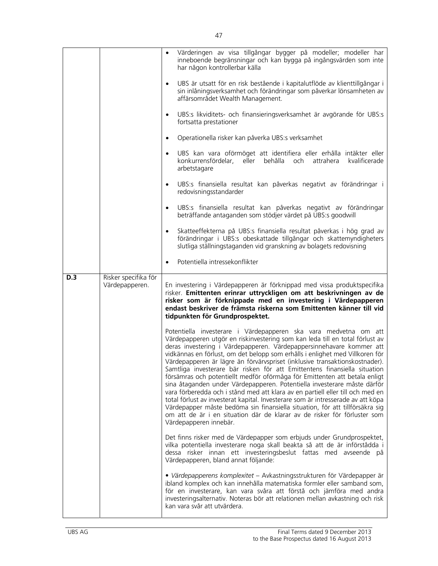|     |                                        | Värderingen av visa tillgångar bygger på modeller; modeller har<br>inneboende begränsningar och kan bygga på ingångsvärden som inte<br>har någon kontrollerbar källa                                                                                                                                                                                                                                                                                                                                                                                                                                                                                                                                                                                                                                                                                                                                                                                                                       |
|-----|----------------------------------------|--------------------------------------------------------------------------------------------------------------------------------------------------------------------------------------------------------------------------------------------------------------------------------------------------------------------------------------------------------------------------------------------------------------------------------------------------------------------------------------------------------------------------------------------------------------------------------------------------------------------------------------------------------------------------------------------------------------------------------------------------------------------------------------------------------------------------------------------------------------------------------------------------------------------------------------------------------------------------------------------|
|     |                                        | UBS är utsatt för en risk bestående i kapitalutflöde av klienttillgångar i<br>$\bullet$<br>sin inlåningsverksamhet och förändringar som påverkar lönsamheten av<br>affärsområdet Wealth Management.                                                                                                                                                                                                                                                                                                                                                                                                                                                                                                                                                                                                                                                                                                                                                                                        |
|     |                                        | UBS:s likviditets- och finansieringsverksamhet är avgörande för UBS:s<br>$\bullet$<br>fortsatta prestationer                                                                                                                                                                                                                                                                                                                                                                                                                                                                                                                                                                                                                                                                                                                                                                                                                                                                               |
|     |                                        | Operationella risker kan påverka UBS:s verksamhet<br>$\bullet$                                                                                                                                                                                                                                                                                                                                                                                                                                                                                                                                                                                                                                                                                                                                                                                                                                                                                                                             |
|     |                                        | UBS kan vara oförmöget att identifiera eller erhålla intäkter eller<br>$\bullet$<br>eller behålla<br>konkurrensfördelar,<br>och<br>attrahera<br>kvalificerade<br>arbetstagare                                                                                                                                                                                                                                                                                                                                                                                                                                                                                                                                                                                                                                                                                                                                                                                                              |
|     |                                        | UBS:s finansiella resultat kan påverkas negativt av förändringar i<br>$\bullet$<br>redovisningsstandarder                                                                                                                                                                                                                                                                                                                                                                                                                                                                                                                                                                                                                                                                                                                                                                                                                                                                                  |
|     |                                        | UBS:s finansiella resultat kan påverkas negativt av förändringar<br>$\bullet$<br>beträffande antaganden som stödjer värdet på UBS:s goodwill                                                                                                                                                                                                                                                                                                                                                                                                                                                                                                                                                                                                                                                                                                                                                                                                                                               |
|     |                                        | Skatteeffekterna på UBS:s finansiella resultat påverkas i hög grad av<br>$\bullet$<br>förändringar i UBS:s obeskattade tillgångar och skattemyndigheters<br>slutliga ställningstaganden vid granskning av bolagets redovisning                                                                                                                                                                                                                                                                                                                                                                                                                                                                                                                                                                                                                                                                                                                                                             |
|     |                                        | Potentiella intressekonflikter<br>$\bullet$                                                                                                                                                                                                                                                                                                                                                                                                                                                                                                                                                                                                                                                                                                                                                                                                                                                                                                                                                |
| D.3 | Risker specifika för<br>Värdepapperen. | En investering i Värdepapperen är förknippad med vissa produktspecifika<br>risker. Emittenten erinrar uttryckligen om att beskrivningen av de<br>risker som är förknippade med en investering i Värdepapperen<br>endast beskriver de främsta riskerna som Emittenten känner till vid<br>tidpunkten för Grundprospektet.                                                                                                                                                                                                                                                                                                                                                                                                                                                                                                                                                                                                                                                                    |
|     |                                        | Potentiella investerare i Värdepapperen ska vara medvetna om att<br>Värdepapperen utgör en riskinvestering som kan leda till en total förlust av<br>deras investering i Värdepapperen. Värdepappersinnehavare kommer att<br>vidkännas en förlust, om det belopp som erhålls i enlighet med Villkoren för<br>Värdepapperen är lägre än förvärvspriset (inklusive transaktionskostnader).<br>Samtliga investerare bär risken för att Emittentens finansiella situation<br>försämras och potentiellt medför oförmåga för Emittenten att betala enligt<br>sina åtaganden under Värdepapperen. Potentiella investerare måste därför<br>vara förberedda och i stånd med att klara av en partiell eller till och med en<br>total förlust av investerat kapital. Investerare som är intresserade av att köpa<br>Värdepapper måste bedöma sin finansiella situation, för att tillförsäkra sig<br>om att de är i en situation där de klarar av de risker för förluster som<br>Värdepapperen innebär. |
|     |                                        | Det finns risker med de Värdepapper som erbjuds under Grundprospektet,<br>vilka potentiella investerare noga skall beakta så att de är införstådda i<br>dessa risker innan ett investeringsbeslut fattas med avseende på<br>Värdepapperen, bland annat följande:                                                                                                                                                                                                                                                                                                                                                                                                                                                                                                                                                                                                                                                                                                                           |
|     |                                        | · Värdepapperens komplexitet - Avkastningsstrukturen för Värdepapper är<br>ibland komplex och kan innehålla matematiska formler eller samband som,                                                                                                                                                                                                                                                                                                                                                                                                                                                                                                                                                                                                                                                                                                                                                                                                                                         |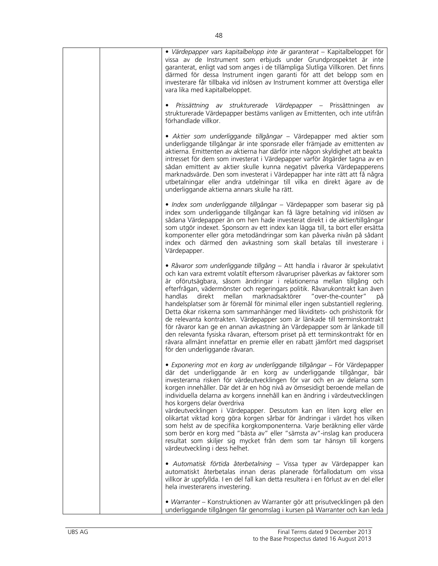| · Värdepapper vars kapitalbelopp inte är garanterat - Kapitalbeloppet för<br>vissa av de Instrument som erbjuds under Grundprospektet är inte<br>garanterat, enligt vad som anges i de tillämpliga Slutliga Villkoren. Det finns<br>därmed för dessa Instrument ingen garanti för att det belopp som en<br>investerare får tillbaka vid inlösen av Instrument kommer att överstiga eller<br>vara lika med kapitalbeloppet.                                                                                                                                                                                                                                                                                                                                                                                                                                                                                          |
|---------------------------------------------------------------------------------------------------------------------------------------------------------------------------------------------------------------------------------------------------------------------------------------------------------------------------------------------------------------------------------------------------------------------------------------------------------------------------------------------------------------------------------------------------------------------------------------------------------------------------------------------------------------------------------------------------------------------------------------------------------------------------------------------------------------------------------------------------------------------------------------------------------------------|
| Prissättning av strukturerade Värdepapper – Prissättningen<br>av<br>strukturerade Värdepapper bestäms vanligen av Emittenten, och inte utifrån<br>förhandlade villkor.                                                                                                                                                                                                                                                                                                                                                                                                                                                                                                                                                                                                                                                                                                                                              |
| · Aktier som underliggande tillgångar – Värdepapper med aktier som<br>underliggande tillgångar är inte sponsrade eller främjade av emittenten av<br>aktierna. Emittenten av aktierna har därför inte någon skyldighet att beakta<br>intresset för dem som investerat i Värdepapper varför åtgärder tagna av en<br>sådan emittent av aktier skulle kunna negativt påverka Värdepapperens<br>marknadsvärde. Den som investerat i Värdepapper har inte rätt att få några<br>utbetalningar eller andra utdelningar till vilka en direkt ägare av de<br>underliggande aktierna annars skulle ha rätt.                                                                                                                                                                                                                                                                                                                    |
| · Index som underliggande tillgångar - Värdepapper som baserar sig på<br>index som underliggande tillgångar kan få lägre betalning vid inlösen av<br>sådana Värdepapper än om hen hade investerat direkt i de aktier/tillgångar<br>som utgör indexet. Sponsorn av ett index kan lägga till, ta bort eller ersätta<br>komponenter eller göra metodändringar som kan påverka nivån på sådant<br>index och därmed den avkastning som skall betalas till investerare i<br>Värdepapper.                                                                                                                                                                                                                                                                                                                                                                                                                                  |
| · Råvaror som underliggande tillgång - Att handla i råvaror är spekulativt<br>och kan vara extremt volatilt eftersom råvarupriser påverkas av faktorer som<br>är oförutsägbara, såsom ändringar i relationerna mellan tillgång och<br>efterfrågan, vädermönster och regeringars politik. Råvarukontrakt kan även<br>marknadsaktörer "over-the-counter"<br>handlas<br>direkt<br>mellan<br>på<br>handelsplatser som är föremål för minimal eller ingen substantiell reglering.<br>Detta ökar riskerna som sammanhänger med likviditets- och prishistorik för<br>de relevanta kontrakten. Värdepapper som är länkade till terminskontrakt<br>för råvaror kan ge en annan avkastning än Värdepapper som är länkade till<br>den relevanta fysiska råvaran, eftersom priset på ett terminskontrakt för en<br>råvara allmänt innefattar en premie eller en rabatt jämfört med dagspriset<br>för den underliggande råvaran. |
| · Exponering mot en korg av underliggande tillgångar - För Värdepapper<br>där det underliggande är en korg av underliggande tillgångar, bär<br>investerarna risken för värdeutvecklingen för var och en av delarna som<br>korgen innehåller. Där det är en hög nivå av ömsesidigt beroende mellan de<br>individuella delarna av korgens innehåll kan en ändring i värdeutvecklingen<br>hos korgens delar överdriva<br>värdeutvecklingen i Värdepapper. Dessutom kan en liten korg eller en                                                                                                                                                                                                                                                                                                                                                                                                                          |
| olikartat viktad korg göra korgen sårbar för ändringar i värdet hos vilken<br>som helst av de specifika korgkomponenterna. Varje beräkning eller värde<br>som berör en korg med "bästa av" eller "sämsta av"-inslag kan producera<br>resultat som skiljer sig mycket från dem som tar hänsyn till korgens<br>värdeutveckling i dess helhet.                                                                                                                                                                                                                                                                                                                                                                                                                                                                                                                                                                         |
| · Automatisk förtida återbetalning – Vissa typer av Värdepapper kan<br>automatiskt återbetalas innan deras planerade förfallodatum om vissa<br>villkor är uppfyllda. I en del fall kan detta resultera i en förlust av en del eller<br>hela investerarens investering.                                                                                                                                                                                                                                                                                                                                                                                                                                                                                                                                                                                                                                              |
| • Warranter – Konstruktionen av Warranter gör att prisutvecklingen på den<br>underliggande tillgången får genomslag i kursen på Warranter och kan leda                                                                                                                                                                                                                                                                                                                                                                                                                                                                                                                                                                                                                                                                                                                                                              |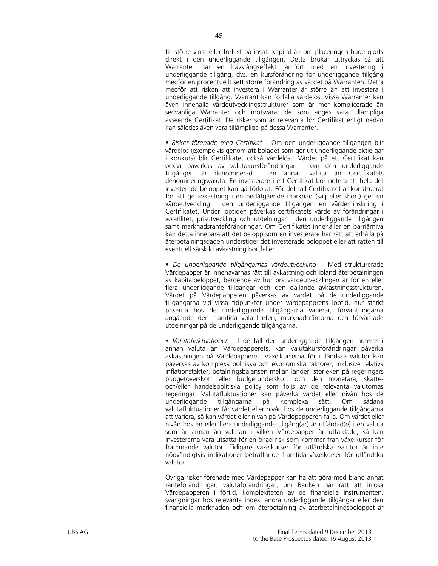|  | till större vinst eller förlust på insatt kapital än om placeringen hade gjorts<br>direkt i den underliggande tillgången. Detta brukar uttryckas så att<br>Warranter har en hävstångseffekt jämfört med en investering i<br>underliggande tillgång, dvs. en kursförändring för underliggande tillgång<br>medför en procentuellt sett större förändring av värdet på Warranten. Detta<br>medför att risken att investera i Warranter är större än att investera i<br>underliggande tillgång. Warrant kan förfalla värdelös. Vissa Warranter kan<br>även innehålla värdeutvecklingsstrukturer som är mer komplicerade än<br>sedvanliga Warranter och motsvarar de som anges vara tillämpliga<br>avseende Certifikat. De risker som är relevanta för Certifikat enligt nedan<br>kan således även vara tillämpliga på dessa Warranter.                                                                                                                                                                                                                                                                                                                                                                                                                                 |
|--|--------------------------------------------------------------------------------------------------------------------------------------------------------------------------------------------------------------------------------------------------------------------------------------------------------------------------------------------------------------------------------------------------------------------------------------------------------------------------------------------------------------------------------------------------------------------------------------------------------------------------------------------------------------------------------------------------------------------------------------------------------------------------------------------------------------------------------------------------------------------------------------------------------------------------------------------------------------------------------------------------------------------------------------------------------------------------------------------------------------------------------------------------------------------------------------------------------------------------------------------------------------------|
|  | · Risker förenade med Certifikat – Om den underliggande tillgången blir<br>värdelös (exempelvis genom att bolaget som ger ut underliggande aktie går<br>i konkurs) blir Certifikatet också värdelöst. Värdet på ett Certifikat kan<br>också påverkas av valutakursförändringar – om den underliggande<br>tillgången är denominerad i en annan valuta än Certifikatets<br>denomineringsvaluta. En investerare i ett Certifikat bör notera att hela det<br>investerade beloppet kan gå förlorat. För det fall Certifikatet är konstruerat<br>för att ge avkastning i en nedåtgående marknad (sälj eller short) ger en<br>värdeutveckling i den underliggande tillgången en värdeminskning i<br>Certifikatet. Under löptiden påverkas certifikatets värde av förändringar i<br>volatilitet, prisutveckling och utdelningar i den underliggande tillgången<br>samt marknadsränteförändringar. Om Certifikatet innehåller en barriärnivå<br>kan detta innebära att det belopp som en investerare har rätt att erhålla på<br>återbetalningsdagen understiger det investerade beloppet eller att rätten till<br>eventuell särskild avkastning bortfaller.                                                                                                                 |
|  | · De underliggande tillgångarnas värdeutveckling - Med strukturerade<br>Värdepapper är innehavarnas rätt till avkastning och ibland återbetalningen<br>av kapitalbeloppet, beroende av hur bra värdeutvecklingen är för en eller<br>flera underliggande tillgångar och den gällande avkastningsstrukturen.<br>Värdet på Värdepapperen påverkas av värdet på de underliggande<br>tillgångarna vid vissa tidpunkter under värdepapprens löptid, hur starkt<br>priserna hos de underliggande tillgångarna varierar, förväntningarna<br>angående den framtida volatiliteten, marknadsräntorna och förväntade<br>utdelningar på de underliggande tillgångarna.                                                                                                                                                                                                                                                                                                                                                                                                                                                                                                                                                                                                          |
|  | • Valutafluktuationer – I de fall den underliggande tillgången noteras i<br>annan valuta än Värdepapperets, kan valutakursförändringar påverka<br>avkastningen på Värdepapperet. Växelkurserna för utländska valutor kan<br>påverkas av komplexa politiska och ekonomiska faktorer, inklusive relativa<br>inflationstakter, betalningsbalansen mellan länder, storleken på regeringars<br>budgetöverskott eller budgetunderskott och den monetära, skatte-<br>och/eller handelspolitiska policy som följs av de relevanta valutornas<br>regeringar. Valutafluktuationer kan påverka värdet eller nivån hos de<br>underliggande<br>tillgångarna<br>komplexa<br>sätt.<br>sådana<br>Om<br>på<br>valutafluktuationer får värdet eller nivån hos de underliggande tillgångarna<br>att variera, så kan värdet eller nivån på Värdepapperen falla. Om värdet eller<br>nivån hos en eller flera underliggande tillgång(ar) är utfärdad(e) i en valuta<br>som är annan än valutan i vilken Värdepapper är utfärdade, så kan<br>investerarna vara utsatta för en ökad risk som kommer från växelkurser för<br>främmande valutor. Tidigare växelkurser för utländska valutor är inte<br>nödvändigtvis indikationer beträffande framtida växelkurser för utländska<br>valutor. |
|  | Övriga risker förenade med Värdepapper kan ha att göra med bland annat<br>ränteförändringar, valutaförändringar, om Banken har rätt att inlösa<br>Värdepapperen i förtid, komplexiteten av de finansiella instrumenten,<br>svängningar hos relevanta index, andra underliggande tillgångar eller den<br>finansiella marknaden och om återbetalning av återbetalningsbeloppet är                                                                                                                                                                                                                                                                                                                                                                                                                                                                                                                                                                                                                                                                                                                                                                                                                                                                                    |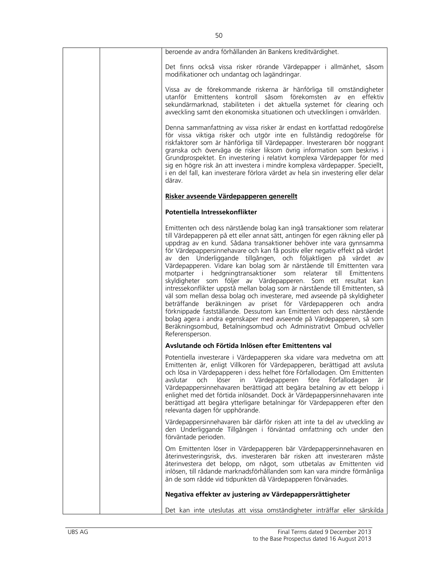| beroende av andra förhållanden än Bankens kreditvärdighet.                                                                                                                                                                                                                                                                                                                                                                                                                                                                                                                                                                                                                                                                                                                                                                                                                                                                                                                                                                                                                     |
|--------------------------------------------------------------------------------------------------------------------------------------------------------------------------------------------------------------------------------------------------------------------------------------------------------------------------------------------------------------------------------------------------------------------------------------------------------------------------------------------------------------------------------------------------------------------------------------------------------------------------------------------------------------------------------------------------------------------------------------------------------------------------------------------------------------------------------------------------------------------------------------------------------------------------------------------------------------------------------------------------------------------------------------------------------------------------------|
| Det finns också vissa risker rörande Värdepapper i allmänhet, såsom<br>modifikationer och undantag och lagändringar.                                                                                                                                                                                                                                                                                                                                                                                                                                                                                                                                                                                                                                                                                                                                                                                                                                                                                                                                                           |
| Vissa av de förekommande riskerna är hänförliga till omständigheter<br>utanför Emittentens kontroll såsom förekomsten av<br>en effektiv<br>sekundärmarknad, stabiliteten i det aktuella systemet för clearing och<br>avveckling samt den ekonomiska situationen och utvecklingen i omvärlden.                                                                                                                                                                                                                                                                                                                                                                                                                                                                                                                                                                                                                                                                                                                                                                                  |
| Denna sammanfattning av vissa risker är endast en kortfattad redogörelse<br>för vissa viktiga risker och utgör inte en fullständig redogörelse för<br>riskfaktorer som är hänförliga till Värdepapper. Investeraren bör noggrant<br>granska och överväga de risker liksom övrig information som beskrivs i<br>Grundprospektet. En investering i relativt komplexa Värdepapper för med<br>sig en högre risk än att investera i mindre komplexa värdepapper. Speciellt,<br>i en del fall, kan investerare förlora värdet av hela sin investering eller delar<br>därav.                                                                                                                                                                                                                                                                                                                                                                                                                                                                                                           |
| Risker avseende Värdepapperen generellt                                                                                                                                                                                                                                                                                                                                                                                                                                                                                                                                                                                                                                                                                                                                                                                                                                                                                                                                                                                                                                        |
| Potentiella Intressekonflikter                                                                                                                                                                                                                                                                                                                                                                                                                                                                                                                                                                                                                                                                                                                                                                                                                                                                                                                                                                                                                                                 |
| Emittenten och dess närstående bolag kan ingå transaktioner som relaterar<br>till Värdepapperen på ett eller annat sätt, antingen för egen räkning eller på<br>uppdrag av en kund. Sådana transaktioner behöver inte vara gynnsamma<br>för Värdepappersinnehavare och kan få positiv eller negativ effekt på värdet<br>av den Underliggande tillgången, och följaktligen på värdet av<br>Värdepapperen. Vidare kan bolag som är närstående till Emittenten vara<br>motparter i hedgningtransaktioner som relaterar till Emittentens<br>skyldigheter som följer av Värdepapperen. Som ett resultat kan<br>intressekonflikter uppstå mellan bolag som är närstående till Emittenten, så<br>väl som mellan dessa bolag och investerare, med avseende på skyldigheter<br>beträffande beräkningen av priset för Värdepapperen och andra<br>förknippade fastställande. Dessutom kan Emittenten och dess närstående<br>bolag agera i andra egenskaper med avseende på Värdepapperen, så som<br>Beräkningsombud, Betalningsombud och Administrativt Ombud och/eller<br>Referensperson. |
| Avslutande och Förtida Inlösen efter Emittentens val                                                                                                                                                                                                                                                                                                                                                                                                                                                                                                                                                                                                                                                                                                                                                                                                                                                                                                                                                                                                                           |
| Potentiella investerare i Värdepapperen ska vidare vara medvetna om att<br>Emittenten är, enligt Villkoren för Värdepapperen, berättigad att avsluta<br>och lösa in Värdepapperen i dess helhet före Förfallodagen. Om Emittenten<br>löser<br>Värdepapperen<br>före Förfallodagen<br>avslutar<br>och<br>in<br>är<br>Värdepappersinnehavaren berättigad att begära betalning av ett belopp i<br>enlighet med det förtida inlösandet. Dock är Värdepappersinnehavaren inte<br>berättigad att begära ytterligare betalningar för Värdepapperen efter den<br>relevanta dagen för upphörande.                                                                                                                                                                                                                                                                                                                                                                                                                                                                                       |
| Värdepappersinnehavaren bär därför risken att inte ta del av utveckling av<br>den Underliggande Tillgången i förväntad omfattning och under den<br>förväntade perioden.                                                                                                                                                                                                                                                                                                                                                                                                                                                                                                                                                                                                                                                                                                                                                                                                                                                                                                        |
| Om Emittenten löser in Värdepapperen bär Värdepappersinnehavaren en<br>återinvesteringsrisk, dvs. investeraren bär risken att investeraren måste<br>återinvestera det belopp, om något, som utbetalas av Emittenten vid<br>inlösen, till rådande marknadsförhållanden som kan vara mindre förmånliga<br>än de som rådde vid tidpunkten då Värdepapperen förvärvades.                                                                                                                                                                                                                                                                                                                                                                                                                                                                                                                                                                                                                                                                                                           |
| Negativa effekter av justering av Värdepappersrättigheter                                                                                                                                                                                                                                                                                                                                                                                                                                                                                                                                                                                                                                                                                                                                                                                                                                                                                                                                                                                                                      |
| Det kan inte uteslutas att vissa omständigheter inträffar eller särskilda                                                                                                                                                                                                                                                                                                                                                                                                                                                                                                                                                                                                                                                                                                                                                                                                                                                                                                                                                                                                      |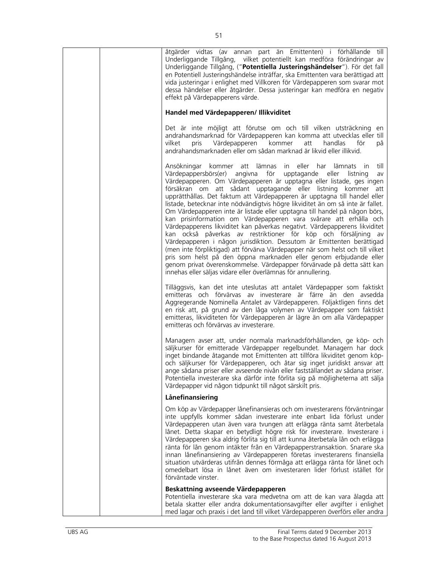| åtgärder vidtas (av annan part än Emittenten) i förhållande till<br>Underliggande Tillgång, vilket potentiellt kan medföra förändringar av<br>Underliggande Tillgång, ("Potentiella Justeringshändelser"). För det fall<br>en Potentiell Justeringshändelse inträffar, ska Emittenten vara berättigad att<br>vida justeringar i enlighet med Villkoren för Värdepapperen som svarar mot<br>dessa händelser eller åtgärder. Dessa justeringar kan medföra en negativ<br>effekt på Värdepapperens värde.                                                                                                                                                                                                                                                                                                                                                                                                                                                                                                                                                                                                                           |
|----------------------------------------------------------------------------------------------------------------------------------------------------------------------------------------------------------------------------------------------------------------------------------------------------------------------------------------------------------------------------------------------------------------------------------------------------------------------------------------------------------------------------------------------------------------------------------------------------------------------------------------------------------------------------------------------------------------------------------------------------------------------------------------------------------------------------------------------------------------------------------------------------------------------------------------------------------------------------------------------------------------------------------------------------------------------------------------------------------------------------------|
| Handel med Värdepapperen/ Illikviditet                                                                                                                                                                                                                                                                                                                                                                                                                                                                                                                                                                                                                                                                                                                                                                                                                                                                                                                                                                                                                                                                                           |
| Det är inte möjligt att förutse om och till vilken utsträckning en<br>andrahandsmarknad för Värdepapperen kan komma att utvecklas eller till<br>pris Värdepapperen kommer<br>att<br>handlas<br>vilket<br>för<br>рå<br>andrahandsmarknaden eller om sådan marknad är likvid eller illikvid.                                                                                                                                                                                                                                                                                                                                                                                                                                                                                                                                                                                                                                                                                                                                                                                                                                       |
| till<br>Ansökningar kommer att lämnas in eller har lämnats<br>- in<br>Värdepappersbörs(er) angivna för<br>upptagande eller listning<br>av<br>Värdepapperen. Om Värdepapperen är upptagna eller listade, ges ingen<br>försäkran om att sådant upptagande eller listning kommer att<br>upprätthållas. Det faktum att Värdepapperen är upptagna till handel eller<br>listade, betecknar inte nödvändigtvis högre likviditet än om så inte är fallet.<br>Om Värdepapperen inte är listade eller upptagna till handel på någon börs,<br>kan prisinformation om Värdepapperen vara svårare att erhålla och<br>Värdepapperens likviditet kan påverkas negativt. Värdepapperens likviditet<br>kan också påverkas av restriktioner för köp och försäljning av<br>Värdepapperen i någon jurisdiktion. Dessutom är Emittenten berättigad<br>(men inte förpliktigad) att förvärva Värdepapper när som helst och till vilket<br>pris som helst på den öppna marknaden eller genom erbjudande eller<br>genom privat överenskommelse. Värdepapper förvärvade på detta sätt kan<br>innehas eller säljas vidare eller överlämnas för annullering. |
| Tilläggsvis, kan det inte uteslutas att antalet Värdepapper som faktiskt<br>emitteras och förvärvas av investerare är färre än den avsedda<br>Aggregerande Nominella Antalet av Värdepapperen. Följaktligen finns det<br>en risk att, på grund av den låga volymen av Värdepapper som faktiskt<br>emitteras, likviditeten för Värdepapperen är lägre än om alla Värdepapper<br>emitteras och förvärvas av investerare.                                                                                                                                                                                                                                                                                                                                                                                                                                                                                                                                                                                                                                                                                                           |
| Managern avser att, under normala marknadsförhållanden, ge köp- och<br>säljkurser för emitterade Värdepapper regelbundet. Managern har dock<br>inget bindande åtagande mot Emittenten att tillföra likviditet genom köp-<br>och säljkurser för Värdepapperen, och åtar sig inget juridiskt ansvar att<br>ange sådana priser eller avseende nivån eller fastställandet av sådana priser.<br>Potentiella investerare ska därför inte förlita sig på möjligheterna att sälja<br>Värdepapper vid någon tidpunkt till något särskilt pris.                                                                                                                                                                                                                                                                                                                                                                                                                                                                                                                                                                                            |
| Lånefinansiering                                                                                                                                                                                                                                                                                                                                                                                                                                                                                                                                                                                                                                                                                                                                                                                                                                                                                                                                                                                                                                                                                                                 |
| Om köp av Värdepapper lånefinansieras och om investerarens förväntningar<br>inte uppfylls kommer sådan investerare inte enbart lida förlust under<br>Värdepapperen utan även vara tvungen att erlägga ränta samt återbetala<br>lånet. Detta skapar en betydligt högre risk för investerare. Investerare i<br>Värdepapperen ska aldrig förlita sig till att kunna återbetala lån och erlägga<br>ränta för lån genom intäkter från en Värdepapperstransaktion. Snarare ska<br>innan lånefinansiering av Värdepapperen företas investerarens finansiella<br>situation utvärderas utifrån dennes förmåga att erlägga ränta för lånet och<br>omedelbart lösa in lånet även om investeraren lider förlust istället för<br>förväntade vinster.                                                                                                                                                                                                                                                                                                                                                                                          |
| Beskattning avseende Värdepapperen<br>Potentiella investerare ska vara medvetna om att de kan vara ålagda att                                                                                                                                                                                                                                                                                                                                                                                                                                                                                                                                                                                                                                                                                                                                                                                                                                                                                                                                                                                                                    |
| betala skatter eller andra dokumentationsavgifter eller avgifter i enlighet<br>med lagar och praxis i det land till vilket Värdepapperen överförs eller andra                                                                                                                                                                                                                                                                                                                                                                                                                                                                                                                                                                                                                                                                                                                                                                                                                                                                                                                                                                    |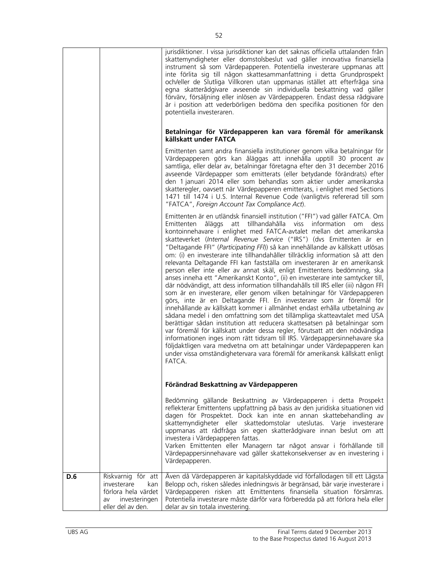|     |                                                                                                             | jurisdiktioner. I vissa jurisdiktioner kan det saknas officiella uttalanden från<br>skattemyndigheter eller domstolsbeslut vad gäller innovativa finansiella<br>instrument så som Värdepapperen. Potentiella investerare uppmanas att<br>inte förlita sig till någon skattesammanfattning i detta Grundprospekt<br>och/eller de Slutliga Villkoren utan uppmanas istället att efterfråga sina<br>egna skatterådgivare avseende sin individuella beskattning vad gäller<br>förvärv, försäljning eller inlösen av Värdepapperen. Endast dessa rådgivare<br>är i position att vederbörligen bedöma den specifika positionen för den<br>potentiella investeraren.<br>Betalningar för Värdepapperen kan vara föremål för amerikansk<br>källskatt under FATCA<br>Emittenten samt andra finansiella institutioner genom vilka betalningar för<br>Värdepapperen görs kan åläggas att innehålla upptill 30 procent av<br>samtliga, eller delar av, betalningar företagna efter den 31 december 2016<br>avseende Värdepapper som emitterats (eller betydande förändrats) efter<br>den 1 januari 2014 eller som behandlas som aktier under amerikanska<br>skatteregler, oavsett när Värdepapperen emitterats, i enlighet med Sections<br>1471 till 1474 i U.S. Internal Revenue Code (vanligtvis refererad till som<br>"FATCA", Foreign Account Tax Compliance Act).                                                                                                                                                                           |
|-----|-------------------------------------------------------------------------------------------------------------|-------------------------------------------------------------------------------------------------------------------------------------------------------------------------------------------------------------------------------------------------------------------------------------------------------------------------------------------------------------------------------------------------------------------------------------------------------------------------------------------------------------------------------------------------------------------------------------------------------------------------------------------------------------------------------------------------------------------------------------------------------------------------------------------------------------------------------------------------------------------------------------------------------------------------------------------------------------------------------------------------------------------------------------------------------------------------------------------------------------------------------------------------------------------------------------------------------------------------------------------------------------------------------------------------------------------------------------------------------------------------------------------------------------------------------------------------------------------------------------------------------------------------------------|
|     |                                                                                                             | Emittenten är en utländsk finansiell institution ("FFI") vad gäller FATCA. Om<br>åläggs<br>att tillhandahålla viss information<br>Emittenten<br>om<br>dess<br>kontoinnehavare i enlighet med FATCA-avtalet mellan det amerikanska<br>skatteverket (Internal Revenue Service ("IRS") (dvs Emittenten är en<br>"Deltagande FFI" (Participating FFI)) så kan innehållande av källskatt utlösas<br>om: (i) en investerare inte tillhandahåller tillräcklig information så att den<br>relevanta Deltagande FFI kan fastställa om investeraren är en amerikansk<br>person eller inte eller av annat skäl, enligt Emittentens bedömning, ska<br>anses inneha ett "Amerikanskt Konto", (ii) en investerare inte samtycker till,<br>där nödvändigt, att dess information tillhandahålls till IRS eller (iii) någon FFI<br>som är en investerare, eller genom vilken betalningar för Värdepapperen<br>görs, inte är en Deltagande FFI. En investerare som är föremål för<br>innehållande av källskatt kommer i allmänhet endast erhålla utbetalning av<br>sådana medel i den omfattning som det tillämpliga skatteavtalet med USA<br>berättigar sådan institution att reducera skattesatsen på betalningar som<br>var föremål för källskatt under dessa regler, förutsatt att den nödvändiga<br>informationen inges inom rätt tidsram till IRS. Värdepappersinnehavare ska<br>följdaktligen vara medvetna om att betalningar under Värdepapperen kan<br>under vissa omständighetervara vara föremål för amerikansk källskatt enligt<br>FATCA. |
|     |                                                                                                             | Förändrad Beskattning av Värdepapperen                                                                                                                                                                                                                                                                                                                                                                                                                                                                                                                                                                                                                                                                                                                                                                                                                                                                                                                                                                                                                                                                                                                                                                                                                                                                                                                                                                                                                                                                                              |
|     |                                                                                                             | Bedömning gällande Beskattning av Värdepapperen i detta Prospekt<br>reflekterar Emittentens uppfattning på basis av den juridiska situationen vid<br>dagen för Prospektet. Dock kan inte en annan skattebehandling av<br>skattemyndigheter eller skattedomstolar uteslutas. Varje investerare<br>uppmanas att rådfråga sin egen skatterådgivare innan beslut om att<br>investera i Värdepapperen fattas.<br>Varken Emittenten eller Managern tar något ansvar i förhållande till<br>Värdepappersinnehavare vad gäller skattekonsekvenser av en investering i<br>Värdepapperen.                                                                                                                                                                                                                                                                                                                                                                                                                                                                                                                                                                                                                                                                                                                                                                                                                                                                                                                                                      |
| D.6 | Riskvarnig för att<br>investerare<br>kan<br>förlora hela värdet<br>investeringen<br>av<br>eller del av den. | Även då Värdepapperen är kapitalskyddade vid förfallodagen till ett Lägsta<br>Belopp och, risken således inledningsvis är begränsad, bär varje investerare i<br>Värdepapperen risken att Emittentens finansiella situation försämras.<br>Potentiella investerare måste därför vara förberedda på att förlora hela eller<br>delar av sin totala investering.                                                                                                                                                                                                                                                                                                                                                                                                                                                                                                                                                                                                                                                                                                                                                                                                                                                                                                                                                                                                                                                                                                                                                                         |